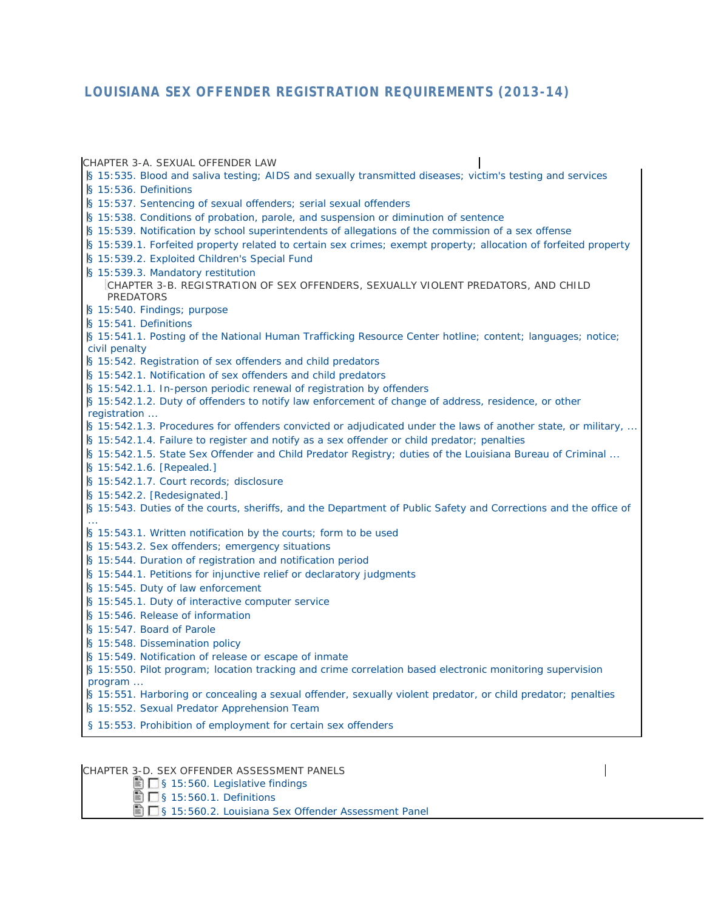# **LOUISIANA SEX OFFENDER REGISTRATION REQUIREMENTS (2013-14)**

| CHAPTER 3-A. SEXUAL OFFENDER LAW                                                                                                                                             |  |
|------------------------------------------------------------------------------------------------------------------------------------------------------------------------------|--|
| § 15:535. Blood and saliva testing; AIDS and sexually transmitted diseases; victim's testing and services                                                                    |  |
| § 15:536. Definitions                                                                                                                                                        |  |
| § 15:537. Sentencing of sexual offenders; serial sexual offenders                                                                                                            |  |
| § 15:538. Conditions of probation, parole, and suspension or diminution of sentence                                                                                          |  |
| § 15:539. Notification by school superintendents of allegations of the commission of a sex offense                                                                           |  |
| § 15:539.1. Forfeited property related to certain sex crimes; exempt property; allocation of forfeited property                                                              |  |
| § 15:539.2. Exploited Children's Special Fund                                                                                                                                |  |
| § 15:539.3. Mandatory restitution                                                                                                                                            |  |
| CHAPTER 3-B. REGISTRATION OF SEX OFFENDERS, SEXUALLY VIOLENT PREDATORS, AND CHILD                                                                                            |  |
| <b>PREDATORS</b>                                                                                                                                                             |  |
| § 15:540. Findings; purpose                                                                                                                                                  |  |
| § 15:541. Definitions                                                                                                                                                        |  |
| § 15:541.1. Posting of the National Human Trafficking Resource Center hotline; content; languages; notice;                                                                   |  |
| civil penalty                                                                                                                                                                |  |
| § 15:542. Registration of sex offenders and child predators                                                                                                                  |  |
| § 15:542.1. Notification of sex offenders and child predators                                                                                                                |  |
| § 15:542.1.1. In-person periodic renewal of registration by offenders<br>§ 15:542.1.2. Duty of offenders to notify law enforcement of change of address, residence, or other |  |
| registration                                                                                                                                                                 |  |
| § 15:542.1.3. Procedures for offenders convicted or adjudicated under the laws of another state, or military,                                                                |  |
| § 15:542.1.4. Failure to register and notify as a sex offender or child predator; penalties                                                                                  |  |
| S 15:542.1.5. State Sex Offender and Child Predator Registry; duties of the Louisiana Bureau of Criminal                                                                     |  |
| § 15:542.1.6. [Repealed.]                                                                                                                                                    |  |
| § 15:542.1.7. Court records; disclosure                                                                                                                                      |  |
| $\left[\frac{1}{2}\right]$ 15:542.2. [Redesignated.]                                                                                                                         |  |
| § 15:543. Duties of the courts, sheriffs, and the Department of Public Safety and Corrections and the office of                                                              |  |
|                                                                                                                                                                              |  |
| § 15:543.1. Written notification by the courts; form to be used                                                                                                              |  |
| S 15:543.2. Sex offenders; emergency situations                                                                                                                              |  |
| S 15:544. Duration of registration and notification period                                                                                                                   |  |
| § 15:544.1. Petitions for injunctive relief or declaratory judgments                                                                                                         |  |
| § 15:545. Duty of law enforcement                                                                                                                                            |  |
| § 15:545.1. Duty of interactive computer service                                                                                                                             |  |
| § 15:546. Release of information                                                                                                                                             |  |
| § 15:547. Board of Parole                                                                                                                                                    |  |
| § 15:548. Dissemination policy                                                                                                                                               |  |
| S 15:549. Notification of release or escape of inmate                                                                                                                        |  |
| § 15:550. Pilot program; location tracking and crime correlation based electronic monitoring supervision                                                                     |  |
| program                                                                                                                                                                      |  |
| § 15:551. Harboring or concealing a sexual offender, sexually violent predator, or child predator; penalties                                                                 |  |
| § 15:552. Sexual Predator Apprehension Team                                                                                                                                  |  |
| § 15:553. Prohibition of employment for certain sex offenders                                                                                                                |  |
|                                                                                                                                                                              |  |

 $\mathsf{l}$ 

#### CHAPTER 3-D. SEX OFFENDER ASSESSMENT PANELS

[§ 15:560. Legislative findings](javascript:void(pToc.rtc2dc()

[§ 15:560.1. Definitions](javascript:void(pToc.tc2dc()

[§ 15:560.2. Louisiana Sex Offender Assessment Panel](javascript:void(pToc.tc2dc()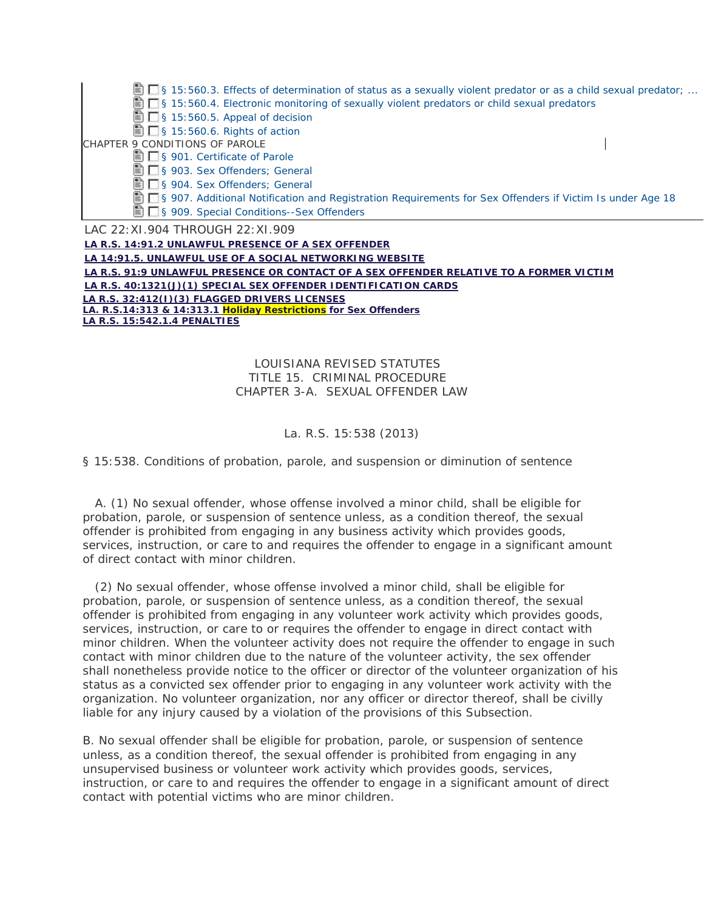| $\blacksquare$ § 15:560.3. Effects of determination of status as a sexually violent predator or as a child sexual predator; |  |
|-----------------------------------------------------------------------------------------------------------------------------|--|
| S 15:560.4. Electronic monitoring of sexually violent predators or child sexual predators                                   |  |
| $\blacksquare$ S 15:560.5. Appeal of decision                                                                               |  |
| $\blacksquare$ S 15:560.6. Rights of action                                                                                 |  |
| CHAPTER 9 CONDITIONS OF PAROLE                                                                                              |  |
| S 901. Certificate of Parole                                                                                                |  |
| S 903. Sex Offenders; General                                                                                               |  |
| S 904. Sex Offenders; General                                                                                               |  |
| S 907. Additional Notification and Registration Requirements for Sex Offenders if Victim Is under Age 18                    |  |
| S 909. Special Conditions--Sex Offenders                                                                                    |  |
| LAC 22: XI.904 THROUGH 22: XI.909                                                                                           |  |
| $\mathbf{r}$ , a comparable in the properties of a grapher of $\mathbf{r}$                                                  |  |

**LA R.S. 14:91.2 UNLAWFUL PRESENCE OF A SEX OFFENDER LA 14:91.5. UNLAWFUL USE OF A SOCIAL NETWORKING WEBSITE LA R.S. 91:9 UNLAWFUL PRESENCE OR CONTACT OF A SEX OFFENDER RELATIVE TO A FORMER VICTIM LA R.S. 40:1321(J)(1) SPECIAL SEX OFFENDER IDENTIFICATION CARDS LA R.S. 32:412(I)(3) FLAGGED DRIVERS LICENSES LA. R.S.14:313 & 14:313.1 Holiday Restrictions for Sex Offenders LA R.S. 15:542.1.4 PENALTIES**

## LOUISIANA REVISED STATUTES TITLE 15. CRIMINAL PROCEDURE CHAPTER 3-A. SEXUAL OFFENDER LAW

## La. R.S. 15:538 (2013)

§ 15:538. Conditions of probation, parole, and suspension or diminution of sentence

 A. (1) No sexual offender, whose offense involved a minor child, shall be eligible for probation, parole, or suspension of sentence unless, as a condition thereof, the sexual offender is prohibited from engaging in any business activity which provides goods, services, instruction, or care to and requires the offender to engage in a significant amount of direct contact with minor children.

 (2) No sexual offender, whose offense involved a minor child, shall be eligible for probation, parole, or suspension of sentence unless, as a condition thereof, the sexual offender is prohibited from engaging in any volunteer work activity which provides goods, services, instruction, or care to or requires the offender to engage in direct contact with minor children. When the volunteer activity does not require the offender to engage in such contact with minor children due to the nature of the volunteer activity, the sex offender shall nonetheless provide notice to the officer or director of the volunteer organization of his status as a convicted sex offender prior to engaging in any volunteer work activity with the organization. No volunteer organization, nor any officer or director thereof, shall be civilly liable for any injury caused by a violation of the provisions of this Subsection.

B. No sexual offender shall be eligible for probation, parole, or suspension of sentence unless, as a condition thereof, the sexual offender is prohibited from engaging in any unsupervised business or volunteer work activity which provides goods, services, instruction, or care to and requires the offender to engage in a significant amount of direct contact with potential victims who are minor children.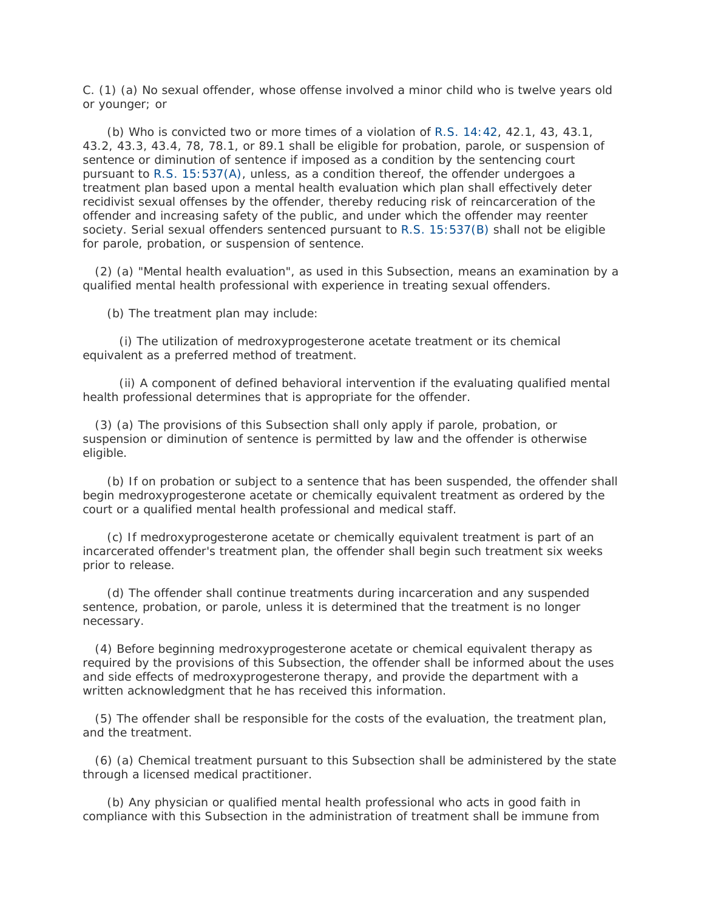C. (1) (a) No sexual offender, whose offense involved a minor child who is twelve years old or younger; or

 (b) Who is convicted two or more times of a violation of [R.S. 14:42,](http://www.lexis.com/research/buttonTFLink?_m=4b32608e43c32865176599224fa617b1&_xfercite=%3ccite%20cc%3d%22USA%22%3e%3c%21%5bCDATA%5bLa.%20R.S.%2015%3a538%5d%5d%3e%3c%2fcite%3e&_butType=4&_butStat=0&_butNum=2&_butInline=1&_butinfo=LACODE%2014%3a42&_fmtstr=FULL&docnum=1&_startdoc=1&wchp=dGLzVzB-zSkAW&_md5=b20378d9d3ce931e20394450686e3178) 42.1, 43, 43.1, 43.2, 43.3, 43.4, 78, 78.1, or 89.1 shall be eligible for probation, parole, or suspension of sentence or diminution of sentence if imposed as a condition by the sentencing court pursuant to [R.S. 15:537\(A\),](http://www.lexis.com/research/buttonTFLink?_m=4b32608e43c32865176599224fa617b1&_xfercite=%3ccite%20cc%3d%22USA%22%3e%3c%21%5bCDATA%5bLa.%20R.S.%2015%3a538%5d%5d%3e%3c%2fcite%3e&_butType=4&_butStat=0&_butNum=3&_butInline=1&_butinfo=LACODE%2015%3a537&_fmtstr=FULL&docnum=1&_startdoc=1&wchp=dGLzVzB-zSkAW&_md5=d78db763c83be5367cc21f7484ae1c3f) unless, as a condition thereof, the offender undergoes a treatment plan based upon a mental health evaluation which plan shall effectively deter recidivist sexual offenses by the offender, thereby reducing risk of reincarceration of the offender and increasing safety of the public, and under which the offender may reenter society. Serial sexual offenders sentenced pursuant to [R.S. 15:537\(B\)](http://www.lexis.com/research/buttonTFLink?_m=4b32608e43c32865176599224fa617b1&_xfercite=%3ccite%20cc%3d%22USA%22%3e%3c%21%5bCDATA%5bLa.%20R.S.%2015%3a538%5d%5d%3e%3c%2fcite%3e&_butType=4&_butStat=0&_butNum=4&_butInline=1&_butinfo=LACODE%2015%3a537&_fmtstr=FULL&docnum=1&_startdoc=1&wchp=dGLzVzB-zSkAW&_md5=b4152033e922c04f9c9038dd124fb28c) shall not be eligible for parole, probation, or suspension of sentence.

 (2) (a) "Mental health evaluation", as used in this Subsection, means an examination by a qualified mental health professional with experience in treating sexual offenders.

(b) The treatment plan may include:

 (i) The utilization of medroxyprogesterone acetate treatment or its chemical equivalent as a preferred method of treatment.

 (ii) A component of defined behavioral intervention if the evaluating qualified mental health professional determines that is appropriate for the offender.

 (3) (a) The provisions of this Subsection shall only apply if parole, probation, or suspension or diminution of sentence is permitted by law and the offender is otherwise eligible.

 (b) If on probation or subject to a sentence that has been suspended, the offender shall begin medroxyprogesterone acetate or chemically equivalent treatment as ordered by the court or a qualified mental health professional and medical staff.

 (c) If medroxyprogesterone acetate or chemically equivalent treatment is part of an incarcerated offender's treatment plan, the offender shall begin such treatment six weeks prior to release.

 (d) The offender shall continue treatments during incarceration and any suspended sentence, probation, or parole, unless it is determined that the treatment is no longer necessary.

 (4) Before beginning medroxyprogesterone acetate or chemical equivalent therapy as required by the provisions of this Subsection, the offender shall be informed about the uses and side effects of medroxyprogesterone therapy, and provide the department with a written acknowledgment that he has received this information.

 (5) The offender shall be responsible for the costs of the evaluation, the treatment plan, and the treatment.

 (6) (a) Chemical treatment pursuant to this Subsection shall be administered by the state through a licensed medical practitioner.

 (b) Any physician or qualified mental health professional who acts in good faith in compliance with this Subsection in the administration of treatment shall be immune from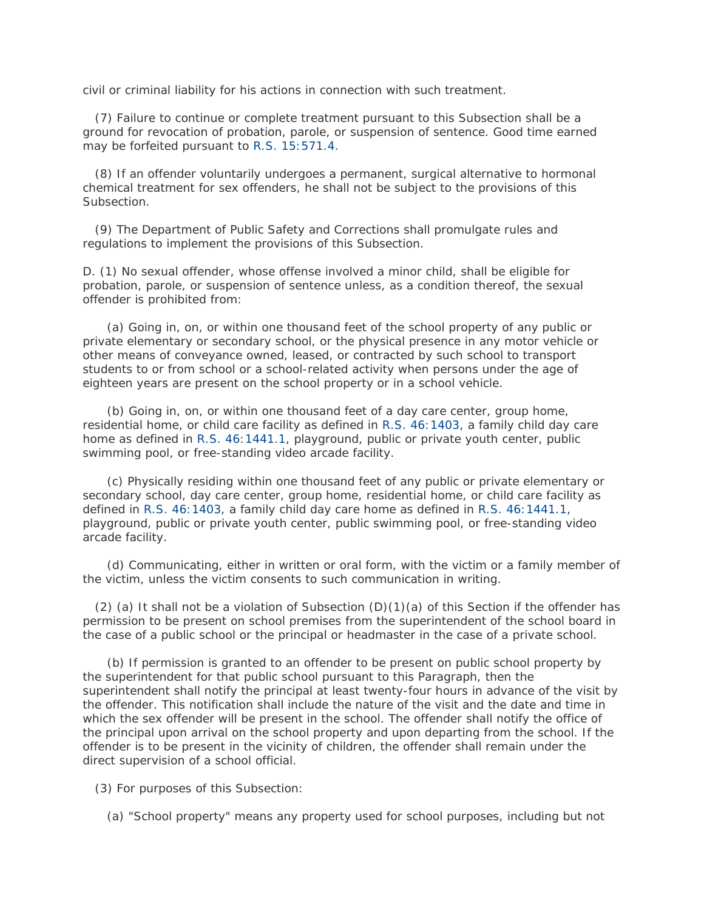civil or criminal liability for his actions in connection with such treatment.

 (7) Failure to continue or complete treatment pursuant to this Subsection shall be a ground for revocation of probation, parole, or suspension of sentence. Good time earned may be forfeited pursuant to [R.S. 15:571.4.](http://www.lexis.com/research/buttonTFLink?_m=4b32608e43c32865176599224fa617b1&_xfercite=%3ccite%20cc%3d%22USA%22%3e%3c%21%5bCDATA%5bLa.%20R.S.%2015%3a538%5d%5d%3e%3c%2fcite%3e&_butType=4&_butStat=0&_butNum=5&_butInline=1&_butinfo=LACODE%2015%3a571.4&_fmtstr=FULL&docnum=1&_startdoc=1&wchp=dGLzVzB-zSkAW&_md5=ea70bc84e14afe63e5bd8e2568130557)

 (8) If an offender voluntarily undergoes a permanent, surgical alternative to hormonal chemical treatment for sex offenders, he shall not be subject to the provisions of this Subsection.

 (9) The Department of Public Safety and Corrections shall promulgate rules and regulations to implement the provisions of this Subsection.

D. (1) No sexual offender, whose offense involved a minor child, shall be eligible for probation, parole, or suspension of sentence unless, as a condition thereof, the sexual offender is prohibited from:

 (a) Going in, on, or within one thousand feet of the school property of any public or private elementary or secondary school, or the physical presence in any motor vehicle or other means of conveyance owned, leased, or contracted by such school to transport students to or from school or a school-related activity when persons under the age of eighteen years are present on the school property or in a school vehicle.

 (b) Going in, on, or within one thousand feet of a day care center, group home, residential home, or child care facility as defined in [R.S. 46:1403,](http://www.lexis.com/research/buttonTFLink?_m=4b32608e43c32865176599224fa617b1&_xfercite=%3ccite%20cc%3d%22USA%22%3e%3c%21%5bCDATA%5bLa.%20R.S.%2015%3a538%5d%5d%3e%3c%2fcite%3e&_butType=4&_butStat=0&_butNum=6&_butInline=1&_butinfo=LACODE%2046%3a1403&_fmtstr=FULL&docnum=1&_startdoc=1&wchp=dGLzVzB-zSkAW&_md5=676ebb324796bc7c43530d47f02b6fb3) a family child day care home as defined in [R.S. 46:1441.1,](http://www.lexis.com/research/buttonTFLink?_m=4b32608e43c32865176599224fa617b1&_xfercite=%3ccite%20cc%3d%22USA%22%3e%3c%21%5bCDATA%5bLa.%20R.S.%2015%3a538%5d%5d%3e%3c%2fcite%3e&_butType=4&_butStat=0&_butNum=7&_butInline=1&_butinfo=LACODE%2046%3a1441.1&_fmtstr=FULL&docnum=1&_startdoc=1&wchp=dGLzVzB-zSkAW&_md5=3724f8861cc8b786847ea94111b9354b) playground, public or private youth center, public swimming pool, or free-standing video arcade facility.

 (c) Physically residing within one thousand feet of any public or private elementary or secondary school, day care center, group home, residential home, or child care facility as defined in [R.S. 46:1403,](http://www.lexis.com/research/buttonTFLink?_m=4b32608e43c32865176599224fa617b1&_xfercite=%3ccite%20cc%3d%22USA%22%3e%3c%21%5bCDATA%5bLa.%20R.S.%2015%3a538%5d%5d%3e%3c%2fcite%3e&_butType=4&_butStat=0&_butNum=8&_butInline=1&_butinfo=LACODE%2046%3a1403&_fmtstr=FULL&docnum=1&_startdoc=1&wchp=dGLzVzB-zSkAW&_md5=8c1ad0ddbb9b3050bbea4346e5439d84) a family child day care home as defined in [R.S. 46:1441.1,](http://www.lexis.com/research/buttonTFLink?_m=4b32608e43c32865176599224fa617b1&_xfercite=%3ccite%20cc%3d%22USA%22%3e%3c%21%5bCDATA%5bLa.%20R.S.%2015%3a538%5d%5d%3e%3c%2fcite%3e&_butType=4&_butStat=0&_butNum=9&_butInline=1&_butinfo=LACODE%2046%3a1441.1&_fmtstr=FULL&docnum=1&_startdoc=1&wchp=dGLzVzB-zSkAW&_md5=c70cfc439a6387f82213e10721bed951) playground, public or private youth center, public swimming pool, or free-standing video arcade facility.

 (d) Communicating, either in written or oral form, with the victim or a family member of the victim, unless the victim consents to such communication in writing.

(2) (a) It shall not be a violation of Subsection  $(D)(1)(a)$  of this Section if the offender has permission to be present on school premises from the superintendent of the school board in the case of a public school or the principal or headmaster in the case of a private school.

 (b) If permission is granted to an offender to be present on public school property by the superintendent for that public school pursuant to this Paragraph, then the superintendent shall notify the principal at least twenty-four hours in advance of the visit by the offender. This notification shall include the nature of the visit and the date and time in which the sex offender will be present in the school. The offender shall notify the office of the principal upon arrival on the school property and upon departing from the school. If the offender is to be present in the vicinity of children, the offender shall remain under the direct supervision of a school official.

(3) For purposes of this Subsection:

(a) "School property" means any property used for school purposes, including but not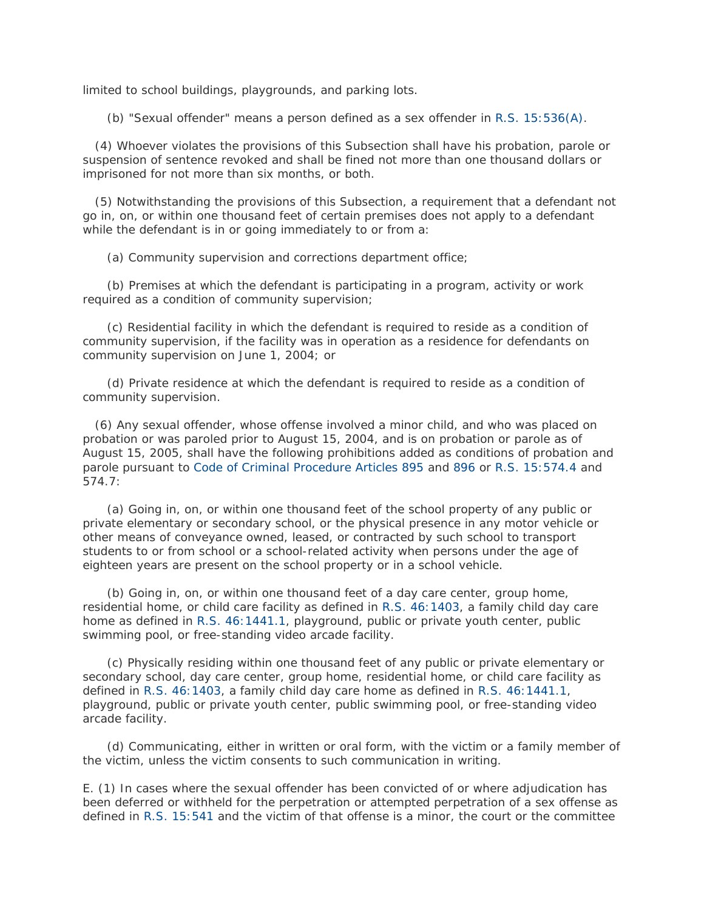limited to school buildings, playgrounds, and parking lots.

(b) "Sexual offender" means a person defined as a sex offender in [R.S. 15:536\(A\).](http://www.lexis.com/research/buttonTFLink?_m=4b32608e43c32865176599224fa617b1&_xfercite=%3ccite%20cc%3d%22USA%22%3e%3c%21%5bCDATA%5bLa.%20R.S.%2015%3a538%5d%5d%3e%3c%2fcite%3e&_butType=4&_butStat=0&_butNum=10&_butInline=1&_butinfo=LACODE%2015%3a536&_fmtstr=FULL&docnum=1&_startdoc=1&wchp=dGLzVzB-zSkAW&_md5=1857ca0f210e8a00d6317bea57837f92)

 (4) Whoever violates the provisions of this Subsection shall have his probation, parole or suspension of sentence revoked and shall be fined not more than one thousand dollars or imprisoned for not more than six months, or both.

 (5) Notwithstanding the provisions of this Subsection, a requirement that a defendant not go in, on, or within one thousand feet of certain premises does not apply to a defendant while the defendant is in or going immediately to or from a:

(a) Community supervision and corrections department office;

 (b) Premises at which the defendant is participating in a program, activity or work required as a condition of community supervision;

 (c) Residential facility in which the defendant is required to reside as a condition of community supervision, if the facility was in operation as a residence for defendants on community supervision on June 1, 2004; or

 (d) Private residence at which the defendant is required to reside as a condition of community supervision.

 (6) Any sexual offender, whose offense involved a minor child, and who was placed on probation or was paroled prior to August 15, 2004, and is on probation or parole as of August 15, 2005, shall have the following prohibitions added as conditions of probation and parole pursuant to [Code of Criminal Procedure Articles 895](http://www.lexis.com/research/buttonTFLink?_m=4b32608e43c32865176599224fa617b1&_xfercite=%3ccite%20cc%3d%22USA%22%3e%3c%21%5bCDATA%5bLa.%20R.S.%2015%3a538%5d%5d%3e%3c%2fcite%3e&_butType=4&_butStat=0&_butNum=11&_butInline=1&_butinfo=LA%20CCRP%20895&_fmtstr=FULL&docnum=1&_startdoc=1&wchp=dGLzVzB-zSkAW&_md5=4d2ef570e668c4ea8abf062751dd8567) and [896](http://www.lexis.com/research/buttonTFLink?_m=4b32608e43c32865176599224fa617b1&_xfercite=%3ccite%20cc%3d%22USA%22%3e%3c%21%5bCDATA%5bLa.%20R.S.%2015%3a538%5d%5d%3e%3c%2fcite%3e&_butType=4&_butStat=0&_butNum=12&_butInline=1&_butinfo=LA%20CCRP%20896&_fmtstr=FULL&docnum=1&_startdoc=1&wchp=dGLzVzB-zSkAW&_md5=c95e72895b0192df0dfacefc1ced4d00) or [R.S. 15:574.4](http://www.lexis.com/research/buttonTFLink?_m=4b32608e43c32865176599224fa617b1&_xfercite=%3ccite%20cc%3d%22USA%22%3e%3c%21%5bCDATA%5bLa.%20R.S.%2015%3a538%5d%5d%3e%3c%2fcite%3e&_butType=4&_butStat=0&_butNum=13&_butInline=1&_butinfo=LACODE%2015%3a574.4&_fmtstr=FULL&docnum=1&_startdoc=1&wchp=dGLzVzB-zSkAW&_md5=e666554fdbe73928f941de823e76c527) and 574.7:

 (a) Going in, on, or within one thousand feet of the school property of any public or private elementary or secondary school, or the physical presence in any motor vehicle or other means of conveyance owned, leased, or contracted by such school to transport students to or from school or a school-related activity when persons under the age of eighteen years are present on the school property or in a school vehicle.

 (b) Going in, on, or within one thousand feet of a day care center, group home, residential home, or child care facility as defined in [R.S. 46:1403,](http://www.lexis.com/research/buttonTFLink?_m=4b32608e43c32865176599224fa617b1&_xfercite=%3ccite%20cc%3d%22USA%22%3e%3c%21%5bCDATA%5bLa.%20R.S.%2015%3a538%5d%5d%3e%3c%2fcite%3e&_butType=4&_butStat=0&_butNum=14&_butInline=1&_butinfo=LACODE%2046%3a1403&_fmtstr=FULL&docnum=1&_startdoc=1&wchp=dGLzVzB-zSkAW&_md5=f2da307f30e20b532c23bc859f0ad632) a family child day care home as defined in [R.S. 46:1441.1,](http://www.lexis.com/research/buttonTFLink?_m=4b32608e43c32865176599224fa617b1&_xfercite=%3ccite%20cc%3d%22USA%22%3e%3c%21%5bCDATA%5bLa.%20R.S.%2015%3a538%5d%5d%3e%3c%2fcite%3e&_butType=4&_butStat=0&_butNum=15&_butInline=1&_butinfo=LACODE%2046%3a1441.1&_fmtstr=FULL&docnum=1&_startdoc=1&wchp=dGLzVzB-zSkAW&_md5=79f3ce5f42abfff22981e5e15d03bd9b) playground, public or private youth center, public swimming pool, or free-standing video arcade facility.

 (c) Physically residing within one thousand feet of any public or private elementary or secondary school, day care center, group home, residential home, or child care facility as defined in [R.S. 46:1403,](http://www.lexis.com/research/buttonTFLink?_m=4b32608e43c32865176599224fa617b1&_xfercite=%3ccite%20cc%3d%22USA%22%3e%3c%21%5bCDATA%5bLa.%20R.S.%2015%3a538%5d%5d%3e%3c%2fcite%3e&_butType=4&_butStat=0&_butNum=16&_butInline=1&_butinfo=LACODE%2046%3a1403&_fmtstr=FULL&docnum=1&_startdoc=1&wchp=dGLzVzB-zSkAW&_md5=3208689ee5b82c4fa02552996c5b1645) a family child day care home as defined in [R.S. 46:1441.1,](http://www.lexis.com/research/buttonTFLink?_m=4b32608e43c32865176599224fa617b1&_xfercite=%3ccite%20cc%3d%22USA%22%3e%3c%21%5bCDATA%5bLa.%20R.S.%2015%3a538%5d%5d%3e%3c%2fcite%3e&_butType=4&_butStat=0&_butNum=17&_butInline=1&_butinfo=LACODE%2046%3a1441.1&_fmtstr=FULL&docnum=1&_startdoc=1&wchp=dGLzVzB-zSkAW&_md5=851dfc59b1b7c122023a2ed107650606) playground, public or private youth center, public swimming pool, or free-standing video arcade facility.

 (d) Communicating, either in written or oral form, with the victim or a family member of the victim, unless the victim consents to such communication in writing.

E. (1) In cases where the sexual offender has been convicted of or where adjudication has been deferred or withheld for the perpetration or attempted perpetration of a sex offense as defined in [R.S. 15:541](http://www.lexis.com/research/buttonTFLink?_m=4b32608e43c32865176599224fa617b1&_xfercite=%3ccite%20cc%3d%22USA%22%3e%3c%21%5bCDATA%5bLa.%20R.S.%2015%3a538%5d%5d%3e%3c%2fcite%3e&_butType=4&_butStat=0&_butNum=18&_butInline=1&_butinfo=LACODE%2015%3a541&_fmtstr=FULL&docnum=1&_startdoc=1&wchp=dGLzVzB-zSkAW&_md5=4eeb302908b2e4309a18a6fddfd35033) and the victim of that offense is a minor, the court or the committee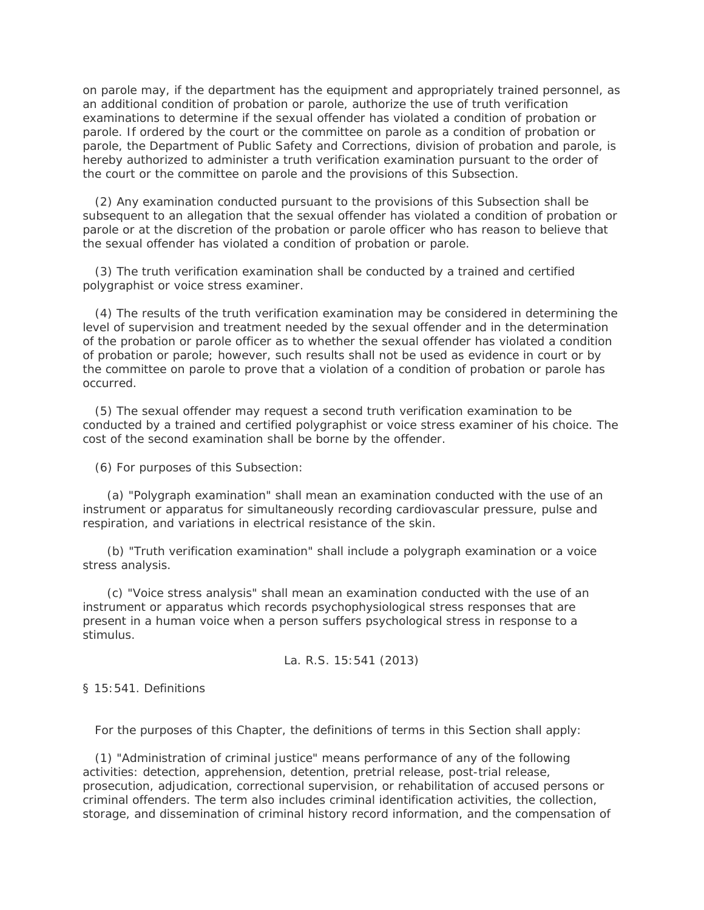on parole may, if the department has the equipment and appropriately trained personnel, as an additional condition of probation or parole, authorize the use of truth verification examinations to determine if the sexual offender has violated a condition of probation or parole. If ordered by the court or the committee on parole as a condition of probation or parole, the Department of Public Safety and Corrections, division of probation and parole, is hereby authorized to administer a truth verification examination pursuant to the order of the court or the committee on parole and the provisions of this Subsection.

 (2) Any examination conducted pursuant to the provisions of this Subsection shall be subsequent to an allegation that the sexual offender has violated a condition of probation or parole or at the discretion of the probation or parole officer who has reason to believe that the sexual offender has violated a condition of probation or parole.

 (3) The truth verification examination shall be conducted by a trained and certified polygraphist or voice stress examiner.

 (4) The results of the truth verification examination may be considered in determining the level of supervision and treatment needed by the sexual offender and in the determination of the probation or parole officer as to whether the sexual offender has violated a condition of probation or parole; however, such results shall not be used as evidence in court or by the committee on parole to prove that a violation of a condition of probation or parole has occurred.

 (5) The sexual offender may request a second truth verification examination to be conducted by a trained and certified polygraphist or voice stress examiner of his choice. The cost of the second examination shall be borne by the offender.

(6) For purposes of this Subsection:

 (a) "Polygraph examination" shall mean an examination conducted with the use of an instrument or apparatus for simultaneously recording cardiovascular pressure, pulse and respiration, and variations in electrical resistance of the skin.

 (b) "Truth verification examination" shall include a polygraph examination or a voice stress analysis.

 (c) "Voice stress analysis" shall mean an examination conducted with the use of an instrument or apparatus which records psychophysiological stress responses that are present in a human voice when a person suffers psychological stress in response to a stimulus.

La. R.S. 15:541 (2013)

§ 15:541. Definitions

For the purposes of this Chapter, the definitions of terms in this Section shall apply:

 (1) "Administration of criminal justice" means performance of any of the following activities: detection, apprehension, detention, pretrial release, post-trial release, prosecution, adjudication, correctional supervision, or rehabilitation of accused persons or criminal offenders. The term also includes criminal identification activities, the collection, storage, and dissemination of criminal history record information, and the compensation of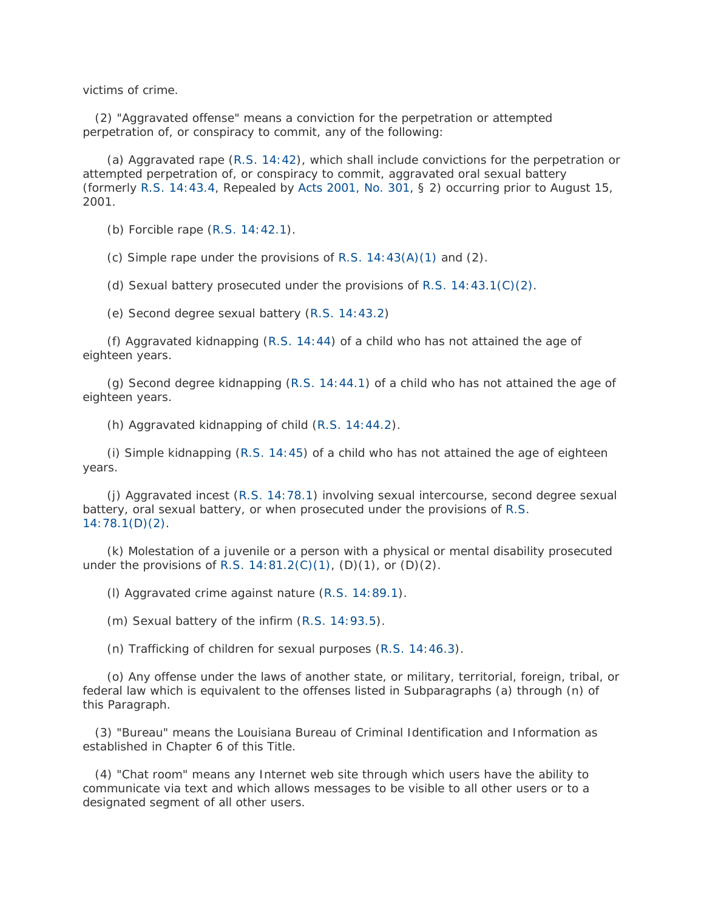victims of crime.

 (2) "Aggravated offense" means a conviction for the perpetration or attempted perpetration of, or conspiracy to commit, any of the following:

 (a) Aggravated rape [\(R.S. 14:42\)](http://www.lexis.com/research/buttonTFLink?_m=9feb72c4c47e4f821e683736cd86d279&_xfercite=%3ccite%20cc%3d%22USA%22%3e%3c%21%5bCDATA%5bLa.%20R.S.%2015%3a541%5d%5d%3e%3c%2fcite%3e&_butType=4&_butStat=0&_butNum=2&_butInline=1&_butinfo=LACODE%2014%3a42&_fmtstr=FULL&docnum=1&_startdoc=1&wchp=dGLzVzB-zSkAW&_md5=e00d8a1f2f51f8faffe957c280738000), which shall include convictions for the perpetration or attempted perpetration of, or conspiracy to commit, aggravated oral sexual battery (formerly [R.S. 14:43.4,](http://www.lexis.com/research/buttonTFLink?_m=9feb72c4c47e4f821e683736cd86d279&_xfercite=%3ccite%20cc%3d%22USA%22%3e%3c%21%5bCDATA%5bLa.%20R.S.%2015%3a541%5d%5d%3e%3c%2fcite%3e&_butType=4&_butStat=0&_butNum=3&_butInline=1&_butinfo=LACODE%2014%3a43.4&_fmtstr=FULL&docnum=1&_startdoc=1&wchp=dGLzVzB-zSkAW&_md5=def600a8e8ca466a64dca0547c56267e) Repealed by [Acts 2001, No. 301,](http://www.lexis.com/research/buttonLink?_m=9feb72c4c47e4f821e683736cd86d279&_xfercite=%3ccite%20cc%3d%22USA%22%3e%3c%21%5bCDATA%5bLa.%20R.S.%2015%3a541%5d%5d%3e%3c%2fcite%3e&_butType=1&_butStat=0&_butNum=4&_butInline=1&_butinfo=LXE_2001_LA_ALS_301&_fmtstr=FULL&docnum=1&_startdoc=1&wchp=dGLzVzB-zSkAW&_md5=3f7fedba425df63f1b359bfb21af8c1f) § 2) occurring prior to August 15, 2001.

(b) Forcible rape [\(R.S. 14:42.1\)](http://www.lexis.com/research/buttonTFLink?_m=9feb72c4c47e4f821e683736cd86d279&_xfercite=%3ccite%20cc%3d%22USA%22%3e%3c%21%5bCDATA%5bLa.%20R.S.%2015%3a541%5d%5d%3e%3c%2fcite%3e&_butType=4&_butStat=0&_butNum=5&_butInline=1&_butinfo=LACODE%2014%3a42.1&_fmtstr=FULL&docnum=1&_startdoc=1&wchp=dGLzVzB-zSkAW&_md5=177fe8d5d44cfcc9a934d4a501cd6222).

(c) Simple rape under the provisions of R.S.  $14:43(A)(1)$  and  $(2)$ .

(d) Sexual battery prosecuted under the provisions of R.S.  $14:43.1(C)(2)$ .

(e) Second degree sexual battery [\(R.S. 14:43.2\)](http://www.lexis.com/research/buttonTFLink?_m=9feb72c4c47e4f821e683736cd86d279&_xfercite=%3ccite%20cc%3d%22USA%22%3e%3c%21%5bCDATA%5bLa.%20R.S.%2015%3a541%5d%5d%3e%3c%2fcite%3e&_butType=4&_butStat=0&_butNum=8&_butInline=1&_butinfo=LACODE%2014%3a43.2&_fmtstr=FULL&docnum=1&_startdoc=1&wchp=dGLzVzB-zSkAW&_md5=4f3e1076cb9feb36d3c2f61cf73ff813)

 (f) Aggravated kidnapping [\(R.S. 14:44\)](http://www.lexis.com/research/buttonTFLink?_m=9feb72c4c47e4f821e683736cd86d279&_xfercite=%3ccite%20cc%3d%22USA%22%3e%3c%21%5bCDATA%5bLa.%20R.S.%2015%3a541%5d%5d%3e%3c%2fcite%3e&_butType=4&_butStat=0&_butNum=9&_butInline=1&_butinfo=LACODE%2014%3a44&_fmtstr=FULL&docnum=1&_startdoc=1&wchp=dGLzVzB-zSkAW&_md5=30d4b6f83ebd3909adbe605504ab7bc5) of a child who has not attained the age of eighteen years.

 (g) Second degree kidnapping [\(R.S. 14:44.1\)](http://www.lexis.com/research/buttonTFLink?_m=9feb72c4c47e4f821e683736cd86d279&_xfercite=%3ccite%20cc%3d%22USA%22%3e%3c%21%5bCDATA%5bLa.%20R.S.%2015%3a541%5d%5d%3e%3c%2fcite%3e&_butType=4&_butStat=0&_butNum=10&_butInline=1&_butinfo=LACODE%2014%3a44.1&_fmtstr=FULL&docnum=1&_startdoc=1&wchp=dGLzVzB-zSkAW&_md5=241e67145842494c6dfab36101324a6e) of a child who has not attained the age of eighteen years.

(h) Aggravated kidnapping of child [\(R.S. 14:44.2\)](http://www.lexis.com/research/buttonTFLink?_m=9feb72c4c47e4f821e683736cd86d279&_xfercite=%3ccite%20cc%3d%22USA%22%3e%3c%21%5bCDATA%5bLa.%20R.S.%2015%3a541%5d%5d%3e%3c%2fcite%3e&_butType=4&_butStat=0&_butNum=11&_butInline=1&_butinfo=LACODE%2014%3a44.2&_fmtstr=FULL&docnum=1&_startdoc=1&wchp=dGLzVzB-zSkAW&_md5=48548760918324266bd325f14b9087db).

 (i) Simple kidnapping [\(R.S. 14:45\)](http://www.lexis.com/research/buttonTFLink?_m=9feb72c4c47e4f821e683736cd86d279&_xfercite=%3ccite%20cc%3d%22USA%22%3e%3c%21%5bCDATA%5bLa.%20R.S.%2015%3a541%5d%5d%3e%3c%2fcite%3e&_butType=4&_butStat=0&_butNum=12&_butInline=1&_butinfo=LACODE%2014%3a45&_fmtstr=FULL&docnum=1&_startdoc=1&wchp=dGLzVzB-zSkAW&_md5=ba642a466f418674a12b092bb9bb4542) of a child who has not attained the age of eighteen years.

 (j) Aggravated incest [\(R.S. 14:78.1\)](http://www.lexis.com/research/buttonTFLink?_m=9feb72c4c47e4f821e683736cd86d279&_xfercite=%3ccite%20cc%3d%22USA%22%3e%3c%21%5bCDATA%5bLa.%20R.S.%2015%3a541%5d%5d%3e%3c%2fcite%3e&_butType=4&_butStat=0&_butNum=13&_butInline=1&_butinfo=LACODE%2014%3a78.1&_fmtstr=FULL&docnum=1&_startdoc=1&wchp=dGLzVzB-zSkAW&_md5=7f460dd1c5f8766213b9c5a737cbcfac) involving sexual intercourse, second degree sexual battery, oral sexual battery, or when prosecuted under the provisions of [R.S.](http://www.lexis.com/research/buttonTFLink?_m=9feb72c4c47e4f821e683736cd86d279&_xfercite=%3ccite%20cc%3d%22USA%22%3e%3c%21%5bCDATA%5bLa.%20R.S.%2015%3a541%5d%5d%3e%3c%2fcite%3e&_butType=4&_butStat=0&_butNum=14&_butInline=1&_butinfo=LACODE%2014%3a78.1&_fmtstr=FULL&docnum=1&_startdoc=1&wchp=dGLzVzB-zSkAW&_md5=8133c24cf980ea14b707b3c4b5a8d9d6)  [14:78.1\(D\)\(2\).](http://www.lexis.com/research/buttonTFLink?_m=9feb72c4c47e4f821e683736cd86d279&_xfercite=%3ccite%20cc%3d%22USA%22%3e%3c%21%5bCDATA%5bLa.%20R.S.%2015%3a541%5d%5d%3e%3c%2fcite%3e&_butType=4&_butStat=0&_butNum=14&_butInline=1&_butinfo=LACODE%2014%3a78.1&_fmtstr=FULL&docnum=1&_startdoc=1&wchp=dGLzVzB-zSkAW&_md5=8133c24cf980ea14b707b3c4b5a8d9d6)

 (k) Molestation of a juvenile or a person with a physical or mental disability prosecuted under the provisions of R.S.  $14:81.2(C)(1)$ ,  $(D)(1)$ , or  $(D)(2)$ .

(l) Aggravated crime against nature [\(R.S. 14:89.1\)](http://www.lexis.com/research/buttonTFLink?_m=9feb72c4c47e4f821e683736cd86d279&_xfercite=%3ccite%20cc%3d%22USA%22%3e%3c%21%5bCDATA%5bLa.%20R.S.%2015%3a541%5d%5d%3e%3c%2fcite%3e&_butType=4&_butStat=0&_butNum=16&_butInline=1&_butinfo=LACODE%2014%3a89.1&_fmtstr=FULL&docnum=1&_startdoc=1&wchp=dGLzVzB-zSkAW&_md5=3d69dcbee2e05e5ff7bd428d534837d1).

(m) Sexual battery of the infirm [\(R.S. 14:93.5\)](http://www.lexis.com/research/buttonTFLink?_m=9feb72c4c47e4f821e683736cd86d279&_xfercite=%3ccite%20cc%3d%22USA%22%3e%3c%21%5bCDATA%5bLa.%20R.S.%2015%3a541%5d%5d%3e%3c%2fcite%3e&_butType=4&_butStat=0&_butNum=17&_butInline=1&_butinfo=LACODE%2014%3a93.5&_fmtstr=FULL&docnum=1&_startdoc=1&wchp=dGLzVzB-zSkAW&_md5=7482c5224a4513c6f1ff55163cf1add2).

(n) Trafficking of children for sexual purposes [\(R.S. 14:46.3\)](http://www.lexis.com/research/buttonTFLink?_m=9feb72c4c47e4f821e683736cd86d279&_xfercite=%3ccite%20cc%3d%22USA%22%3e%3c%21%5bCDATA%5bLa.%20R.S.%2015%3a541%5d%5d%3e%3c%2fcite%3e&_butType=4&_butStat=0&_butNum=18&_butInline=1&_butinfo=LACODE%2014%3a46.3&_fmtstr=FULL&docnum=1&_startdoc=1&wchp=dGLzVzB-zSkAW&_md5=4d0e739781d888923f763390ceee778a).

 (o) Any offense under the laws of another state, or military, territorial, foreign, tribal, or federal law which is equivalent to the offenses listed in Subparagraphs (a) through (n) of this Paragraph.

 (3) "Bureau" means the Louisiana Bureau of Criminal Identification and Information as established in Chapter 6 of this Title.

 (4) "Chat room" means any Internet web site through which users have the ability to communicate via text and which allows messages to be visible to all other users or to a designated segment of all other users.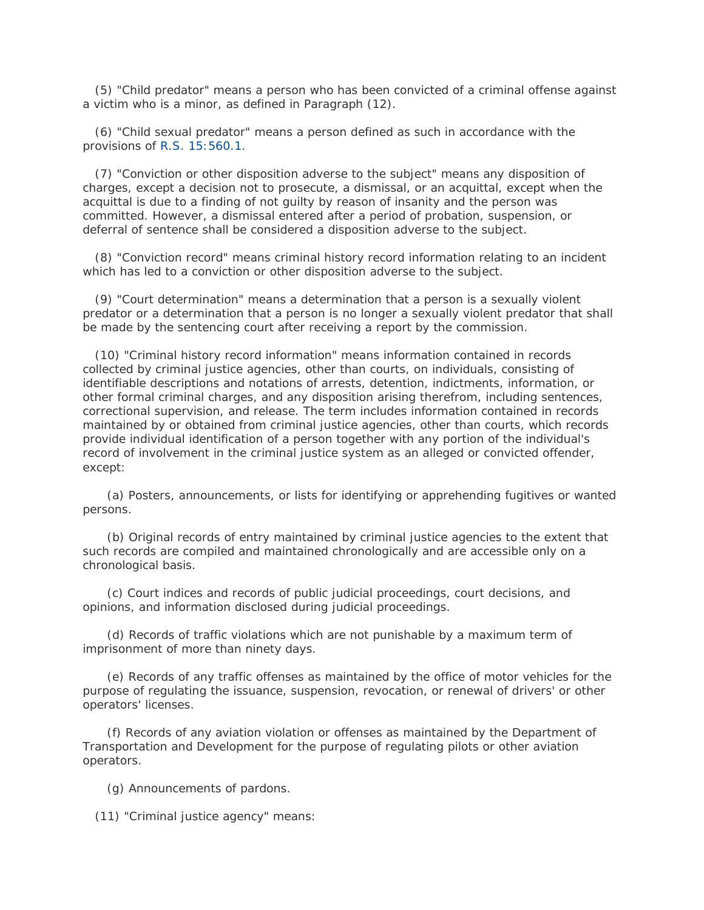(5) "Child predator" means a person who has been convicted of a criminal offense against a victim who is a minor, as defined in Paragraph (12).

 (6) "Child sexual predator" means a person defined as such in accordance with the provisions of R.S. [15:560.1.](http://www.lexis.com/research/buttonTFLink?_m=9feb72c4c47e4f821e683736cd86d279&_xfercite=%3ccite%20cc%3d%22USA%22%3e%3c%21%5bCDATA%5bLa.%20R.S.%2015%3a541%5d%5d%3e%3c%2fcite%3e&_butType=4&_butStat=0&_butNum=19&_butInline=1&_butinfo=LACODE%2015%3a560.1&_fmtstr=FULL&docnum=1&_startdoc=1&wchp=dGLzVzB-zSkAW&_md5=09a7054be28052fe11f3caee900e3811)

 (7) "Conviction or other disposition adverse to the subject" means any disposition of charges, except a decision not to prosecute, a dismissal, or an acquittal, except when the acquittal is due to a finding of not guilty by reason of insanity and the person was committed. However, a dismissal entered after a period of probation, suspension, or deferral of sentence shall be considered a disposition adverse to the subject.

 (8) "Conviction record" means criminal history record information relating to an incident which has led to a conviction or other disposition adverse to the subject.

 (9) "Court determination" means a determination that a person is a sexually violent predator or a determination that a person is no longer a sexually violent predator that shall be made by the sentencing court after receiving a report by the commission.

 (10) "Criminal history record information" means information contained in records collected by criminal justice agencies, other than courts, on individuals, consisting of identifiable descriptions and notations of arrests, detention, indictments, information, or other formal criminal charges, and any disposition arising therefrom, including sentences, correctional supervision, and release. The term includes information contained in records maintained by or obtained from criminal justice agencies, other than courts, which records provide individual identification of a person together with any portion of the individual's record of involvement in the criminal justice system as an alleged or convicted offender, except:

 (a) Posters, announcements, or lists for identifying or apprehending fugitives or wanted persons.

 (b) Original records of entry maintained by criminal justice agencies to the extent that such records are compiled and maintained chronologically and are accessible only on a chronological basis.

 (c) Court indices and records of public judicial proceedings, court decisions, and opinions, and information disclosed during judicial proceedings.

 (d) Records of traffic violations which are not punishable by a maximum term of imprisonment of more than ninety days.

 (e) Records of any traffic offenses as maintained by the office of motor vehicles for the purpose of regulating the issuance, suspension, revocation, or renewal of drivers' or other operators' licenses.

 (f) Records of any aviation violation or offenses as maintained by the Department of Transportation and Development for the purpose of regulating pilots or other aviation operators.

(g) Announcements of pardons.

(11) "Criminal justice agency" means: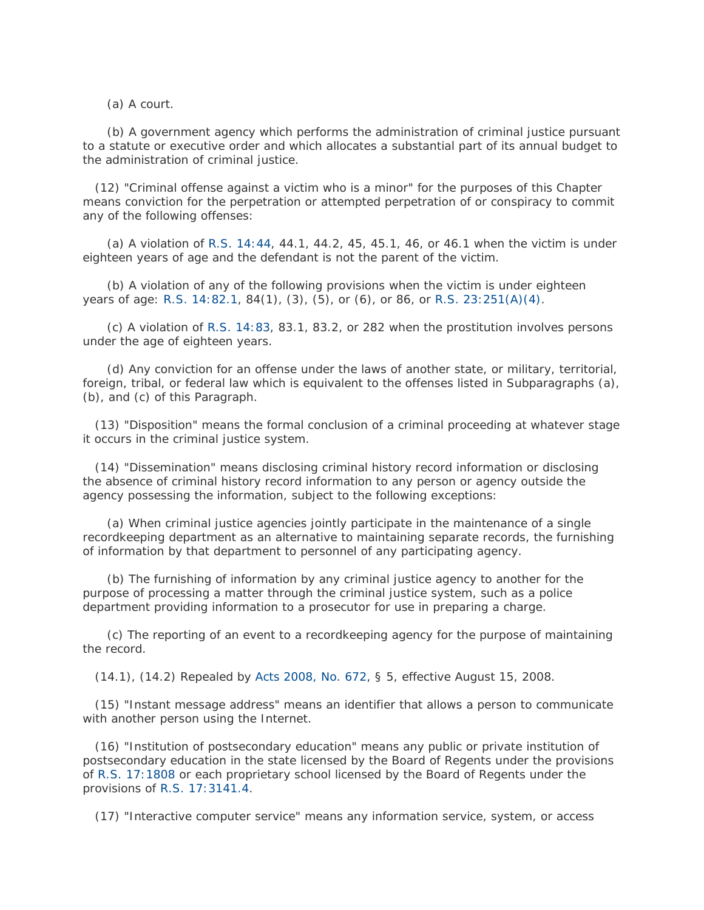(a) A court.

 (b) A government agency which performs the administration of criminal justice pursuant to a statute or executive order and which allocates a substantial part of its annual budget to the administration of criminal justice.

 (12) "Criminal offense against a victim who is a minor" for the purposes of this Chapter means conviction for the perpetration or attempted perpetration of or conspiracy to commit any of the following offenses:

 (a) A violation of [R.S. 14:44,](http://www.lexis.com/research/buttonTFLink?_m=9feb72c4c47e4f821e683736cd86d279&_xfercite=%3ccite%20cc%3d%22USA%22%3e%3c%21%5bCDATA%5bLa.%20R.S.%2015%3a541%5d%5d%3e%3c%2fcite%3e&_butType=4&_butStat=0&_butNum=20&_butInline=1&_butinfo=LACODE%2014%3a44&_fmtstr=FULL&docnum=1&_startdoc=1&wchp=dGLzVzB-zSkAW&_md5=8c2eae601f395bbf5b7ce37524645889) 44.1, 44.2, 45, 45.1, 46, or 46.1 when the victim is under eighteen years of age and the defendant is not the parent of the victim.

 (b) A violation of any of the following provisions when the victim is under eighteen years of age: [R.S. 14:82.1,](http://www.lexis.com/research/buttonTFLink?_m=9feb72c4c47e4f821e683736cd86d279&_xfercite=%3ccite%20cc%3d%22USA%22%3e%3c%21%5bCDATA%5bLa.%20R.S.%2015%3a541%5d%5d%3e%3c%2fcite%3e&_butType=4&_butStat=0&_butNum=21&_butInline=1&_butinfo=LACODE%2014%3a82.1&_fmtstr=FULL&docnum=1&_startdoc=1&wchp=dGLzVzB-zSkAW&_md5=13811aa4a732a48c1696f16c0b0b5e6c) 84(1), (3), (5), or (6), or 86, or [R.S. 23:251\(A\)\(4\).](http://www.lexis.com/research/buttonTFLink?_m=9feb72c4c47e4f821e683736cd86d279&_xfercite=%3ccite%20cc%3d%22USA%22%3e%3c%21%5bCDATA%5bLa.%20R.S.%2015%3a541%5d%5d%3e%3c%2fcite%3e&_butType=4&_butStat=0&_butNum=22&_butInline=1&_butinfo=LACODE%2023%3a251&_fmtstr=FULL&docnum=1&_startdoc=1&wchp=dGLzVzB-zSkAW&_md5=7b3c08f036f0005b0ff1211bcea714d8)

 (c) A violation of [R.S. 14:83,](http://www.lexis.com/research/buttonTFLink?_m=9feb72c4c47e4f821e683736cd86d279&_xfercite=%3ccite%20cc%3d%22USA%22%3e%3c%21%5bCDATA%5bLa.%20R.S.%2015%3a541%5d%5d%3e%3c%2fcite%3e&_butType=4&_butStat=0&_butNum=23&_butInline=1&_butinfo=LACODE%2014%3a83&_fmtstr=FULL&docnum=1&_startdoc=1&wchp=dGLzVzB-zSkAW&_md5=0fc5d4bc0447f276d580024a8a035e67) 83.1, 83.2, or 282 when the prostitution involves persons under the age of eighteen years.

 (d) Any conviction for an offense under the laws of another state, or military, territorial, foreign, tribal, or federal law which is equivalent to the offenses listed in Subparagraphs (a), (b), and (c) of this Paragraph.

 (13) "Disposition" means the formal conclusion of a criminal proceeding at whatever stage it occurs in the criminal justice system.

 (14) "Dissemination" means disclosing criminal history record information or disclosing the absence of criminal history record information to any person or agency outside the agency possessing the information, subject to the following exceptions:

 (a) When criminal justice agencies jointly participate in the maintenance of a single recordkeeping department as an alternative to maintaining separate records, the furnishing of information by that department to personnel of any participating agency.

 (b) The furnishing of information by any criminal justice agency to another for the purpose of processing a matter through the criminal justice system, such as a police department providing information to a prosecutor for use in preparing a charge.

 (c) The reporting of an event to a recordkeeping agency for the purpose of maintaining the record.

(14.1), (14.2) Repealed by [Acts 2008, No. 672,](http://www.lexis.com/research/buttonLink?_m=9feb72c4c47e4f821e683736cd86d279&_xfercite=%3ccite%20cc%3d%22USA%22%3e%3c%21%5bCDATA%5bLa.%20R.S.%2015%3a541%5d%5d%3e%3c%2fcite%3e&_butType=1&_butStat=0&_butNum=24&_butInline=1&_butinfo=LXE_2008_LA_ALS_672&_fmtstr=FULL&docnum=1&_startdoc=1&wchp=dGLzVzB-zSkAW&_md5=2e849b925a791c37b0fecd9600b1fb1e) § 5, effective August 15, 2008.

 (15) "Instant message address" means an identifier that allows a person to communicate with another person using the Internet.

 (16) "Institution of postsecondary education" means any public or private institution of postsecondary education in the state licensed by the Board of Regents under the provisions of [R.S. 17:1808](http://www.lexis.com/research/buttonTFLink?_m=9feb72c4c47e4f821e683736cd86d279&_xfercite=%3ccite%20cc%3d%22USA%22%3e%3c%21%5bCDATA%5bLa.%20R.S.%2015%3a541%5d%5d%3e%3c%2fcite%3e&_butType=4&_butStat=0&_butNum=25&_butInline=1&_butinfo=LACODE%2017%3a1808&_fmtstr=FULL&docnum=1&_startdoc=1&wchp=dGLzVzB-zSkAW&_md5=3a3d12a5bc904aa68c0db6b1374c8c9d) or each proprietary school licensed by the Board of Regents under the provisions of [R.S. 17:3141.4.](http://www.lexis.com/research/buttonTFLink?_m=9feb72c4c47e4f821e683736cd86d279&_xfercite=%3ccite%20cc%3d%22USA%22%3e%3c%21%5bCDATA%5bLa.%20R.S.%2015%3a541%5d%5d%3e%3c%2fcite%3e&_butType=4&_butStat=0&_butNum=26&_butInline=1&_butinfo=LACODE%2017%3a3141.4&_fmtstr=FULL&docnum=1&_startdoc=1&wchp=dGLzVzB-zSkAW&_md5=4705668ff7e16a8fad96702f304f68e9)

(17) "Interactive computer service" means any information service, system, or access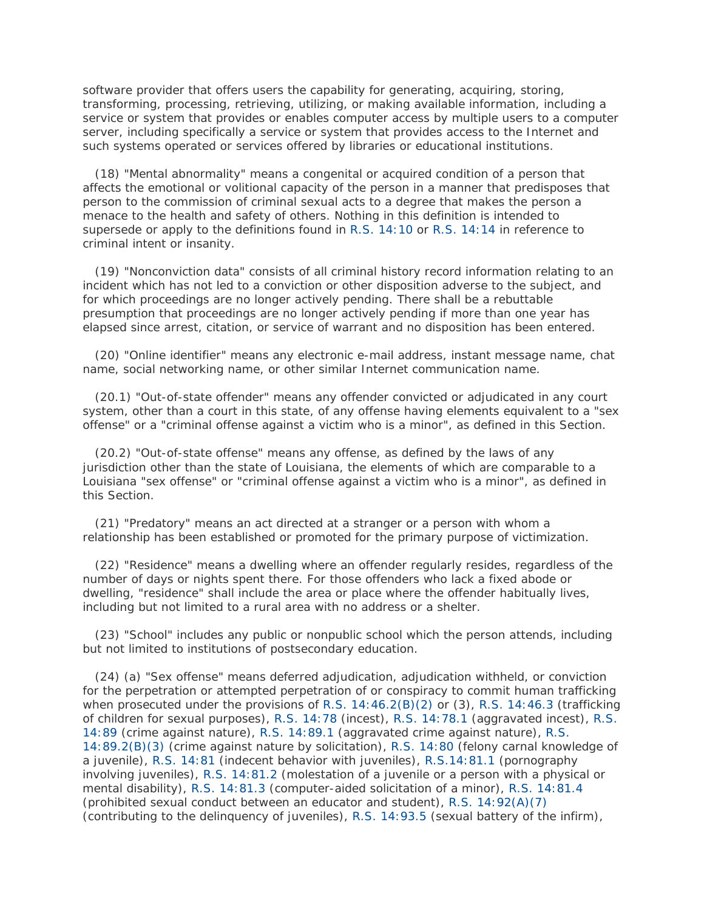software provider that offers users the capability for generating, acquiring, storing, transforming, processing, retrieving, utilizing, or making available information, including a service or system that provides or enables computer access by multiple users to a computer server, including specifically a service or system that provides access to the Internet and such systems operated or services offered by libraries or educational institutions.

 (18) "Mental abnormality" means a congenital or acquired condition of a person that affects the emotional or volitional capacity of the person in a manner that predisposes that person to the commission of criminal sexual acts to a degree that makes the person a menace to the health and safety of others. Nothing in this definition is intended to supersede or apply to the definitions found in [R.S. 14:10](http://www.lexis.com/research/buttonTFLink?_m=9feb72c4c47e4f821e683736cd86d279&_xfercite=%3ccite%20cc%3d%22USA%22%3e%3c%21%5bCDATA%5bLa.%20R.S.%2015%3a541%5d%5d%3e%3c%2fcite%3e&_butType=4&_butStat=0&_butNum=27&_butInline=1&_butinfo=LACODE%2014%3a10&_fmtstr=FULL&docnum=1&_startdoc=1&wchp=dGLzVzB-zSkAW&_md5=031dd05be37a668ad79453a66803819e) or [R.S. 14:14](http://www.lexis.com/research/buttonTFLink?_m=9feb72c4c47e4f821e683736cd86d279&_xfercite=%3ccite%20cc%3d%22USA%22%3e%3c%21%5bCDATA%5bLa.%20R.S.%2015%3a541%5d%5d%3e%3c%2fcite%3e&_butType=4&_butStat=0&_butNum=28&_butInline=1&_butinfo=LACODE%2014%3a14&_fmtstr=FULL&docnum=1&_startdoc=1&wchp=dGLzVzB-zSkAW&_md5=6ea51d9fd377afe7f5cc91d2a621c04e) in reference to criminal intent or insanity.

 (19) "Nonconviction data" consists of all criminal history record information relating to an incident which has not led to a conviction or other disposition adverse to the subject, and for which proceedings are no longer actively pending. There shall be a rebuttable presumption that proceedings are no longer actively pending if more than one year has elapsed since arrest, citation, or service of warrant and no disposition has been entered.

 (20) "Online identifier" means any electronic e-mail address, instant message name, chat name, social networking name, or other similar Internet communication name.

 (20.1) "Out-of-state offender" means any offender convicted or adjudicated in any court system, other than a court in this state, of any offense having elements equivalent to a "sex offense" or a "criminal offense against a victim who is a minor", as defined in this Section.

 (20.2) "Out-of-state offense" means any offense, as defined by the laws of any jurisdiction other than the state of Louisiana, the elements of which are comparable to a Louisiana "sex offense" or "criminal offense against a victim who is a minor", as defined in this Section.

 (21) "Predatory" means an act directed at a stranger or a person with whom a relationship has been established or promoted for the primary purpose of victimization.

 (22) "Residence" means a dwelling where an offender regularly resides, regardless of the number of days or nights spent there. For those offenders who lack a fixed abode or dwelling, "residence" shall include the area or place where the offender habitually lives, including but not limited to a rural area with no address or a shelter.

 (23) "School" includes any public or nonpublic school which the person attends, including but not limited to institutions of postsecondary education.

 (24) (a) "Sex offense" means deferred adjudication, adjudication withheld, or conviction for the perpetration or attempted perpetration of or conspiracy to commit human trafficking when prosecuted under the provisions of [R.S. 14:46.2\(B\)\(2\)](http://www.lexis.com/research/buttonTFLink?_m=9feb72c4c47e4f821e683736cd86d279&_xfercite=%3ccite%20cc%3d%22USA%22%3e%3c%21%5bCDATA%5bLa.%20R.S.%2015%3a541%5d%5d%3e%3c%2fcite%3e&_butType=4&_butStat=0&_butNum=29&_butInline=1&_butinfo=LACODE%2014%3a46.2&_fmtstr=FULL&docnum=1&_startdoc=1&wchp=dGLzVzB-zSkAW&_md5=fee649ee4ada55ccd218694078b520e4) or (3), [R.S. 14:46.3](http://www.lexis.com/research/buttonTFLink?_m=9feb72c4c47e4f821e683736cd86d279&_xfercite=%3ccite%20cc%3d%22USA%22%3e%3c%21%5bCDATA%5bLa.%20R.S.%2015%3a541%5d%5d%3e%3c%2fcite%3e&_butType=4&_butStat=0&_butNum=30&_butInline=1&_butinfo=LACODE%2014%3a46.3&_fmtstr=FULL&docnum=1&_startdoc=1&wchp=dGLzVzB-zSkAW&_md5=86fa5e74d4bf554a3585eb957ac21fa2) (trafficking of children for sexual purposes), [R.S. 14:78](http://www.lexis.com/research/buttonTFLink?_m=9feb72c4c47e4f821e683736cd86d279&_xfercite=%3ccite%20cc%3d%22USA%22%3e%3c%21%5bCDATA%5bLa.%20R.S.%2015%3a541%5d%5d%3e%3c%2fcite%3e&_butType=4&_butStat=0&_butNum=31&_butInline=1&_butinfo=LACODE%2014%3a78&_fmtstr=FULL&docnum=1&_startdoc=1&wchp=dGLzVzB-zSkAW&_md5=ea2c99d701f309ff4ebfe35334933d75) (incest), [R.S. 14:78.1](http://www.lexis.com/research/buttonTFLink?_m=9feb72c4c47e4f821e683736cd86d279&_xfercite=%3ccite%20cc%3d%22USA%22%3e%3c%21%5bCDATA%5bLa.%20R.S.%2015%3a541%5d%5d%3e%3c%2fcite%3e&_butType=4&_butStat=0&_butNum=32&_butInline=1&_butinfo=LACODE%2014%3a78.1&_fmtstr=FULL&docnum=1&_startdoc=1&wchp=dGLzVzB-zSkAW&_md5=9dddd2b8a64c7bed605e7c42ab6caa2c) (aggravated incest), [R.S.](http://www.lexis.com/research/buttonTFLink?_m=9feb72c4c47e4f821e683736cd86d279&_xfercite=%3ccite%20cc%3d%22USA%22%3e%3c%21%5bCDATA%5bLa.%20R.S.%2015%3a541%5d%5d%3e%3c%2fcite%3e&_butType=4&_butStat=0&_butNum=33&_butInline=1&_butinfo=LACODE%2014%3a89&_fmtstr=FULL&docnum=1&_startdoc=1&wchp=dGLzVzB-zSkAW&_md5=39fe3812d93eed73ed6bde4bd95de821) [14:89](http://www.lexis.com/research/buttonTFLink?_m=9feb72c4c47e4f821e683736cd86d279&_xfercite=%3ccite%20cc%3d%22USA%22%3e%3c%21%5bCDATA%5bLa.%20R.S.%2015%3a541%5d%5d%3e%3c%2fcite%3e&_butType=4&_butStat=0&_butNum=33&_butInline=1&_butinfo=LACODE%2014%3a89&_fmtstr=FULL&docnum=1&_startdoc=1&wchp=dGLzVzB-zSkAW&_md5=39fe3812d93eed73ed6bde4bd95de821) (crime against nature), [R.S. 14:89.1](http://www.lexis.com/research/buttonTFLink?_m=9feb72c4c47e4f821e683736cd86d279&_xfercite=%3ccite%20cc%3d%22USA%22%3e%3c%21%5bCDATA%5bLa.%20R.S.%2015%3a541%5d%5d%3e%3c%2fcite%3e&_butType=4&_butStat=0&_butNum=34&_butInline=1&_butinfo=LACODE%2014%3a89.1&_fmtstr=FULL&docnum=1&_startdoc=1&wchp=dGLzVzB-zSkAW&_md5=cc72b1ee3a7dae464afa5a54f321ed01) (aggravated crime against nature), [R.S.](http://www.lexis.com/research/buttonTFLink?_m=9feb72c4c47e4f821e683736cd86d279&_xfercite=%3ccite%20cc%3d%22USA%22%3e%3c%21%5bCDATA%5bLa.%20R.S.%2015%3a541%5d%5d%3e%3c%2fcite%3e&_butType=4&_butStat=0&_butNum=35&_butInline=1&_butinfo=LACODE%2014%3a89.2&_fmtstr=FULL&docnum=1&_startdoc=1&wchp=dGLzVzB-zSkAW&_md5=a83dc2229ceb1cc7584c431854a1bf31)  [14:89.2\(B\)\(3\)](http://www.lexis.com/research/buttonTFLink?_m=9feb72c4c47e4f821e683736cd86d279&_xfercite=%3ccite%20cc%3d%22USA%22%3e%3c%21%5bCDATA%5bLa.%20R.S.%2015%3a541%5d%5d%3e%3c%2fcite%3e&_butType=4&_butStat=0&_butNum=35&_butInline=1&_butinfo=LACODE%2014%3a89.2&_fmtstr=FULL&docnum=1&_startdoc=1&wchp=dGLzVzB-zSkAW&_md5=a83dc2229ceb1cc7584c431854a1bf31) (crime against nature by solicitation), [R.S. 14:80](http://www.lexis.com/research/buttonTFLink?_m=9feb72c4c47e4f821e683736cd86d279&_xfercite=%3ccite%20cc%3d%22USA%22%3e%3c%21%5bCDATA%5bLa.%20R.S.%2015%3a541%5d%5d%3e%3c%2fcite%3e&_butType=4&_butStat=0&_butNum=36&_butInline=1&_butinfo=LACODE%2014%3a80&_fmtstr=FULL&docnum=1&_startdoc=1&wchp=dGLzVzB-zSkAW&_md5=b5edb02cb396ee7c52bbced41606657b) (felony carnal knowledge of a juvenile), [R.S. 14:81](http://www.lexis.com/research/buttonTFLink?_m=9feb72c4c47e4f821e683736cd86d279&_xfercite=%3ccite%20cc%3d%22USA%22%3e%3c%21%5bCDATA%5bLa.%20R.S.%2015%3a541%5d%5d%3e%3c%2fcite%3e&_butType=4&_butStat=0&_butNum=37&_butInline=1&_butinfo=LACODE%2014%3a81&_fmtstr=FULL&docnum=1&_startdoc=1&wchp=dGLzVzB-zSkAW&_md5=984878e99219e07c8e2851a1d672177b) (indecent behavior with juveniles), [R.S.14:81.1](http://www.lexis.com/research/buttonTFLink?_m=9feb72c4c47e4f821e683736cd86d279&_xfercite=%3ccite%20cc%3d%22USA%22%3e%3c%21%5bCDATA%5bLa.%20R.S.%2015%3a541%5d%5d%3e%3c%2fcite%3e&_butType=4&_butStat=0&_butNum=38&_butInline=1&_butinfo=LACODE%2014%3a81.1&_fmtstr=FULL&docnum=1&_startdoc=1&wchp=dGLzVzB-zSkAW&_md5=3c22a2ad968712ad9dc629266c332571) (pornography involving juveniles), [R.S. 14:81.2](http://www.lexis.com/research/buttonTFLink?_m=9feb72c4c47e4f821e683736cd86d279&_xfercite=%3ccite%20cc%3d%22USA%22%3e%3c%21%5bCDATA%5bLa.%20R.S.%2015%3a541%5d%5d%3e%3c%2fcite%3e&_butType=4&_butStat=0&_butNum=39&_butInline=1&_butinfo=LACODE%2014%3a81.2&_fmtstr=FULL&docnum=1&_startdoc=1&wchp=dGLzVzB-zSkAW&_md5=526ad9cfa983bb050e308fcc3bc8ffa8) (molestation of a juvenile or a person with a physical or mental disability), [R.S. 14:81.3](http://www.lexis.com/research/buttonTFLink?_m=9feb72c4c47e4f821e683736cd86d279&_xfercite=%3ccite%20cc%3d%22USA%22%3e%3c%21%5bCDATA%5bLa.%20R.S.%2015%3a541%5d%5d%3e%3c%2fcite%3e&_butType=4&_butStat=0&_butNum=40&_butInline=1&_butinfo=LACODE%2014%3a81.3&_fmtstr=FULL&docnum=1&_startdoc=1&wchp=dGLzVzB-zSkAW&_md5=e6b2d0bee707419015f8d86473bc2f8e) (computer-aided solicitation of a minor), [R.S. 14:81.4](http://www.lexis.com/research/buttonTFLink?_m=9feb72c4c47e4f821e683736cd86d279&_xfercite=%3ccite%20cc%3d%22USA%22%3e%3c%21%5bCDATA%5bLa.%20R.S.%2015%3a541%5d%5d%3e%3c%2fcite%3e&_butType=4&_butStat=0&_butNum=41&_butInline=1&_butinfo=LACODE%2014%3a81.4&_fmtstr=FULL&docnum=1&_startdoc=1&wchp=dGLzVzB-zSkAW&_md5=522b3b0129e4abd5b49c306699254a3b) (prohibited sexual conduct between an educator and student), [R.S. 14:92\(A\)\(7\)](http://www.lexis.com/research/buttonTFLink?_m=9feb72c4c47e4f821e683736cd86d279&_xfercite=%3ccite%20cc%3d%22USA%22%3e%3c%21%5bCDATA%5bLa.%20R.S.%2015%3a541%5d%5d%3e%3c%2fcite%3e&_butType=4&_butStat=0&_butNum=42&_butInline=1&_butinfo=LACODE%2014%3a92&_fmtstr=FULL&docnum=1&_startdoc=1&wchp=dGLzVzB-zSkAW&_md5=ea603bb1e67b173e951f3edeb063f16b) (contributing to the delinquency of juveniles), [R.S. 14:93.5](http://www.lexis.com/research/buttonTFLink?_m=9feb72c4c47e4f821e683736cd86d279&_xfercite=%3ccite%20cc%3d%22USA%22%3e%3c%21%5bCDATA%5bLa.%20R.S.%2015%3a541%5d%5d%3e%3c%2fcite%3e&_butType=4&_butStat=0&_butNum=43&_butInline=1&_butinfo=LACODE%2014%3a93.5&_fmtstr=FULL&docnum=1&_startdoc=1&wchp=dGLzVzB-zSkAW&_md5=8077910905f1d374e2577aca861bdbb4) (sexual battery of the infirm),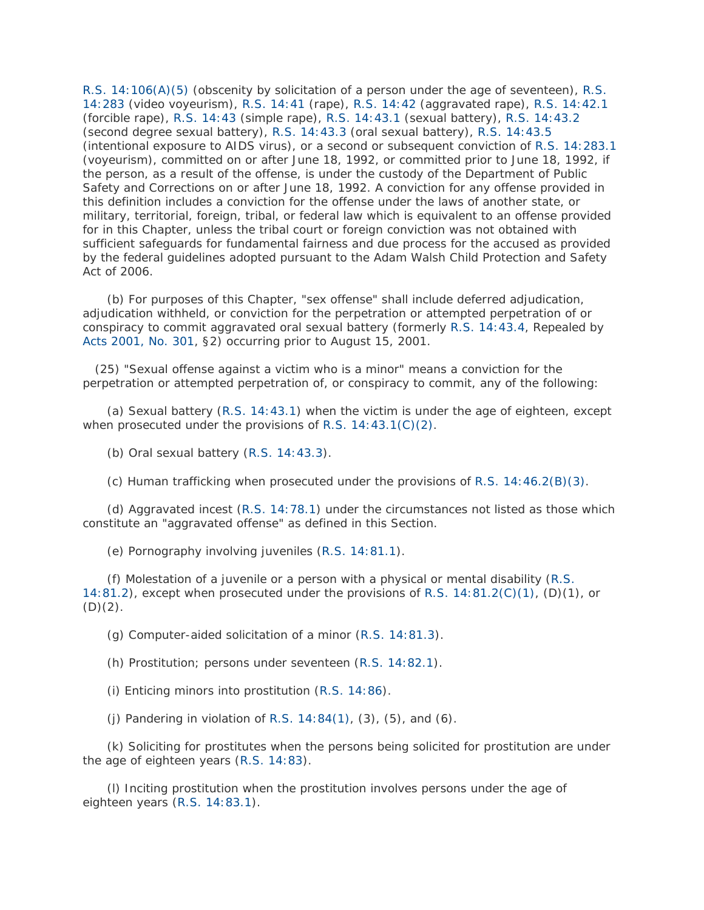[R.S. 14:106\(A\)\(5\)](http://www.lexis.com/research/buttonTFLink?_m=9feb72c4c47e4f821e683736cd86d279&_xfercite=%3ccite%20cc%3d%22USA%22%3e%3c%21%5bCDATA%5bLa.%20R.S.%2015%3a541%5d%5d%3e%3c%2fcite%3e&_butType=4&_butStat=0&_butNum=44&_butInline=1&_butinfo=LACODE%2014%3a106&_fmtstr=FULL&docnum=1&_startdoc=1&wchp=dGLzVzB-zSkAW&_md5=2758e23bd1a4595dd484f0562f5a1c49) (obscenity by solicitation of a person under the age of seventeen), [R.S.](http://www.lexis.com/research/buttonTFLink?_m=9feb72c4c47e4f821e683736cd86d279&_xfercite=%3ccite%20cc%3d%22USA%22%3e%3c%21%5bCDATA%5bLa.%20R.S.%2015%3a541%5d%5d%3e%3c%2fcite%3e&_butType=4&_butStat=0&_butNum=45&_butInline=1&_butinfo=LACODE%2014%3a283&_fmtstr=FULL&docnum=1&_startdoc=1&wchp=dGLzVzB-zSkAW&_md5=033532ee3df7854689c9ec933b332187)  [14:283](http://www.lexis.com/research/buttonTFLink?_m=9feb72c4c47e4f821e683736cd86d279&_xfercite=%3ccite%20cc%3d%22USA%22%3e%3c%21%5bCDATA%5bLa.%20R.S.%2015%3a541%5d%5d%3e%3c%2fcite%3e&_butType=4&_butStat=0&_butNum=45&_butInline=1&_butinfo=LACODE%2014%3a283&_fmtstr=FULL&docnum=1&_startdoc=1&wchp=dGLzVzB-zSkAW&_md5=033532ee3df7854689c9ec933b332187) (video voyeurism), [R.S. 14:41](http://www.lexis.com/research/buttonTFLink?_m=9feb72c4c47e4f821e683736cd86d279&_xfercite=%3ccite%20cc%3d%22USA%22%3e%3c%21%5bCDATA%5bLa.%20R.S.%2015%3a541%5d%5d%3e%3c%2fcite%3e&_butType=4&_butStat=0&_butNum=46&_butInline=1&_butinfo=LACODE%2014%3a41&_fmtstr=FULL&docnum=1&_startdoc=1&wchp=dGLzVzB-zSkAW&_md5=368fd7160429b6b2a797f362c75a42d5) (rape), [R.S. 14:42](http://www.lexis.com/research/buttonTFLink?_m=9feb72c4c47e4f821e683736cd86d279&_xfercite=%3ccite%20cc%3d%22USA%22%3e%3c%21%5bCDATA%5bLa.%20R.S.%2015%3a541%5d%5d%3e%3c%2fcite%3e&_butType=4&_butStat=0&_butNum=47&_butInline=1&_butinfo=LACODE%2014%3a42&_fmtstr=FULL&docnum=1&_startdoc=1&wchp=dGLzVzB-zSkAW&_md5=29fe74d99dc662ea858224aca553cfc9) (aggravated rape), [R.S. 14:42.1](http://www.lexis.com/research/buttonTFLink?_m=9feb72c4c47e4f821e683736cd86d279&_xfercite=%3ccite%20cc%3d%22USA%22%3e%3c%21%5bCDATA%5bLa.%20R.S.%2015%3a541%5d%5d%3e%3c%2fcite%3e&_butType=4&_butStat=0&_butNum=48&_butInline=1&_butinfo=LACODE%2014%3a42.1&_fmtstr=FULL&docnum=1&_startdoc=1&wchp=dGLzVzB-zSkAW&_md5=348f00b714fee11b53445f7adfaa2a0b) (forcible rape), [R.S. 14:43](http://www.lexis.com/research/buttonTFLink?_m=9feb72c4c47e4f821e683736cd86d279&_xfercite=%3ccite%20cc%3d%22USA%22%3e%3c%21%5bCDATA%5bLa.%20R.S.%2015%3a541%5d%5d%3e%3c%2fcite%3e&_butType=4&_butStat=0&_butNum=49&_butInline=1&_butinfo=LACODE%2014%3a43&_fmtstr=FULL&docnum=1&_startdoc=1&wchp=dGLzVzB-zSkAW&_md5=78565fb097d863b744fd82ee4ff811f3) (simple rape), [R.S. 14:43.1](http://www.lexis.com/research/buttonTFLink?_m=9feb72c4c47e4f821e683736cd86d279&_xfercite=%3ccite%20cc%3d%22USA%22%3e%3c%21%5bCDATA%5bLa.%20R.S.%2015%3a541%5d%5d%3e%3c%2fcite%3e&_butType=4&_butStat=0&_butNum=50&_butInline=1&_butinfo=LACODE%2014%3a43.1&_fmtstr=FULL&docnum=1&_startdoc=1&wchp=dGLzVzB-zSkAW&_md5=c7d64333ff8fcc8431db172803101bea) (sexual battery), [R.S. 14:43.2](http://www.lexis.com/research/buttonTFLink?_m=9feb72c4c47e4f821e683736cd86d279&_xfercite=%3ccite%20cc%3d%22USA%22%3e%3c%21%5bCDATA%5bLa.%20R.S.%2015%3a541%5d%5d%3e%3c%2fcite%3e&_butType=4&_butStat=0&_butNum=51&_butInline=1&_butinfo=LACODE%2014%3a43.2&_fmtstr=FULL&docnum=1&_startdoc=1&wchp=dGLzVzB-zSkAW&_md5=54f2c4b285dd03ae23c4cc94af6acc11) (second degree sexual battery), [R.S. 14:43.3](http://www.lexis.com/research/buttonTFLink?_m=9feb72c4c47e4f821e683736cd86d279&_xfercite=%3ccite%20cc%3d%22USA%22%3e%3c%21%5bCDATA%5bLa.%20R.S.%2015%3a541%5d%5d%3e%3c%2fcite%3e&_butType=4&_butStat=0&_butNum=52&_butInline=1&_butinfo=LACODE%2014%3a43.3&_fmtstr=FULL&docnum=1&_startdoc=1&wchp=dGLzVzB-zSkAW&_md5=5b81ef20bbdae2a5eb1b9551f301ce9c) (oral sexual battery), [R.S. 14:43.5](http://www.lexis.com/research/buttonTFLink?_m=9feb72c4c47e4f821e683736cd86d279&_xfercite=%3ccite%20cc%3d%22USA%22%3e%3c%21%5bCDATA%5bLa.%20R.S.%2015%3a541%5d%5d%3e%3c%2fcite%3e&_butType=4&_butStat=0&_butNum=53&_butInline=1&_butinfo=LACODE%2014%3a43.5&_fmtstr=FULL&docnum=1&_startdoc=1&wchp=dGLzVzB-zSkAW&_md5=363de604fcaa06000a85386a7b5c95da) (intentional exposure to AIDS virus), or a second or subsequent conviction of [R.S. 14:283.1](http://www.lexis.com/research/buttonTFLink?_m=9feb72c4c47e4f821e683736cd86d279&_xfercite=%3ccite%20cc%3d%22USA%22%3e%3c%21%5bCDATA%5bLa.%20R.S.%2015%3a541%5d%5d%3e%3c%2fcite%3e&_butType=4&_butStat=0&_butNum=54&_butInline=1&_butinfo=LACODE%2014%3a283.1&_fmtstr=FULL&docnum=1&_startdoc=1&wchp=dGLzVzB-zSkAW&_md5=01dd94b0095a470410c3f250256e1eae) (voyeurism), committed on or after June 18, 1992, or committed prior to June 18, 1992, if the person, as a result of the offense, is under the custody of the Department of Public Safety and Corrections on or after June 18, 1992. A conviction for any offense provided in this definition includes a conviction for the offense under the laws of another state, or military, territorial, foreign, tribal, or federal law which is equivalent to an offense provided for in this Chapter, unless the tribal court or foreign conviction was not obtained with sufficient safeguards for fundamental fairness and due process for the accused as provided by the federal guidelines adopted pursuant to the Adam Walsh Child Protection and Safety Act of 2006.

 (b) For purposes of this Chapter, "sex offense" shall include deferred adjudication, adjudication withheld, or conviction for the perpetration or attempted perpetration of or conspiracy to commit aggravated oral sexual battery (formerly [R.S. 14:43.4,](http://www.lexis.com/research/buttonTFLink?_m=9feb72c4c47e4f821e683736cd86d279&_xfercite=%3ccite%20cc%3d%22USA%22%3e%3c%21%5bCDATA%5bLa.%20R.S.%2015%3a541%5d%5d%3e%3c%2fcite%3e&_butType=4&_butStat=0&_butNum=55&_butInline=1&_butinfo=LACODE%2014%3a43.4&_fmtstr=FULL&docnum=1&_startdoc=1&wchp=dGLzVzB-zSkAW&_md5=92c0973b33b631ab3caa49ad8bc68de8) Repealed by [Acts 2001, No. 301,](http://www.lexis.com/research/buttonLink?_m=9feb72c4c47e4f821e683736cd86d279&_xfercite=%3ccite%20cc%3d%22USA%22%3e%3c%21%5bCDATA%5bLa.%20R.S.%2015%3a541%5d%5d%3e%3c%2fcite%3e&_butType=1&_butStat=0&_butNum=56&_butInline=1&_butinfo=LXE_2001_LA_ALS_301&_fmtstr=FULL&docnum=1&_startdoc=1&wchp=dGLzVzB-zSkAW&_md5=3f2e47740ce88f356fc115ff867b5093) §2) occurring prior to August 15, 2001.

 (25) "Sexual offense against a victim who is a minor" means a conviction for the perpetration or attempted perpetration of, or conspiracy to commit, any of the following:

 (a) Sexual battery [\(R.S. 14:43.1\)](http://www.lexis.com/research/buttonTFLink?_m=9feb72c4c47e4f821e683736cd86d279&_xfercite=%3ccite%20cc%3d%22USA%22%3e%3c%21%5bCDATA%5bLa.%20R.S.%2015%3a541%5d%5d%3e%3c%2fcite%3e&_butType=4&_butStat=0&_butNum=57&_butInline=1&_butinfo=LACODE%2014%3a43.1&_fmtstr=FULL&docnum=1&_startdoc=1&wchp=dGLzVzB-zSkAW&_md5=7c8e325ea387173893b055b868f38691) when the victim is under the age of eighteen, except when prosecuted under the provisions of [R.S. 14:43.1\(C\)\(2\).](http://www.lexis.com/research/buttonTFLink?_m=9feb72c4c47e4f821e683736cd86d279&_xfercite=%3ccite%20cc%3d%22USA%22%3e%3c%21%5bCDATA%5bLa.%20R.S.%2015%3a541%5d%5d%3e%3c%2fcite%3e&_butType=4&_butStat=0&_butNum=58&_butInline=1&_butinfo=LACODE%2014%3a43.1&_fmtstr=FULL&docnum=1&_startdoc=1&wchp=dGLzVzB-zSkAW&_md5=a343182654fa6501d0948f07c6175d20)

(b) Oral sexual battery [\(R.S. 14:43.3\)](http://www.lexis.com/research/buttonTFLink?_m=9feb72c4c47e4f821e683736cd86d279&_xfercite=%3ccite%20cc%3d%22USA%22%3e%3c%21%5bCDATA%5bLa.%20R.S.%2015%3a541%5d%5d%3e%3c%2fcite%3e&_butType=4&_butStat=0&_butNum=59&_butInline=1&_butinfo=LACODE%2014%3a43.3&_fmtstr=FULL&docnum=1&_startdoc=1&wchp=dGLzVzB-zSkAW&_md5=bdae38cfe3d2e2441dfb5c3c8233ab52).

(c) Human trafficking when prosecuted under the provisions of R.S.  $14:46.2(B)(3)$ .

 (d) Aggravated incest [\(R.S. 14:78.1\)](http://www.lexis.com/research/buttonTFLink?_m=9feb72c4c47e4f821e683736cd86d279&_xfercite=%3ccite%20cc%3d%22USA%22%3e%3c%21%5bCDATA%5bLa.%20R.S.%2015%3a541%5d%5d%3e%3c%2fcite%3e&_butType=4&_butStat=0&_butNum=61&_butInline=1&_butinfo=LACODE%2014%3a78.1&_fmtstr=FULL&docnum=1&_startdoc=1&wchp=dGLzVzB-zSkAW&_md5=51b948b685cb784db0569a13d1cafbb9) under the circumstances not listed as those which constitute an "aggravated offense" as defined in this Section.

(e) Pornography involving juveniles [\(R.S. 14:81.1\)](http://www.lexis.com/research/buttonTFLink?_m=9feb72c4c47e4f821e683736cd86d279&_xfercite=%3ccite%20cc%3d%22USA%22%3e%3c%21%5bCDATA%5bLa.%20R.S.%2015%3a541%5d%5d%3e%3c%2fcite%3e&_butType=4&_butStat=0&_butNum=62&_butInline=1&_butinfo=LACODE%2014%3a81.1&_fmtstr=FULL&docnum=1&_startdoc=1&wchp=dGLzVzB-zSkAW&_md5=c64216e3ed14d405e4228dfbfd225ea3).

 (f) Molestation of a juvenile or a person with a physical or mental disability [\(R.S.](http://www.lexis.com/research/buttonTFLink?_m=9feb72c4c47e4f821e683736cd86d279&_xfercite=%3ccite%20cc%3d%22USA%22%3e%3c%21%5bCDATA%5bLa.%20R.S.%2015%3a541%5d%5d%3e%3c%2fcite%3e&_butType=4&_butStat=0&_butNum=63&_butInline=1&_butinfo=LACODE%2014%3a81.2&_fmtstr=FULL&docnum=1&_startdoc=1&wchp=dGLzVzB-zSkAW&_md5=cfe0a24c06c91b0eeab237d629900866)  [14:81.2\)](http://www.lexis.com/research/buttonTFLink?_m=9feb72c4c47e4f821e683736cd86d279&_xfercite=%3ccite%20cc%3d%22USA%22%3e%3c%21%5bCDATA%5bLa.%20R.S.%2015%3a541%5d%5d%3e%3c%2fcite%3e&_butType=4&_butStat=0&_butNum=63&_butInline=1&_butinfo=LACODE%2014%3a81.2&_fmtstr=FULL&docnum=1&_startdoc=1&wchp=dGLzVzB-zSkAW&_md5=cfe0a24c06c91b0eeab237d629900866), except when prosecuted under the provisions of R.S.  $14:81.2(C)(1)$ ,  $(D)(1)$ , or  $(D)(2)$ .

(g) Computer-aided solicitation of a minor [\(R.S. 14:81.3\)](http://www.lexis.com/research/buttonTFLink?_m=9feb72c4c47e4f821e683736cd86d279&_xfercite=%3ccite%20cc%3d%22USA%22%3e%3c%21%5bCDATA%5bLa.%20R.S.%2015%3a541%5d%5d%3e%3c%2fcite%3e&_butType=4&_butStat=0&_butNum=65&_butInline=1&_butinfo=LACODE%2014%3a81.3&_fmtstr=FULL&docnum=1&_startdoc=1&wchp=dGLzVzB-zSkAW&_md5=82f32c60aea929e616111548cb82094d).

(h) Prostitution; persons under seventeen [\(R.S. 14:82.1\)](http://www.lexis.com/research/buttonTFLink?_m=9feb72c4c47e4f821e683736cd86d279&_xfercite=%3ccite%20cc%3d%22USA%22%3e%3c%21%5bCDATA%5bLa.%20R.S.%2015%3a541%5d%5d%3e%3c%2fcite%3e&_butType=4&_butStat=0&_butNum=66&_butInline=1&_butinfo=LACODE%2014%3a82.1&_fmtstr=FULL&docnum=1&_startdoc=1&wchp=dGLzVzB-zSkAW&_md5=bdd82a35edfb95cc8fd73235a123023f).

(i) Enticing minors into prostitution [\(R.S. 14:86\)](http://www.lexis.com/research/buttonTFLink?_m=9feb72c4c47e4f821e683736cd86d279&_xfercite=%3ccite%20cc%3d%22USA%22%3e%3c%21%5bCDATA%5bLa.%20R.S.%2015%3a541%5d%5d%3e%3c%2fcite%3e&_butType=4&_butStat=0&_butNum=67&_butInline=1&_butinfo=LACODE%2014%3a86&_fmtstr=FULL&docnum=1&_startdoc=1&wchp=dGLzVzB-zSkAW&_md5=4c47a9477402d771212b403c437d5daa).

(j) Pandering in violation of R.S.  $14:84(1)$ ,  $(3)$ ,  $(5)$ , and  $(6)$ .

 (k) Soliciting for prostitutes when the persons being solicited for prostitution are under the age of eighteen years [\(R.S. 14:83\)](http://www.lexis.com/research/buttonTFLink?_m=9feb72c4c47e4f821e683736cd86d279&_xfercite=%3ccite%20cc%3d%22USA%22%3e%3c%21%5bCDATA%5bLa.%20R.S.%2015%3a541%5d%5d%3e%3c%2fcite%3e&_butType=4&_butStat=0&_butNum=69&_butInline=1&_butinfo=LACODE%2014%3a83&_fmtstr=FULL&docnum=1&_startdoc=1&wchp=dGLzVzB-zSkAW&_md5=2eade9692d7bea719c9142808f184b01).

 (l) Inciting prostitution when the prostitution involves persons under the age of eighteen years [\(R.S. 14:83.1\)](http://www.lexis.com/research/buttonTFLink?_m=9feb72c4c47e4f821e683736cd86d279&_xfercite=%3ccite%20cc%3d%22USA%22%3e%3c%21%5bCDATA%5bLa.%20R.S.%2015%3a541%5d%5d%3e%3c%2fcite%3e&_butType=4&_butStat=0&_butNum=70&_butInline=1&_butinfo=LACODE%2014%3a83.1&_fmtstr=FULL&docnum=1&_startdoc=1&wchp=dGLzVzB-zSkAW&_md5=91eebb99ff8e8ccfbecf1afd47dd0a6a).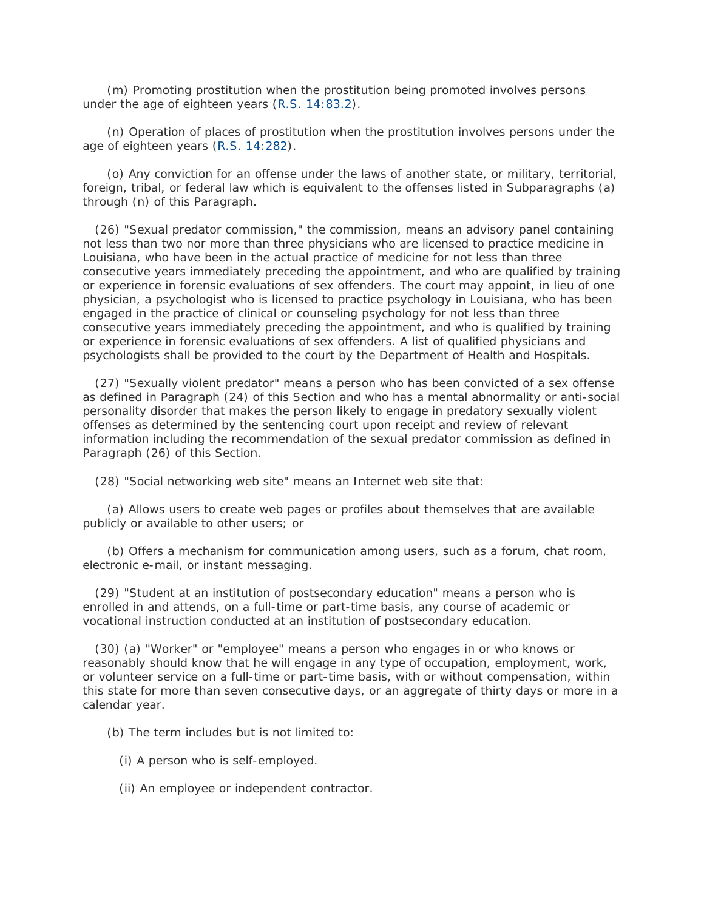(m) Promoting prostitution when the prostitution being promoted involves persons under the age of eighteen years [\(R.S. 14:83.2\)](http://www.lexis.com/research/buttonTFLink?_m=9feb72c4c47e4f821e683736cd86d279&_xfercite=%3ccite%20cc%3d%22USA%22%3e%3c%21%5bCDATA%5bLa.%20R.S.%2015%3a541%5d%5d%3e%3c%2fcite%3e&_butType=4&_butStat=0&_butNum=71&_butInline=1&_butinfo=LACODE%2014%3a83.2&_fmtstr=FULL&docnum=1&_startdoc=1&wchp=dGLzVzB-zSkAW&_md5=215d361f520bb2a8179cbb34ea3bab29).

 (n) Operation of places of prostitution when the prostitution involves persons under the age of eighteen years [\(R.S. 14:282\)](http://www.lexis.com/research/buttonTFLink?_m=9feb72c4c47e4f821e683736cd86d279&_xfercite=%3ccite%20cc%3d%22USA%22%3e%3c%21%5bCDATA%5bLa.%20R.S.%2015%3a541%5d%5d%3e%3c%2fcite%3e&_butType=4&_butStat=0&_butNum=72&_butInline=1&_butinfo=LACODE%2014%3a282&_fmtstr=FULL&docnum=1&_startdoc=1&wchp=dGLzVzB-zSkAW&_md5=51ed70de7bc846cd773dcfd29d6aa4da).

 (o) Any conviction for an offense under the laws of another state, or military, territorial, foreign, tribal, or federal law which is equivalent to the offenses listed in Subparagraphs (a) through (n) of this Paragraph.

 (26) "Sexual predator commission," the commission, means an advisory panel containing not less than two nor more than three physicians who are licensed to practice medicine in Louisiana, who have been in the actual practice of medicine for not less than three consecutive years immediately preceding the appointment, and who are qualified by training or experience in forensic evaluations of sex offenders. The court may appoint, in lieu of one physician, a psychologist who is licensed to practice psychology in Louisiana, who has been engaged in the practice of clinical or counseling psychology for not less than three consecutive years immediately preceding the appointment, and who is qualified by training or experience in forensic evaluations of sex offenders. A list of qualified physicians and psychologists shall be provided to the court by the Department of Health and Hospitals.

 (27) "Sexually violent predator" means a person who has been convicted of a sex offense as defined in Paragraph (24) of this Section and who has a mental abnormality or anti-social personality disorder that makes the person likely to engage in predatory sexually violent offenses as determined by the sentencing court upon receipt and review of relevant information including the recommendation of the sexual predator commission as defined in Paragraph (26) of this Section.

(28) "Social networking web site" means an Internet web site that:

 (a) Allows users to create web pages or profiles about themselves that are available publicly or available to other users; or

 (b) Offers a mechanism for communication among users, such as a forum, chat room, electronic e-mail, or instant messaging.

 (29) "Student at an institution of postsecondary education" means a person who is enrolled in and attends, on a full-time or part-time basis, any course of academic or vocational instruction conducted at an institution of postsecondary education.

 (30) (a) "Worker" or "employee" means a person who engages in or who knows or reasonably should know that he will engage in any type of occupation, employment, work, or volunteer service on a full-time or part-time basis, with or without compensation, within this state for more than seven consecutive days, or an aggregate of thirty days or more in a calendar year.

(b) The term includes but is not limited to:

- (i) A person who is self-employed.
- (ii) An employee or independent contractor.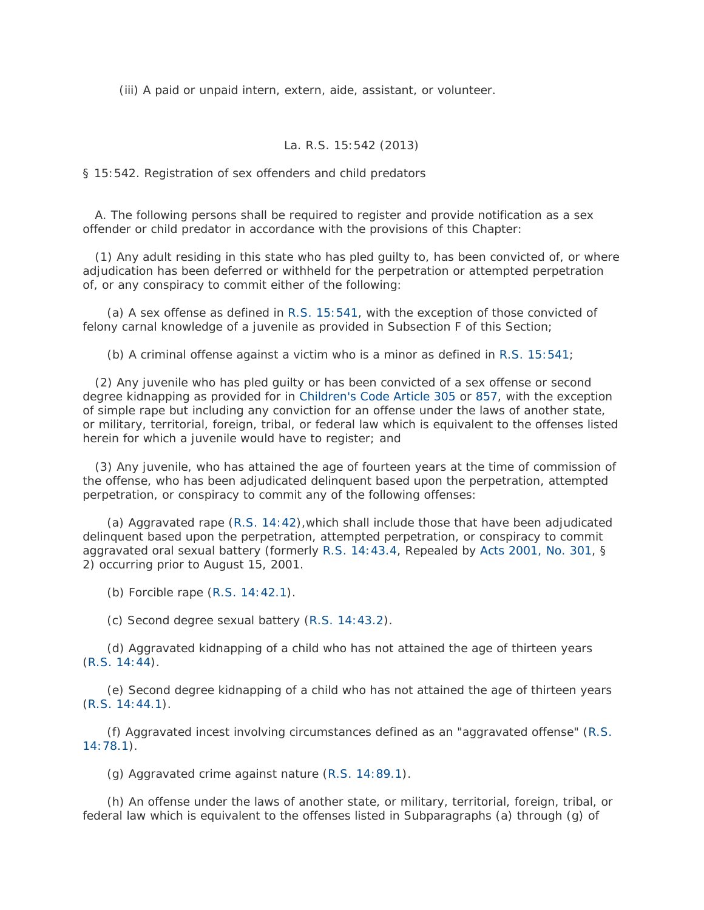(iii) A paid or unpaid intern, extern, aide, assistant, or volunteer.

## La. R.S. 15:542 (2013)

§ 15:542. Registration of sex offenders and child predators

 A. The following persons shall be required to register and provide notification as a sex offender or child predator in accordance with the provisions of this Chapter:

 (1) Any adult residing in this state who has pled guilty to, has been convicted of, or where adjudication has been deferred or withheld for the perpetration or attempted perpetration of, or any conspiracy to commit either of the following:

 (a) A sex offense as defined in [R.S. 15:541,](http://www.lexis.com/research/buttonTFLink?_m=9787f0703c101a0f35d5688b5f031cac&_xfercite=%3ccite%20cc%3d%22USA%22%3e%3c%21%5bCDATA%5bLa.%20R.S.%2015%3a542%5d%5d%3e%3c%2fcite%3e&_butType=4&_butStat=0&_butNum=2&_butInline=1&_butinfo=LACODE%2015%3a541&_fmtstr=FULL&docnum=1&_startdoc=1&wchp=dGLzVzB-zSkAW&_md5=9ca996931f6a6b01a409ef95d482a250) with the exception of those convicted of felony carnal knowledge of a juvenile as provided in Subsection F of this Section;

(b) A criminal offense against a victim who is a minor as defined in [R.S. 15:541;](http://www.lexis.com/research/buttonTFLink?_m=9787f0703c101a0f35d5688b5f031cac&_xfercite=%3ccite%20cc%3d%22USA%22%3e%3c%21%5bCDATA%5bLa.%20R.S.%2015%3a542%5d%5d%3e%3c%2fcite%3e&_butType=4&_butStat=0&_butNum=3&_butInline=1&_butinfo=LACODE%2015%3a541&_fmtstr=FULL&docnum=1&_startdoc=1&wchp=dGLzVzB-zSkAW&_md5=98abada7cad465db9b3fb76dfc123b13)

 (2) Any juvenile who has pled guilty or has been convicted of a sex offense or second degree kidnapping as provided for in [Children's Code Article 305](http://www.lexis.com/research/buttonTFLink?_m=9787f0703c101a0f35d5688b5f031cac&_xfercite=%3ccite%20cc%3d%22USA%22%3e%3c%21%5bCDATA%5bLa.%20R.S.%2015%3a542%5d%5d%3e%3c%2fcite%3e&_butType=4&_butStat=0&_butNum=4&_butInline=1&_butinfo=LA%20CH%20C%20305&_fmtstr=FULL&docnum=1&_startdoc=1&wchp=dGLzVzB-zSkAW&_md5=30f6cfff5885ac9d34d4d565ca91cbf1) or [857,](http://www.lexis.com/research/buttonTFLink?_m=9787f0703c101a0f35d5688b5f031cac&_xfercite=%3ccite%20cc%3d%22USA%22%3e%3c%21%5bCDATA%5bLa.%20R.S.%2015%3a542%5d%5d%3e%3c%2fcite%3e&_butType=4&_butStat=0&_butNum=5&_butInline=1&_butinfo=LA%20CH%20C%20857&_fmtstr=FULL&docnum=1&_startdoc=1&wchp=dGLzVzB-zSkAW&_md5=512d15c2c6613ca03c728917b8e6d7e7) with the exception of simple rape but including any conviction for an offense under the laws of another state, or military, territorial, foreign, tribal, or federal law which is equivalent to the offenses listed herein for which a juvenile would have to register; and

 (3) Any juvenile, who has attained the age of fourteen years at the time of commission of the offense, who has been adjudicated delinquent based upon the perpetration, attempted perpetration, or conspiracy to commit any of the following offenses:

 (a) Aggravated rape [\(R.S. 14:42\)](http://www.lexis.com/research/buttonTFLink?_m=9787f0703c101a0f35d5688b5f031cac&_xfercite=%3ccite%20cc%3d%22USA%22%3e%3c%21%5bCDATA%5bLa.%20R.S.%2015%3a542%5d%5d%3e%3c%2fcite%3e&_butType=4&_butStat=0&_butNum=6&_butInline=1&_butinfo=LACODE%2014%3a42&_fmtstr=FULL&docnum=1&_startdoc=1&wchp=dGLzVzB-zSkAW&_md5=0d1068e6297638171894ec53eb0612f9),which shall include those that have been adjudicated delinquent based upon the perpetration, attempted perpetration, or conspiracy to commit aggravated oral sexual battery (formerly [R.S. 14:43.4,](http://www.lexis.com/research/buttonTFLink?_m=9787f0703c101a0f35d5688b5f031cac&_xfercite=%3ccite%20cc%3d%22USA%22%3e%3c%21%5bCDATA%5bLa.%20R.S.%2015%3a542%5d%5d%3e%3c%2fcite%3e&_butType=4&_butStat=0&_butNum=7&_butInline=1&_butinfo=LACODE%2014%3a43.4&_fmtstr=FULL&docnum=1&_startdoc=1&wchp=dGLzVzB-zSkAW&_md5=cefc00c032e632f48458e47d1be11987) Repealed by [Acts 2001, No. 301,](http://www.lexis.com/research/buttonLink?_m=9787f0703c101a0f35d5688b5f031cac&_xfercite=%3ccite%20cc%3d%22USA%22%3e%3c%21%5bCDATA%5bLa.%20R.S.%2015%3a542%5d%5d%3e%3c%2fcite%3e&_butType=1&_butStat=0&_butNum=8&_butInline=1&_butinfo=LXE_2001_LA_ALS_301&_fmtstr=FULL&docnum=1&_startdoc=1&wchp=dGLzVzB-zSkAW&_md5=97224ee6e20a14c127e55a071704841e) § 2) occurring prior to August 15, 2001.

(b) Forcible rape [\(R.S. 14:42.1\)](http://www.lexis.com/research/buttonTFLink?_m=9787f0703c101a0f35d5688b5f031cac&_xfercite=%3ccite%20cc%3d%22USA%22%3e%3c%21%5bCDATA%5bLa.%20R.S.%2015%3a542%5d%5d%3e%3c%2fcite%3e&_butType=4&_butStat=0&_butNum=9&_butInline=1&_butinfo=LACODE%2014%3a42.1&_fmtstr=FULL&docnum=1&_startdoc=1&wchp=dGLzVzB-zSkAW&_md5=c2ebd5b4d47313bf0a0fc10cdc635538).

(c) Second degree sexual battery [\(R.S. 14:43.2\)](http://www.lexis.com/research/buttonTFLink?_m=9787f0703c101a0f35d5688b5f031cac&_xfercite=%3ccite%20cc%3d%22USA%22%3e%3c%21%5bCDATA%5bLa.%20R.S.%2015%3a542%5d%5d%3e%3c%2fcite%3e&_butType=4&_butStat=0&_butNum=10&_butInline=1&_butinfo=LACODE%2014%3a43.2&_fmtstr=FULL&docnum=1&_startdoc=1&wchp=dGLzVzB-zSkAW&_md5=afdd99e4dc05579f7dc17b983e3b4190).

 (d) Aggravated kidnapping of a child who has not attained the age of thirteen years [\(R.S. 14:44\)](http://www.lexis.com/research/buttonTFLink?_m=9787f0703c101a0f35d5688b5f031cac&_xfercite=%3ccite%20cc%3d%22USA%22%3e%3c%21%5bCDATA%5bLa.%20R.S.%2015%3a542%5d%5d%3e%3c%2fcite%3e&_butType=4&_butStat=0&_butNum=11&_butInline=1&_butinfo=LACODE%2014%3a44&_fmtstr=FULL&docnum=1&_startdoc=1&wchp=dGLzVzB-zSkAW&_md5=7f60ba2a4d8577a392e24eb8b9ad724d).

 (e) Second degree kidnapping of a child who has not attained the age of thirteen years [\(R.S. 14:44.1\)](http://www.lexis.com/research/buttonTFLink?_m=9787f0703c101a0f35d5688b5f031cac&_xfercite=%3ccite%20cc%3d%22USA%22%3e%3c%21%5bCDATA%5bLa.%20R.S.%2015%3a542%5d%5d%3e%3c%2fcite%3e&_butType=4&_butStat=0&_butNum=12&_butInline=1&_butinfo=LACODE%2014%3a44.1&_fmtstr=FULL&docnum=1&_startdoc=1&wchp=dGLzVzB-zSkAW&_md5=683bb19f16f5c1f528a0ad7e2c7c8e14).

 (f) Aggravated incest involving circumstances defined as an "aggravated offense" [\(R.S.](http://www.lexis.com/research/buttonTFLink?_m=9787f0703c101a0f35d5688b5f031cac&_xfercite=%3ccite%20cc%3d%22USA%22%3e%3c%21%5bCDATA%5bLa.%20R.S.%2015%3a542%5d%5d%3e%3c%2fcite%3e&_butType=4&_butStat=0&_butNum=13&_butInline=1&_butinfo=LACODE%2014%3a78.1&_fmtstr=FULL&docnum=1&_startdoc=1&wchp=dGLzVzB-zSkAW&_md5=6b1da38ddd1474ae8ea64456c541a949)  [14:78.1\)](http://www.lexis.com/research/buttonTFLink?_m=9787f0703c101a0f35d5688b5f031cac&_xfercite=%3ccite%20cc%3d%22USA%22%3e%3c%21%5bCDATA%5bLa.%20R.S.%2015%3a542%5d%5d%3e%3c%2fcite%3e&_butType=4&_butStat=0&_butNum=13&_butInline=1&_butinfo=LACODE%2014%3a78.1&_fmtstr=FULL&docnum=1&_startdoc=1&wchp=dGLzVzB-zSkAW&_md5=6b1da38ddd1474ae8ea64456c541a949).

(g) Aggravated crime against nature [\(R.S. 14:89.1\)](http://www.lexis.com/research/buttonTFLink?_m=9787f0703c101a0f35d5688b5f031cac&_xfercite=%3ccite%20cc%3d%22USA%22%3e%3c%21%5bCDATA%5bLa.%20R.S.%2015%3a542%5d%5d%3e%3c%2fcite%3e&_butType=4&_butStat=0&_butNum=14&_butInline=1&_butinfo=LACODE%2014%3a89.1&_fmtstr=FULL&docnum=1&_startdoc=1&wchp=dGLzVzB-zSkAW&_md5=da2363aee5126336ce1a56d3597fba76).

 (h) An offense under the laws of another state, or military, territorial, foreign, tribal, or federal law which is equivalent to the offenses listed in Subparagraphs (a) through (g) of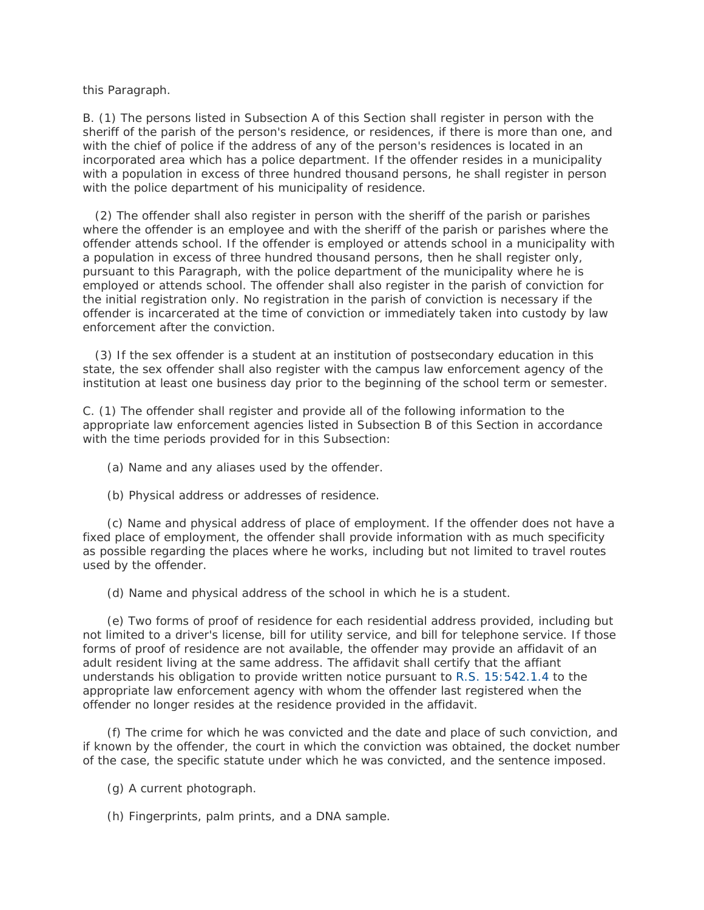this Paragraph.

B. (1) The persons listed in Subsection A of this Section shall register in person with the sheriff of the parish of the person's residence, or residences, if there is more than one, and with the chief of police if the address of any of the person's residences is located in an incorporated area which has a police department. If the offender resides in a municipality with a population in excess of three hundred thousand persons, he shall register in person with the police department of his municipality of residence.

 (2) The offender shall also register in person with the sheriff of the parish or parishes where the offender is an employee and with the sheriff of the parish or parishes where the offender attends school. If the offender is employed or attends school in a municipality with a population in excess of three hundred thousand persons, then he shall register only, pursuant to this Paragraph, with the police department of the municipality where he is employed or attends school. The offender shall also register in the parish of conviction for the initial registration only. No registration in the parish of conviction is necessary if the offender is incarcerated at the time of conviction or immediately taken into custody by law enforcement after the conviction.

 (3) If the sex offender is a student at an institution of postsecondary education in this state, the sex offender shall also register with the campus law enforcement agency of the institution at least one business day prior to the beginning of the school term or semester.

C. (1) The offender shall register and provide all of the following information to the appropriate law enforcement agencies listed in Subsection B of this Section in accordance with the time periods provided for in this Subsection:

(a) Name and any aliases used by the offender.

(b) Physical address or addresses of residence.

 (c) Name and physical address of place of employment. If the offender does not have a fixed place of employment, the offender shall provide information with as much specificity as possible regarding the places where he works, including but not limited to travel routes used by the offender.

(d) Name and physical address of the school in which he is a student.

 (e) Two forms of proof of residence for each residential address provided, including but not limited to a driver's license, bill for utility service, and bill for telephone service. If those forms of proof of residence are not available, the offender may provide an affidavit of an adult resident living at the same address. The affidavit shall certify that the affiant understands his obligation to provide written notice pursuant to [R.S. 15:542.1.4](http://www.lexis.com/research/buttonTFLink?_m=9787f0703c101a0f35d5688b5f031cac&_xfercite=%3ccite%20cc%3d%22USA%22%3e%3c%21%5bCDATA%5bLa.%20R.S.%2015%3a542%5d%5d%3e%3c%2fcite%3e&_butType=4&_butStat=0&_butNum=15&_butInline=1&_butinfo=LACODE%2015%3a542.1.4&_fmtstr=FULL&docnum=1&_startdoc=1&wchp=dGLzVzB-zSkAW&_md5=409d11d6d9de7908ce40e39631421a39) to the appropriate law enforcement agency with whom the offender last registered when the offender no longer resides at the residence provided in the affidavit.

 (f) The crime for which he was convicted and the date and place of such conviction, and if known by the offender, the court in which the conviction was obtained, the docket number of the case, the specific statute under which he was convicted, and the sentence imposed.

(g) A current photograph.

(h) Fingerprints, palm prints, and a DNA sample.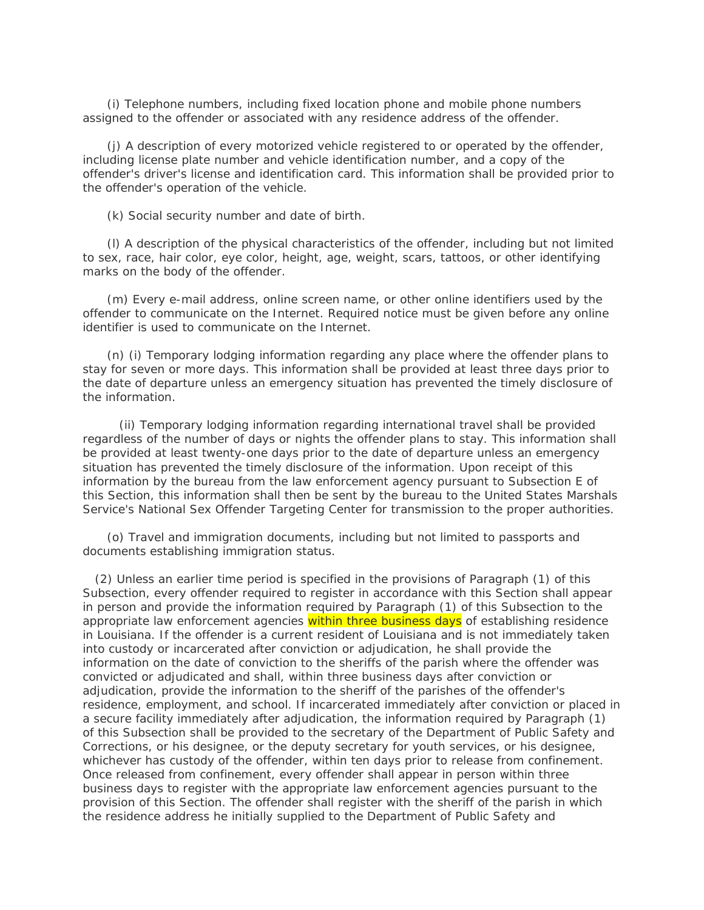(i) Telephone numbers, including fixed location phone and mobile phone numbers assigned to the offender or associated with any residence address of the offender.

 (j) A description of every motorized vehicle registered to or operated by the offender, including license plate number and vehicle identification number, and a copy of the offender's driver's license and identification card. This information shall be provided prior to the offender's operation of the vehicle.

(k) Social security number and date of birth.

 (l) A description of the physical characteristics of the offender, including but not limited to sex, race, hair color, eye color, height, age, weight, scars, tattoos, or other identifying marks on the body of the offender.

 (m) Every e-mail address, online screen name, or other online identifiers used by the offender to communicate on the Internet. Required notice must be given before any online identifier is used to communicate on the Internet.

 (n) (i) Temporary lodging information regarding any place where the offender plans to stay for seven or more days. This information shall be provided at least three days prior to the date of departure unless an emergency situation has prevented the timely disclosure of the information.

 (ii) Temporary lodging information regarding international travel shall be provided regardless of the number of days or nights the offender plans to stay. This information shall be provided at least twenty-one days prior to the date of departure unless an emergency situation has prevented the timely disclosure of the information. Upon receipt of this information by the bureau from the law enforcement agency pursuant to Subsection E of this Section, this information shall then be sent by the bureau to the United States Marshals Service's National Sex Offender Targeting Center for transmission to the proper authorities.

 (o) Travel and immigration documents, including but not limited to passports and documents establishing immigration status.

 (2) Unless an earlier time period is specified in the provisions of Paragraph (1) of this Subsection, every offender required to register in accordance with this Section shall appear in person and provide the information required by Paragraph (1) of this Subsection to the appropriate law enforcement agencies within three business days of establishing residence in Louisiana. If the offender is a current resident of Louisiana and is not immediately taken into custody or incarcerated after conviction or adjudication, he shall provide the information on the date of conviction to the sheriffs of the parish where the offender was convicted or adjudicated and shall, within three business days after conviction or adjudication, provide the information to the sheriff of the parishes of the offender's residence, employment, and school. If incarcerated immediately after conviction or placed in a secure facility immediately after adjudication, the information required by Paragraph (1) of this Subsection shall be provided to the secretary of the Department of Public Safety and Corrections, or his designee, or the deputy secretary for youth services, or his designee, whichever has custody of the offender, within ten days prior to release from confinement. Once released from confinement, every offender shall appear in person within three business days to register with the appropriate law enforcement agencies pursuant to the provision of this Section. The offender shall register with the sheriff of the parish in which the residence address he initially supplied to the Department of Public Safety and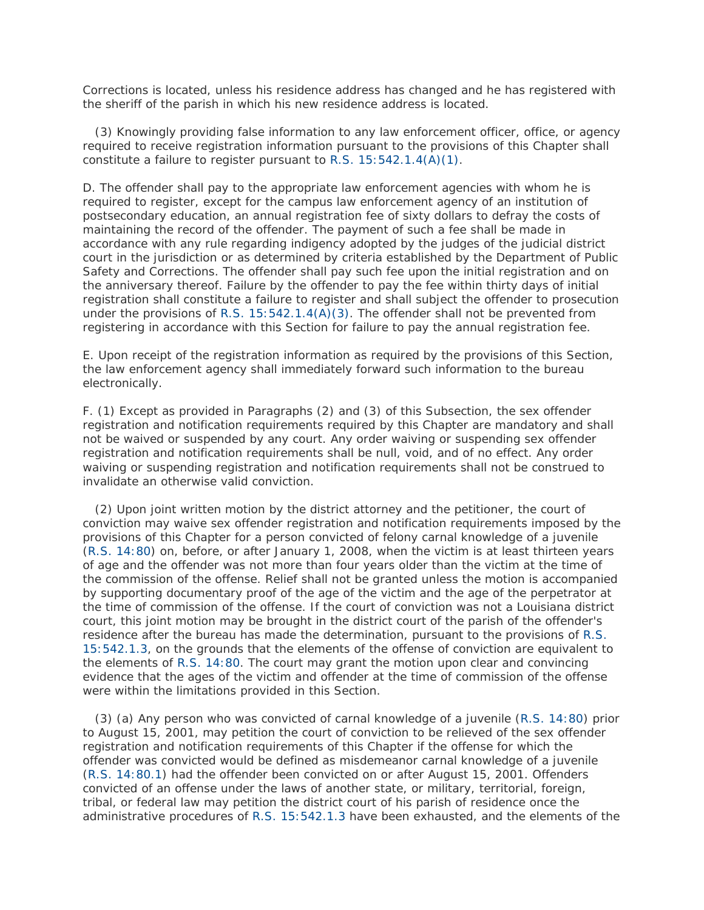Corrections is located, unless his residence address has changed and he has registered with the sheriff of the parish in which his new residence address is located.

 (3) Knowingly providing false information to any law enforcement officer, office, or agency required to receive registration information pursuant to the provisions of this Chapter shall constitute a failure to register pursuant to [R.S. 15:542.1.4\(A\)\(1\).](http://www.lexis.com/research/buttonTFLink?_m=9787f0703c101a0f35d5688b5f031cac&_xfercite=%3ccite%20cc%3d%22USA%22%3e%3c%21%5bCDATA%5bLa.%20R.S.%2015%3a542%5d%5d%3e%3c%2fcite%3e&_butType=4&_butStat=0&_butNum=16&_butInline=1&_butinfo=LACODE%2015%3a542.1.4&_fmtstr=FULL&docnum=1&_startdoc=1&wchp=dGLzVzB-zSkAW&_md5=0a3591e5d27198cc96403c80a2d6fd2d)

D. The offender shall pay to the appropriate law enforcement agencies with whom he is required to register, except for the campus law enforcement agency of an institution of postsecondary education, an annual registration fee of sixty dollars to defray the costs of maintaining the record of the offender. The payment of such a fee shall be made in accordance with any rule regarding indigency adopted by the judges of the judicial district court in the jurisdiction or as determined by criteria established by the Department of Public Safety and Corrections. The offender shall pay such fee upon the initial registration and on the anniversary thereof. Failure by the offender to pay the fee within thirty days of initial registration shall constitute a failure to register and shall subject the offender to prosecution under the provisions of R.S.  $15:542.1.4(A)(3)$ . The offender shall not be prevented from registering in accordance with this Section for failure to pay the annual registration fee.

E. Upon receipt of the registration information as required by the provisions of this Section, the law enforcement agency shall immediately forward such information to the bureau electronically.

F. (1) Except as provided in Paragraphs (2) and (3) of this Subsection, the sex offender registration and notification requirements required by this Chapter are mandatory and shall not be waived or suspended by any court. Any order waiving or suspending sex offender registration and notification requirements shall be null, void, and of no effect. Any order waiving or suspending registration and notification requirements shall not be construed to invalidate an otherwise valid conviction.

 (2) Upon joint written motion by the district attorney and the petitioner, the court of conviction may waive sex offender registration and notification requirements imposed by the provisions of this Chapter for a person convicted of felony carnal knowledge of a juvenile [\(R.S. 14:80\)](http://www.lexis.com/research/buttonTFLink?_m=9787f0703c101a0f35d5688b5f031cac&_xfercite=%3ccite%20cc%3d%22USA%22%3e%3c%21%5bCDATA%5bLa.%20R.S.%2015%3a542%5d%5d%3e%3c%2fcite%3e&_butType=4&_butStat=0&_butNum=18&_butInline=1&_butinfo=LACODE%2014%3a80&_fmtstr=FULL&docnum=1&_startdoc=1&wchp=dGLzVzB-zSkAW&_md5=2fddf727de900cc7e23e96c55e30bce3) on, before, or after January 1, 2008, when the victim is at least thirteen years of age and the offender was not more than four years older than the victim at the time of the commission of the offense. Relief shall not be granted unless the motion is accompanied by supporting documentary proof of the age of the victim and the age of the perpetrator at the time of commission of the offense. If the court of conviction was not a Louisiana district court, this joint motion may be brought in the district court of the parish of the offender's residence after the bureau has made the determination, pursuant to the provisions of [R.S.](http://www.lexis.com/research/buttonTFLink?_m=9787f0703c101a0f35d5688b5f031cac&_xfercite=%3ccite%20cc%3d%22USA%22%3e%3c%21%5bCDATA%5bLa.%20R.S.%2015%3a542%5d%5d%3e%3c%2fcite%3e&_butType=4&_butStat=0&_butNum=19&_butInline=1&_butinfo=LACODE%2015%3a542.1.3&_fmtstr=FULL&docnum=1&_startdoc=1&wchp=dGLzVzB-zSkAW&_md5=3c6ca057c1ec38e3d3b6561ba39f23ee)  [15:542.1.3,](http://www.lexis.com/research/buttonTFLink?_m=9787f0703c101a0f35d5688b5f031cac&_xfercite=%3ccite%20cc%3d%22USA%22%3e%3c%21%5bCDATA%5bLa.%20R.S.%2015%3a542%5d%5d%3e%3c%2fcite%3e&_butType=4&_butStat=0&_butNum=19&_butInline=1&_butinfo=LACODE%2015%3a542.1.3&_fmtstr=FULL&docnum=1&_startdoc=1&wchp=dGLzVzB-zSkAW&_md5=3c6ca057c1ec38e3d3b6561ba39f23ee) on the grounds that the elements of the offense of conviction are equivalent to the elements of [R.S. 14:80.](http://www.lexis.com/research/buttonTFLink?_m=9787f0703c101a0f35d5688b5f031cac&_xfercite=%3ccite%20cc%3d%22USA%22%3e%3c%21%5bCDATA%5bLa.%20R.S.%2015%3a542%5d%5d%3e%3c%2fcite%3e&_butType=4&_butStat=0&_butNum=20&_butInline=1&_butinfo=LACODE%2014%3a80&_fmtstr=FULL&docnum=1&_startdoc=1&wchp=dGLzVzB-zSkAW&_md5=bc03cbd35c34d120f2046bd9ebd968be) The court may grant the motion upon clear and convincing evidence that the ages of the victim and offender at the time of commission of the offense were within the limitations provided in this Section.

 (3) (a) Any person who was convicted of carnal knowledge of a juvenile [\(R.S. 14:80\)](http://www.lexis.com/research/buttonTFLink?_m=9787f0703c101a0f35d5688b5f031cac&_xfercite=%3ccite%20cc%3d%22USA%22%3e%3c%21%5bCDATA%5bLa.%20R.S.%2015%3a542%5d%5d%3e%3c%2fcite%3e&_butType=4&_butStat=0&_butNum=21&_butInline=1&_butinfo=LACODE%2014%3a80&_fmtstr=FULL&docnum=1&_startdoc=1&wchp=dGLzVzB-zSkAW&_md5=5ecbe2d58a6c8007fe61cec6c813831c) prior to August 15, 2001, may petition the court of conviction to be relieved of the sex offender registration and notification requirements of this Chapter if the offense for which the offender was convicted would be defined as misdemeanor carnal knowledge of a juvenile [\(R.S. 14:80.1\)](http://www.lexis.com/research/buttonTFLink?_m=9787f0703c101a0f35d5688b5f031cac&_xfercite=%3ccite%20cc%3d%22USA%22%3e%3c%21%5bCDATA%5bLa.%20R.S.%2015%3a542%5d%5d%3e%3c%2fcite%3e&_butType=4&_butStat=0&_butNum=22&_butInline=1&_butinfo=LACODE%2014%3a80.1&_fmtstr=FULL&docnum=1&_startdoc=1&wchp=dGLzVzB-zSkAW&_md5=c47e1a9bcacea1f3e1d5a3ac1ca8dddb) had the offender been convicted on or after August 15, 2001. Offenders convicted of an offense under the laws of another state, or military, territorial, foreign, tribal, or federal law may petition the district court of his parish of residence once the administrative procedures of [R.S. 15:542.1.3](http://www.lexis.com/research/buttonTFLink?_m=9787f0703c101a0f35d5688b5f031cac&_xfercite=%3ccite%20cc%3d%22USA%22%3e%3c%21%5bCDATA%5bLa.%20R.S.%2015%3a542%5d%5d%3e%3c%2fcite%3e&_butType=4&_butStat=0&_butNum=23&_butInline=1&_butinfo=LACODE%2015%3a542.1.3&_fmtstr=FULL&docnum=1&_startdoc=1&wchp=dGLzVzB-zSkAW&_md5=ee27a46234a1b50bbe96d3557ba49791) have been exhausted, and the elements of the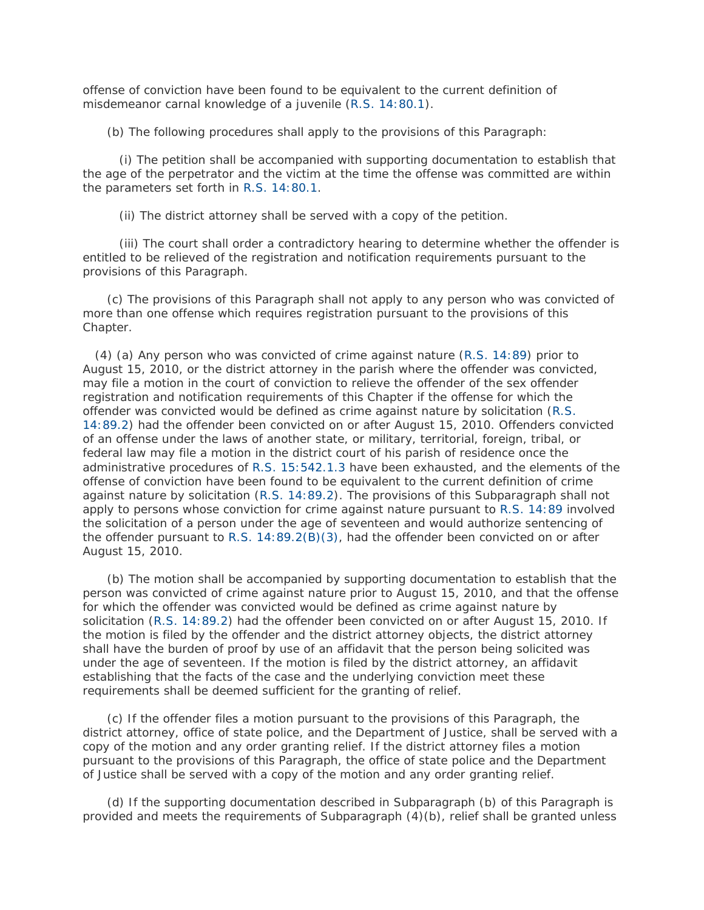offense of conviction have been found to be equivalent to the current definition of misdemeanor carnal knowledge of a juvenile [\(R.S. 14:80.1\)](http://www.lexis.com/research/buttonTFLink?_m=9787f0703c101a0f35d5688b5f031cac&_xfercite=%3ccite%20cc%3d%22USA%22%3e%3c%21%5bCDATA%5bLa.%20R.S.%2015%3a542%5d%5d%3e%3c%2fcite%3e&_butType=4&_butStat=0&_butNum=24&_butInline=1&_butinfo=LACODE%2014%3a80.1&_fmtstr=FULL&docnum=1&_startdoc=1&wchp=dGLzVzB-zSkAW&_md5=92393dafa309dacd497a42319307d8ef).

(b) The following procedures shall apply to the provisions of this Paragraph:

 (i) The petition shall be accompanied with supporting documentation to establish that the age of the perpetrator and the victim at the time the offense was committed are within the parameters set forth in [R.S. 14:80.1.](http://www.lexis.com/research/buttonTFLink?_m=9787f0703c101a0f35d5688b5f031cac&_xfercite=%3ccite%20cc%3d%22USA%22%3e%3c%21%5bCDATA%5bLa.%20R.S.%2015%3a542%5d%5d%3e%3c%2fcite%3e&_butType=4&_butStat=0&_butNum=25&_butInline=1&_butinfo=LACODE%2014%3a80.1&_fmtstr=FULL&docnum=1&_startdoc=1&wchp=dGLzVzB-zSkAW&_md5=bbf88a9fe7e4de235086c707ae9abeab)

(ii) The district attorney shall be served with a copy of the petition.

 (iii) The court shall order a contradictory hearing to determine whether the offender is entitled to be relieved of the registration and notification requirements pursuant to the provisions of this Paragraph.

 (c) The provisions of this Paragraph shall not apply to any person who was convicted of more than one offense which requires registration pursuant to the provisions of this Chapter.

 (4) (a) Any person who was convicted of crime against nature [\(R.S. 14:89\)](http://www.lexis.com/research/buttonTFLink?_m=9787f0703c101a0f35d5688b5f031cac&_xfercite=%3ccite%20cc%3d%22USA%22%3e%3c%21%5bCDATA%5bLa.%20R.S.%2015%3a542%5d%5d%3e%3c%2fcite%3e&_butType=4&_butStat=0&_butNum=26&_butInline=1&_butinfo=LACODE%2014%3a89&_fmtstr=FULL&docnum=1&_startdoc=1&wchp=dGLzVzB-zSkAW&_md5=ce2b84d201077271dc05121e0f878e45) prior to August 15, 2010, or the district attorney in the parish where the offender was convicted, may file a motion in the court of conviction to relieve the offender of the sex offender registration and notification requirements of this Chapter if the offense for which the offender was convicted would be defined as crime against nature by solicitation [\(R.S.](http://www.lexis.com/research/buttonTFLink?_m=9787f0703c101a0f35d5688b5f031cac&_xfercite=%3ccite%20cc%3d%22USA%22%3e%3c%21%5bCDATA%5bLa.%20R.S.%2015%3a542%5d%5d%3e%3c%2fcite%3e&_butType=4&_butStat=0&_butNum=27&_butInline=1&_butinfo=LACODE%2014%3a89.2&_fmtstr=FULL&docnum=1&_startdoc=1&wchp=dGLzVzB-zSkAW&_md5=04526a877c0869866ef303b328c1efe2)  [14:89.2\)](http://www.lexis.com/research/buttonTFLink?_m=9787f0703c101a0f35d5688b5f031cac&_xfercite=%3ccite%20cc%3d%22USA%22%3e%3c%21%5bCDATA%5bLa.%20R.S.%2015%3a542%5d%5d%3e%3c%2fcite%3e&_butType=4&_butStat=0&_butNum=27&_butInline=1&_butinfo=LACODE%2014%3a89.2&_fmtstr=FULL&docnum=1&_startdoc=1&wchp=dGLzVzB-zSkAW&_md5=04526a877c0869866ef303b328c1efe2) had the offender been convicted on or after August 15, 2010. Offenders convicted of an offense under the laws of another state, or military, territorial, foreign, tribal, or federal law may file a motion in the district court of his parish of residence once the administrative procedures of [R.S. 15:542.1.3](http://www.lexis.com/research/buttonTFLink?_m=9787f0703c101a0f35d5688b5f031cac&_xfercite=%3ccite%20cc%3d%22USA%22%3e%3c%21%5bCDATA%5bLa.%20R.S.%2015%3a542%5d%5d%3e%3c%2fcite%3e&_butType=4&_butStat=0&_butNum=28&_butInline=1&_butinfo=LACODE%2015%3a542.1.3&_fmtstr=FULL&docnum=1&_startdoc=1&wchp=dGLzVzB-zSkAW&_md5=19a942384ea2504809509b80e0efb35f) have been exhausted, and the elements of the offense of conviction have been found to be equivalent to the current definition of crime against nature by solicitation [\(R.S. 14:89.2\)](http://www.lexis.com/research/buttonTFLink?_m=9787f0703c101a0f35d5688b5f031cac&_xfercite=%3ccite%20cc%3d%22USA%22%3e%3c%21%5bCDATA%5bLa.%20R.S.%2015%3a542%5d%5d%3e%3c%2fcite%3e&_butType=4&_butStat=0&_butNum=29&_butInline=1&_butinfo=LACODE%2014%3a89.2&_fmtstr=FULL&docnum=1&_startdoc=1&wchp=dGLzVzB-zSkAW&_md5=3b54b600cb249f5d83695dccc71bb83e). The provisions of this Subparagraph shall not apply to persons whose conviction for crime against nature pursuant to [R.S. 14:89](http://www.lexis.com/research/buttonTFLink?_m=9787f0703c101a0f35d5688b5f031cac&_xfercite=%3ccite%20cc%3d%22USA%22%3e%3c%21%5bCDATA%5bLa.%20R.S.%2015%3a542%5d%5d%3e%3c%2fcite%3e&_butType=4&_butStat=0&_butNum=30&_butInline=1&_butinfo=LACODE%2014%3a89&_fmtstr=FULL&docnum=1&_startdoc=1&wchp=dGLzVzB-zSkAW&_md5=6ead2af5e0db571db6672e70b8b10732) involved the solicitation of a person under the age of seventeen and would authorize sentencing of the offender pursuant to [R.S. 14:89.2\(B\)\(3\),](http://www.lexis.com/research/buttonTFLink?_m=9787f0703c101a0f35d5688b5f031cac&_xfercite=%3ccite%20cc%3d%22USA%22%3e%3c%21%5bCDATA%5bLa.%20R.S.%2015%3a542%5d%5d%3e%3c%2fcite%3e&_butType=4&_butStat=0&_butNum=31&_butInline=1&_butinfo=LACODE%2014%3a89.2&_fmtstr=FULL&docnum=1&_startdoc=1&wchp=dGLzVzB-zSkAW&_md5=a9830a29a7ea293a11d0ec69ce962579) had the offender been convicted on or after August 15, 2010.

 (b) The motion shall be accompanied by supporting documentation to establish that the person was convicted of crime against nature prior to August 15, 2010, and that the offense for which the offender was convicted would be defined as crime against nature by solicitation [\(R.S. 14:89.2\)](http://www.lexis.com/research/buttonTFLink?_m=9787f0703c101a0f35d5688b5f031cac&_xfercite=%3ccite%20cc%3d%22USA%22%3e%3c%21%5bCDATA%5bLa.%20R.S.%2015%3a542%5d%5d%3e%3c%2fcite%3e&_butType=4&_butStat=0&_butNum=32&_butInline=1&_butinfo=LACODE%2014%3a89.2&_fmtstr=FULL&docnum=1&_startdoc=1&wchp=dGLzVzB-zSkAW&_md5=6de90441721c3ef33adc806df4d3fde6) had the offender been convicted on or after August 15, 2010. If the motion is filed by the offender and the district attorney objects, the district attorney shall have the burden of proof by use of an affidavit that the person being solicited was under the age of seventeen. If the motion is filed by the district attorney, an affidavit establishing that the facts of the case and the underlying conviction meet these requirements shall be deemed sufficient for the granting of relief.

 (c) If the offender files a motion pursuant to the provisions of this Paragraph, the district attorney, office of state police, and the Department of Justice, shall be served with a copy of the motion and any order granting relief. If the district attorney files a motion pursuant to the provisions of this Paragraph, the office of state police and the Department of Justice shall be served with a copy of the motion and any order granting relief.

 (d) If the supporting documentation described in Subparagraph (b) of this Paragraph is provided and meets the requirements of Subparagraph (4)(b), relief shall be granted unless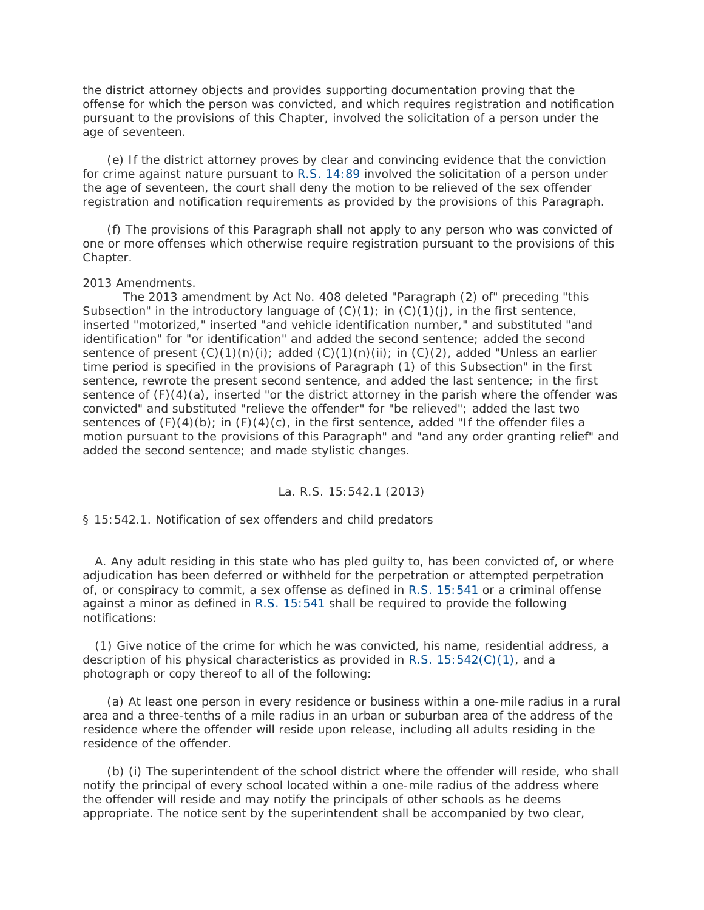the district attorney objects and provides supporting documentation proving that the offense for which the person was convicted, and which requires registration and notification pursuant to the provisions of this Chapter, involved the solicitation of a person under the age of seventeen.

 (e) If the district attorney proves by clear and convincing evidence that the conviction for crime against nature pursuant to [R.S. 14:89](http://www.lexis.com/research/buttonTFLink?_m=9787f0703c101a0f35d5688b5f031cac&_xfercite=%3ccite%20cc%3d%22USA%22%3e%3c%21%5bCDATA%5bLa.%20R.S.%2015%3a542%5d%5d%3e%3c%2fcite%3e&_butType=4&_butStat=0&_butNum=33&_butInline=1&_butinfo=LACODE%2014%3a89&_fmtstr=FULL&docnum=1&_startdoc=1&wchp=dGLzVzB-zSkAW&_md5=252bd006b2e18b1e2b6971a733419065) involved the solicitation of a person under the age of seventeen, the court shall deny the motion to be relieved of the sex offender registration and notification requirements as provided by the provisions of this Paragraph.

 (f) The provisions of this Paragraph shall not apply to any person who was convicted of one or more offenses which otherwise require registration pursuant to the provisions of this Chapter.

### 2013 Amendments.

 The 2013 amendment by Act No. 408 deleted "Paragraph (2) of" preceding "this Subsection" in the introductory language of  $(C)(1)$ ; in  $(C)(1)(j)$ , in the first sentence, inserted "motorized," inserted "and vehicle identification number," and substituted "and identification" for "or identification" and added the second sentence; added the second sentence of present  $(C)(1)(n)(i)$ ; added  $(C)(1)(n)(ii)$ ; in  $(C)(2)$ , added "Unless an earlier time period is specified in the provisions of Paragraph (1) of this Subsection" in the first sentence, rewrote the present second sentence, and added the last sentence; in the first sentence of  $(F)(4)(a)$ , inserted "or the district attorney in the parish where the offender was convicted" and substituted "relieve the offender" for "be relieved"; added the last two sentences of  $(F)(4)(b)$ ; in  $(F)(4)(c)$ , in the first sentence, added "If the offender files a motion pursuant to the provisions of this Paragraph" and "and any order granting relief" and added the second sentence; and made stylistic changes.

## La. R.S. 15:542.1 (2013)

§ 15:542.1. Notification of sex offenders and child predators

 A. Any adult residing in this state who has pled guilty to, has been convicted of, or where adjudication has been deferred or withheld for the perpetration or attempted perpetration of, or conspiracy to commit, a sex offense as defined in [R.S. 15:541](http://www.lexis.com/research/buttonTFLink?_m=217c9e60446aeda971bc7af702b25ac8&_xfercite=%3ccite%20cc%3d%22USA%22%3e%3c%21%5bCDATA%5bLa.%20R.S.%2015%3a542.1%5d%5d%3e%3c%2fcite%3e&_butType=4&_butStat=0&_butNum=2&_butInline=1&_butinfo=LACODE%2015%3a541&_fmtstr=FULL&docnum=1&_startdoc=1&wchp=dGLzVzB-zSkAW&_md5=e2bc596edf5a1edd88e2ec7ecd980b26) or a criminal offense against a minor as defined in [R.S. 15:541](http://www.lexis.com/research/buttonTFLink?_m=217c9e60446aeda971bc7af702b25ac8&_xfercite=%3ccite%20cc%3d%22USA%22%3e%3c%21%5bCDATA%5bLa.%20R.S.%2015%3a542.1%5d%5d%3e%3c%2fcite%3e&_butType=4&_butStat=0&_butNum=3&_butInline=1&_butinfo=LACODE%2015%3a541&_fmtstr=FULL&docnum=1&_startdoc=1&wchp=dGLzVzB-zSkAW&_md5=2e00163f0b0ad8a651cc9c78e1eea433) shall be required to provide the following notifications:

 (1) Give notice of the crime for which he was convicted, his name, residential address, a description of his physical characteristics as provided in [R.S. 15:542\(C\)\(1\),](http://www.lexis.com/research/buttonTFLink?_m=217c9e60446aeda971bc7af702b25ac8&_xfercite=%3ccite%20cc%3d%22USA%22%3e%3c%21%5bCDATA%5bLa.%20R.S.%2015%3a542.1%5d%5d%3e%3c%2fcite%3e&_butType=4&_butStat=0&_butNum=4&_butInline=1&_butinfo=LACODE%2015%3a542&_fmtstr=FULL&docnum=1&_startdoc=1&wchp=dGLzVzB-zSkAW&_md5=185b884906a000c1a3170ccb9d42a3ad) and a photograph or copy thereof to all of the following:

 (a) At least one person in every residence or business within a one-mile radius in a rural area and a three-tenths of a mile radius in an urban or suburban area of the address of the residence where the offender will reside upon release, including all adults residing in the residence of the offender.

 (b) (i) The superintendent of the school district where the offender will reside, who shall notify the principal of every school located within a one-mile radius of the address where the offender will reside and may notify the principals of other schools as he deems appropriate. The notice sent by the superintendent shall be accompanied by two clear,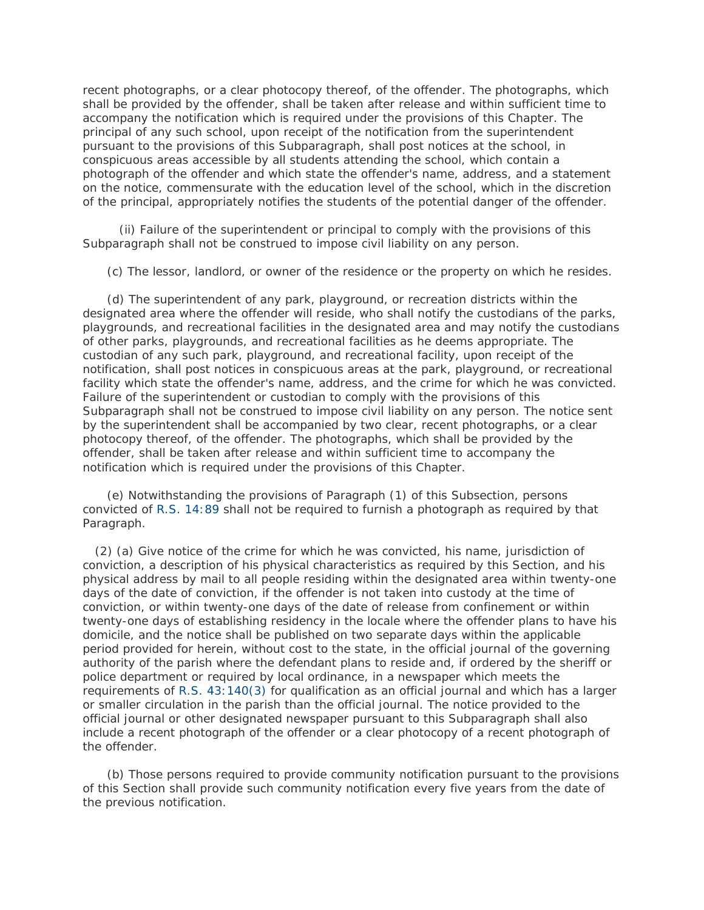recent photographs, or a clear photocopy thereof, of the offender. The photographs, which shall be provided by the offender, shall be taken after release and within sufficient time to accompany the notification which is required under the provisions of this Chapter. The principal of any such school, upon receipt of the notification from the superintendent pursuant to the provisions of this Subparagraph, shall post notices at the school, in conspicuous areas accessible by all students attending the school, which contain a photograph of the offender and which state the offender's name, address, and a statement on the notice, commensurate with the education level of the school, which in the discretion of the principal, appropriately notifies the students of the potential danger of the offender.

 (ii) Failure of the superintendent or principal to comply with the provisions of this Subparagraph shall not be construed to impose civil liability on any person.

(c) The lessor, landlord, or owner of the residence or the property on which he resides.

 (d) The superintendent of any park, playground, or recreation districts within the designated area where the offender will reside, who shall notify the custodians of the parks, playgrounds, and recreational facilities in the designated area and may notify the custodians of other parks, playgrounds, and recreational facilities as he deems appropriate. The custodian of any such park, playground, and recreational facility, upon receipt of the notification, shall post notices in conspicuous areas at the park, playground, or recreational facility which state the offender's name, address, and the crime for which he was convicted. Failure of the superintendent or custodian to comply with the provisions of this Subparagraph shall not be construed to impose civil liability on any person. The notice sent by the superintendent shall be accompanied by two clear, recent photographs, or a clear photocopy thereof, of the offender. The photographs, which shall be provided by the offender, shall be taken after release and within sufficient time to accompany the notification which is required under the provisions of this Chapter.

 (e) Notwithstanding the provisions of Paragraph (1) of this Subsection, persons convicted of [R.S. 14:89](http://www.lexis.com/research/buttonTFLink?_m=217c9e60446aeda971bc7af702b25ac8&_xfercite=%3ccite%20cc%3d%22USA%22%3e%3c%21%5bCDATA%5bLa.%20R.S.%2015%3a542.1%5d%5d%3e%3c%2fcite%3e&_butType=4&_butStat=0&_butNum=5&_butInline=1&_butinfo=LACODE%2014%3a89&_fmtstr=FULL&docnum=1&_startdoc=1&wchp=dGLzVzB-zSkAW&_md5=6ef43d22750c74b81cc5f0a9c7fdb787) shall not be required to furnish a photograph as required by that Paragraph.

 (2) (a) Give notice of the crime for which he was convicted, his name, jurisdiction of conviction, a description of his physical characteristics as required by this Section, and his physical address by mail to all people residing within the designated area within twenty-one days of the date of conviction, if the offender is not taken into custody at the time of conviction, or within twenty-one days of the date of release from confinement or within twenty-one days of establishing residency in the locale where the offender plans to have his domicile, and the notice shall be published on two separate days within the applicable period provided for herein, without cost to the state, in the official journal of the governing authority of the parish where the defendant plans to reside and, if ordered by the sheriff or police department or required by local ordinance, in a newspaper which meets the requirements of [R.S. 43:140\(3\)](http://www.lexis.com/research/buttonTFLink?_m=217c9e60446aeda971bc7af702b25ac8&_xfercite=%3ccite%20cc%3d%22USA%22%3e%3c%21%5bCDATA%5bLa.%20R.S.%2015%3a542.1%5d%5d%3e%3c%2fcite%3e&_butType=4&_butStat=0&_butNum=6&_butInline=1&_butinfo=LACODE%2043%3a140&_fmtstr=FULL&docnum=1&_startdoc=1&wchp=dGLzVzB-zSkAW&_md5=6026f1b0ca78f4bf122906c7e150a2db) for qualification as an official journal and which has a larger or smaller circulation in the parish than the official journal. The notice provided to the official journal or other designated newspaper pursuant to this Subparagraph shall also include a recent photograph of the offender or a clear photocopy of a recent photograph of the offender.

 (b) Those persons required to provide community notification pursuant to the provisions of this Section shall provide such community notification every five years from the date of the previous notification.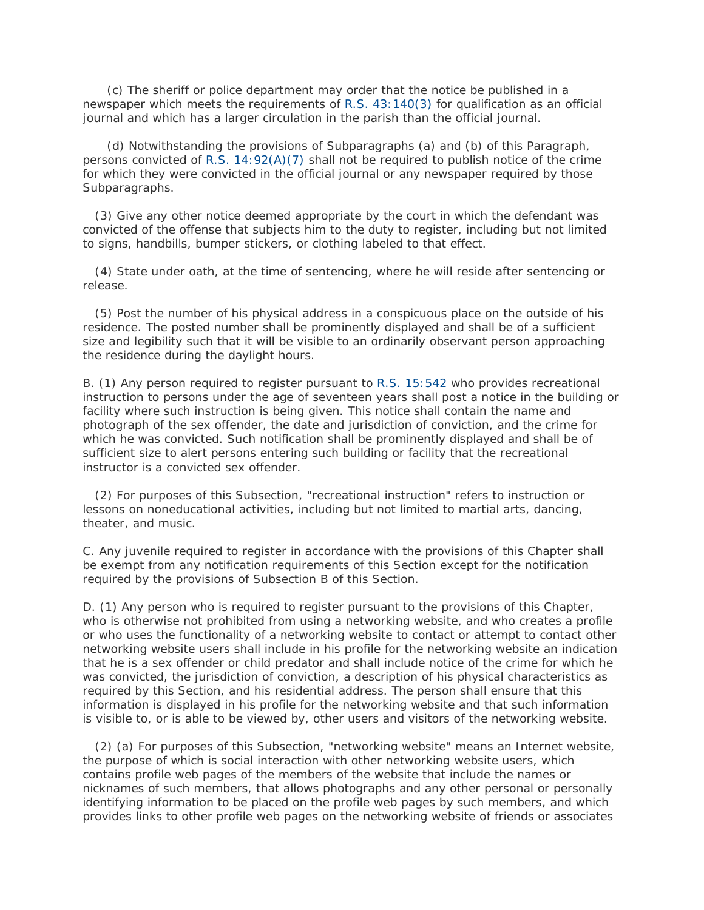(c) The sheriff or police department may order that the notice be published in a newspaper which meets the requirements of [R.S. 43:140\(3\)](http://www.lexis.com/research/buttonTFLink?_m=217c9e60446aeda971bc7af702b25ac8&_xfercite=%3ccite%20cc%3d%22USA%22%3e%3c%21%5bCDATA%5bLa.%20R.S.%2015%3a542.1%5d%5d%3e%3c%2fcite%3e&_butType=4&_butStat=0&_butNum=7&_butInline=1&_butinfo=LACODE%2043%3a140&_fmtstr=FULL&docnum=1&_startdoc=1&wchp=dGLzVzB-zSkAW&_md5=1bc094c3c18d322928deb52469ad42bc) for qualification as an official journal and which has a larger circulation in the parish than the official journal.

 (d) Notwithstanding the provisions of Subparagraphs (a) and (b) of this Paragraph, persons convicted of [R.S. 14:92\(A\)\(7\)](http://www.lexis.com/research/buttonTFLink?_m=217c9e60446aeda971bc7af702b25ac8&_xfercite=%3ccite%20cc%3d%22USA%22%3e%3c%21%5bCDATA%5bLa.%20R.S.%2015%3a542.1%5d%5d%3e%3c%2fcite%3e&_butType=4&_butStat=0&_butNum=8&_butInline=1&_butinfo=LACODE%2014%3a92&_fmtstr=FULL&docnum=1&_startdoc=1&wchp=dGLzVzB-zSkAW&_md5=804380fc43abe44e71f86de48b93e745) shall not be required to publish notice of the crime for which they were convicted in the official journal or any newspaper required by those Subparagraphs.

 (3) Give any other notice deemed appropriate by the court in which the defendant was convicted of the offense that subjects him to the duty to register, including but not limited to signs, handbills, bumper stickers, or clothing labeled to that effect.

 (4) State under oath, at the time of sentencing, where he will reside after sentencing or release.

 (5) Post the number of his physical address in a conspicuous place on the outside of his residence. The posted number shall be prominently displayed and shall be of a sufficient size and legibility such that it will be visible to an ordinarily observant person approaching the residence during the daylight hours.

B. (1) Any person required to register pursuant to [R.S. 15:542](http://www.lexis.com/research/buttonTFLink?_m=217c9e60446aeda971bc7af702b25ac8&_xfercite=%3ccite%20cc%3d%22USA%22%3e%3c%21%5bCDATA%5bLa.%20R.S.%2015%3a542.1%5d%5d%3e%3c%2fcite%3e&_butType=4&_butStat=0&_butNum=9&_butInline=1&_butinfo=LACODE%2015%3a542&_fmtstr=FULL&docnum=1&_startdoc=1&wchp=dGLzVzB-zSkAW&_md5=ecdebd65cfc74340ab84cf458d0f440a) who provides recreational instruction to persons under the age of seventeen years shall post a notice in the building or facility where such instruction is being given. This notice shall contain the name and photograph of the sex offender, the date and jurisdiction of conviction, and the crime for which he was convicted. Such notification shall be prominently displayed and shall be of sufficient size to alert persons entering such building or facility that the recreational instructor is a convicted sex offender.

 (2) For purposes of this Subsection, "recreational instruction" refers to instruction or lessons on noneducational activities, including but not limited to martial arts, dancing, theater, and music.

C. Any juvenile required to register in accordance with the provisions of this Chapter shall be exempt from any notification requirements of this Section except for the notification required by the provisions of Subsection B of this Section.

D. (1) Any person who is required to register pursuant to the provisions of this Chapter, who is otherwise not prohibited from using a networking website, and who creates a profile or who uses the functionality of a networking website to contact or attempt to contact other networking website users shall include in his profile for the networking website an indication that he is a sex offender or child predator and shall include notice of the crime for which he was convicted, the jurisdiction of conviction, a description of his physical characteristics as required by this Section, and his residential address. The person shall ensure that this information is displayed in his profile for the networking website and that such information is visible to, or is able to be viewed by, other users and visitors of the networking website.

 (2) (a) For purposes of this Subsection, "networking website" means an Internet website, the purpose of which is social interaction with other networking website users, which contains profile web pages of the members of the website that include the names or nicknames of such members, that allows photographs and any other personal or personally identifying information to be placed on the profile web pages by such members, and which provides links to other profile web pages on the networking website of friends or associates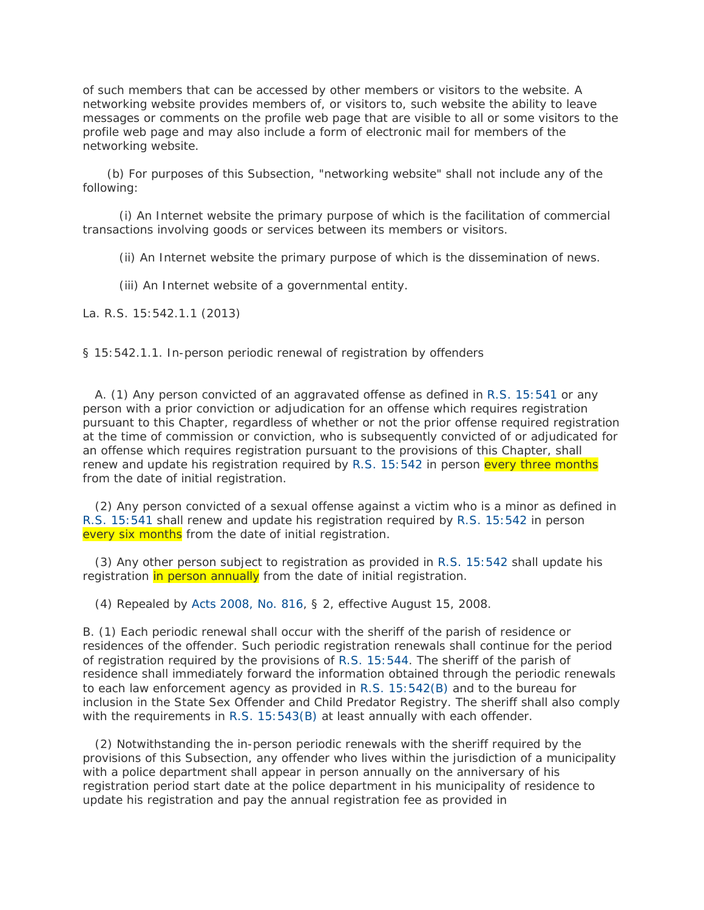of such members that can be accessed by other members or visitors to the website. A networking website provides members of, or visitors to, such website the ability to leave messages or comments on the profile web page that are visible to all or some visitors to the profile web page and may also include a form of electronic mail for members of the networking website.

 (b) For purposes of this Subsection, "networking website" shall not include any of the following:

 (i) An Internet website the primary purpose of which is the facilitation of commercial transactions involving goods or services between its members or visitors.

(ii) An Internet website the primary purpose of which is the dissemination of news.

(iii) An Internet website of a governmental entity.

La. R.S. 15:542.1.1 (2013)

§ 15:542.1.1. In-person periodic renewal of registration by offenders

 A. (1) Any person convicted of an aggravated offense as defined in [R.S. 15:541](http://www.lexis.com/research/buttonTFLink?_m=d9e79aeb9a534f7ce1ffdd49413bc0be&_xfercite=%3ccite%20cc%3d%22USA%22%3e%3c%21%5bCDATA%5bLa.%20R.S.%2015%3a542.1.1%5d%5d%3e%3c%2fcite%3e&_butType=4&_butStat=0&_butNum=2&_butInline=1&_butinfo=LACODE%2015%3a541&_fmtstr=FULL&docnum=1&_startdoc=1&wchp=dGLzVzB-zSkAW&_md5=7c8ad93c5195e70ee1a76949a96713c1) or any person with a prior conviction or adjudication for an offense which requires registration pursuant to this Chapter, regardless of whether or not the prior offense required registration at the time of commission or conviction, who is subsequently convicted of or adjudicated for an offense which requires registration pursuant to the provisions of this Chapter, shall renew and update his registration required by [R.S. 15:542](http://www.lexis.com/research/buttonTFLink?_m=d9e79aeb9a534f7ce1ffdd49413bc0be&_xfercite=%3ccite%20cc%3d%22USA%22%3e%3c%21%5bCDATA%5bLa.%20R.S.%2015%3a542.1.1%5d%5d%3e%3c%2fcite%3e&_butType=4&_butStat=0&_butNum=3&_butInline=1&_butinfo=LACODE%2015%3a542&_fmtstr=FULL&docnum=1&_startdoc=1&wchp=dGLzVzB-zSkAW&_md5=140cc934c325f561d17af1a7da420e86) in person every three months from the date of initial registration.

 (2) Any person convicted of a sexual offense against a victim who is a minor as defined in [R.S. 15:541](http://www.lexis.com/research/buttonTFLink?_m=d9e79aeb9a534f7ce1ffdd49413bc0be&_xfercite=%3ccite%20cc%3d%22USA%22%3e%3c%21%5bCDATA%5bLa.%20R.S.%2015%3a542.1.1%5d%5d%3e%3c%2fcite%3e&_butType=4&_butStat=0&_butNum=4&_butInline=1&_butinfo=LACODE%2015%3a541&_fmtstr=FULL&docnum=1&_startdoc=1&wchp=dGLzVzB-zSkAW&_md5=e774ca37c7b2d1df158c682cb17d7508) shall renew and update his registration required by [R.S. 15:542](http://www.lexis.com/research/buttonTFLink?_m=d9e79aeb9a534f7ce1ffdd49413bc0be&_xfercite=%3ccite%20cc%3d%22USA%22%3e%3c%21%5bCDATA%5bLa.%20R.S.%2015%3a542.1.1%5d%5d%3e%3c%2fcite%3e&_butType=4&_butStat=0&_butNum=5&_butInline=1&_butinfo=LACODE%2015%3a542&_fmtstr=FULL&docnum=1&_startdoc=1&wchp=dGLzVzB-zSkAW&_md5=8de6fc7f394669da8ba958ed2aa1e966) in person every six months from the date of initial registration.

 (3) Any other person subject to registration as provided in [R.S. 15:542](http://www.lexis.com/research/buttonTFLink?_m=d9e79aeb9a534f7ce1ffdd49413bc0be&_xfercite=%3ccite%20cc%3d%22USA%22%3e%3c%21%5bCDATA%5bLa.%20R.S.%2015%3a542.1.1%5d%5d%3e%3c%2fcite%3e&_butType=4&_butStat=0&_butNum=6&_butInline=1&_butinfo=LACODE%2015%3a542&_fmtstr=FULL&docnum=1&_startdoc=1&wchp=dGLzVzB-zSkAW&_md5=ac7d0501cb5d8d54bcf0046f6f24591e) shall update his registration in person annually from the date of initial registration.

(4) Repealed by [Acts 2008, No. 816,](http://www.lexis.com/research/buttonLink?_m=d9e79aeb9a534f7ce1ffdd49413bc0be&_xfercite=%3ccite%20cc%3d%22USA%22%3e%3c%21%5bCDATA%5bLa.%20R.S.%2015%3a542.1.1%5d%5d%3e%3c%2fcite%3e&_butType=1&_butStat=0&_butNum=7&_butInline=1&_butinfo=LXE_2008_LA_ALS_816&_fmtstr=FULL&docnum=1&_startdoc=1&wchp=dGLzVzB-zSkAW&_md5=aeb5a246f4c037a871693065f3cbaf91) § 2, effective August 15, 2008.

B. (1) Each periodic renewal shall occur with the sheriff of the parish of residence or residences of the offender. Such periodic registration renewals shall continue for the period of registration required by the provisions of [R.S. 15:544.](http://www.lexis.com/research/buttonTFLink?_m=d9e79aeb9a534f7ce1ffdd49413bc0be&_xfercite=%3ccite%20cc%3d%22USA%22%3e%3c%21%5bCDATA%5bLa.%20R.S.%2015%3a542.1.1%5d%5d%3e%3c%2fcite%3e&_butType=4&_butStat=0&_butNum=8&_butInline=1&_butinfo=LACODE%2015%3a544&_fmtstr=FULL&docnum=1&_startdoc=1&wchp=dGLzVzB-zSkAW&_md5=a7a110bbf0a1c55d5fd323899f01c987) The sheriff of the parish of residence shall immediately forward the information obtained through the periodic renewals to each law enforcement agency as provided in [R.S. 15:542\(B\)](http://www.lexis.com/research/buttonTFLink?_m=d9e79aeb9a534f7ce1ffdd49413bc0be&_xfercite=%3ccite%20cc%3d%22USA%22%3e%3c%21%5bCDATA%5bLa.%20R.S.%2015%3a542.1.1%5d%5d%3e%3c%2fcite%3e&_butType=4&_butStat=0&_butNum=9&_butInline=1&_butinfo=LACODE%2015%3a542&_fmtstr=FULL&docnum=1&_startdoc=1&wchp=dGLzVzB-zSkAW&_md5=8ab6f16bdb7b76d2f8060a86d1237d2b) and to the bureau for inclusion in the State Sex Offender and Child Predator Registry. The sheriff shall also comply with the requirements in [R.S. 15:543\(B\)](http://www.lexis.com/research/buttonTFLink?_m=d9e79aeb9a534f7ce1ffdd49413bc0be&_xfercite=%3ccite%20cc%3d%22USA%22%3e%3c%21%5bCDATA%5bLa.%20R.S.%2015%3a542.1.1%5d%5d%3e%3c%2fcite%3e&_butType=4&_butStat=0&_butNum=10&_butInline=1&_butinfo=LACODE%2015%3a543&_fmtstr=FULL&docnum=1&_startdoc=1&wchp=dGLzVzB-zSkAW&_md5=25bc53a6637f00e637b0e7e030e0bde3) at least annually with each offender.

 (2) Notwithstanding the in-person periodic renewals with the sheriff required by the provisions of this Subsection, any offender who lives within the jurisdiction of a municipality with a police department shall appear in person annually on the anniversary of his registration period start date at the police department in his municipality of residence to update his registration and pay the annual registration fee as provided in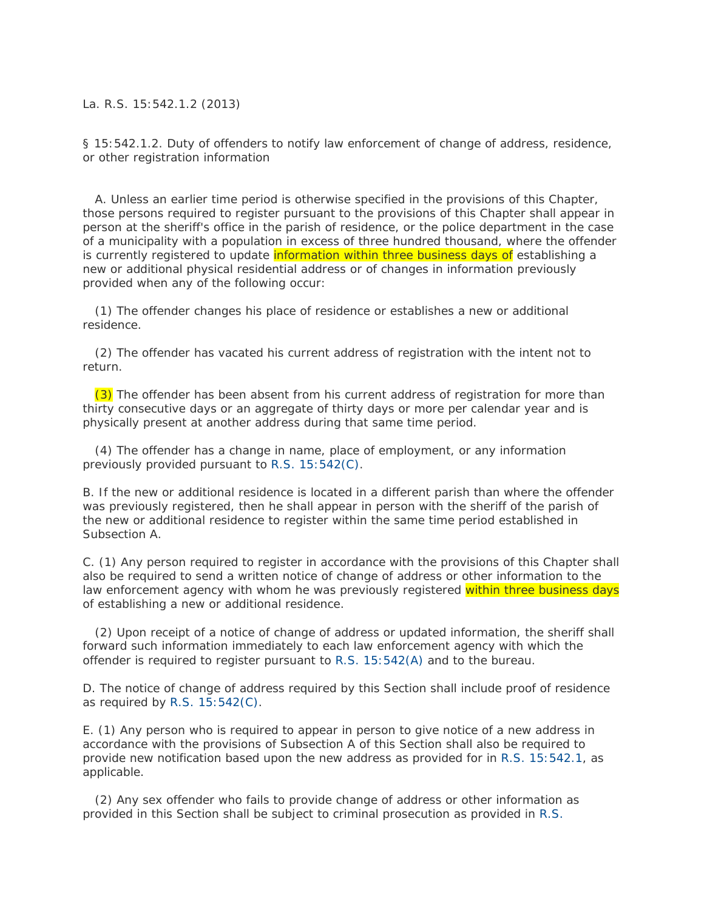## La. R.S. 15:542.1.2 (2013)

§ 15:542.1.2. Duty of offenders to notify law enforcement of change of address, residence, or other registration information

 A. Unless an earlier time period is otherwise specified in the provisions of this Chapter, those persons required to register pursuant to the provisions of this Chapter shall appear in person at the sheriff's office in the parish of residence, or the police department in the case of a municipality with a population in excess of three hundred thousand, where the offender is currently registered to update information within three business days of establishing a new or additional physical residential address or of changes in information previously provided when any of the following occur:

 (1) The offender changes his place of residence or establishes a new or additional residence.

 (2) The offender has vacated his current address of registration with the intent not to return.

(3) The offender has been absent from his current address of registration for more than thirty consecutive days or an aggregate of thirty days or more per calendar year and is physically present at another address during that same time period.

 (4) The offender has a change in name, place of employment, or any information previously provided pursuant to [R.S. 15:542\(C\).](http://www.lexis.com/research/buttonTFLink?_m=9ebb1bcec9cb6afb576abfbc6920b06e&_xfercite=%3ccite%20cc%3d%22USA%22%3e%3c%21%5bCDATA%5bLa.%20R.S.%2015%3a542.1.2%5d%5d%3e%3c%2fcite%3e&_butType=4&_butStat=0&_butNum=2&_butInline=1&_butinfo=LACODE%2015%3a542&_fmtstr=FULL&docnum=1&_startdoc=1&wchp=dGLzVzB-zSkAW&_md5=ec8f0daebe626f092edc17270a2222a9)

B. If the new or additional residence is located in a different parish than where the offender was previously registered, then he shall appear in person with the sheriff of the parish of the new or additional residence to register within the same time period established in Subsection A.

C. (1) Any person required to register in accordance with the provisions of this Chapter shall also be required to send a written notice of change of address or other information to the law enforcement agency with whom he was previously registered within three business days of establishing a new or additional residence.

 (2) Upon receipt of a notice of change of address or updated information, the sheriff shall forward such information immediately to each law enforcement agency with which the offender is required to register pursuant to [R.S. 15:542\(A\)](http://www.lexis.com/research/buttonTFLink?_m=9ebb1bcec9cb6afb576abfbc6920b06e&_xfercite=%3ccite%20cc%3d%22USA%22%3e%3c%21%5bCDATA%5bLa.%20R.S.%2015%3a542.1.2%5d%5d%3e%3c%2fcite%3e&_butType=4&_butStat=0&_butNum=3&_butInline=1&_butinfo=LACODE%2015%3a542&_fmtstr=FULL&docnum=1&_startdoc=1&wchp=dGLzVzB-zSkAW&_md5=107b89d1abfb6250e3067aec8fc25bfe) and to the bureau.

D. The notice of change of address required by this Section shall include proof of residence as required by [R.S. 15:542\(C\).](http://www.lexis.com/research/buttonTFLink?_m=9ebb1bcec9cb6afb576abfbc6920b06e&_xfercite=%3ccite%20cc%3d%22USA%22%3e%3c%21%5bCDATA%5bLa.%20R.S.%2015%3a542.1.2%5d%5d%3e%3c%2fcite%3e&_butType=4&_butStat=0&_butNum=4&_butInline=1&_butinfo=LACODE%2015%3a542&_fmtstr=FULL&docnum=1&_startdoc=1&wchp=dGLzVzB-zSkAW&_md5=ad10a1dc01fb059b6e7627327459f03a)

E. (1) Any person who is required to appear in person to give notice of a new address in accordance with the provisions of Subsection A of this Section shall also be required to provide new notification based upon the new address as provided for in [R.S. 15:542.1,](http://www.lexis.com/research/buttonTFLink?_m=9ebb1bcec9cb6afb576abfbc6920b06e&_xfercite=%3ccite%20cc%3d%22USA%22%3e%3c%21%5bCDATA%5bLa.%20R.S.%2015%3a542.1.2%5d%5d%3e%3c%2fcite%3e&_butType=4&_butStat=0&_butNum=5&_butInline=1&_butinfo=LACODE%2015%3a542.1&_fmtstr=FULL&docnum=1&_startdoc=1&wchp=dGLzVzB-zSkAW&_md5=69aaa4537f353406799838243e6ab299) as applicable.

 (2) Any sex offender who fails to provide change of address or other information as provided in this Section shall be subject to criminal prosecution as provided in [R.S.](http://www.lexis.com/research/buttonTFLink?_m=9ebb1bcec9cb6afb576abfbc6920b06e&_xfercite=%3ccite%20cc%3d%22USA%22%3e%3c%21%5bCDATA%5bLa.%20R.S.%2015%3a542.1.2%5d%5d%3e%3c%2fcite%3e&_butType=4&_butStat=0&_butNum=6&_butInline=1&_butinfo=LACODE%2015%3a542.1.4&_fmtstr=FULL&docnum=1&_startdoc=1&wchp=dGLzVzB-zSkAW&_md5=a826133b091fc47c74dde22f5724f5d4)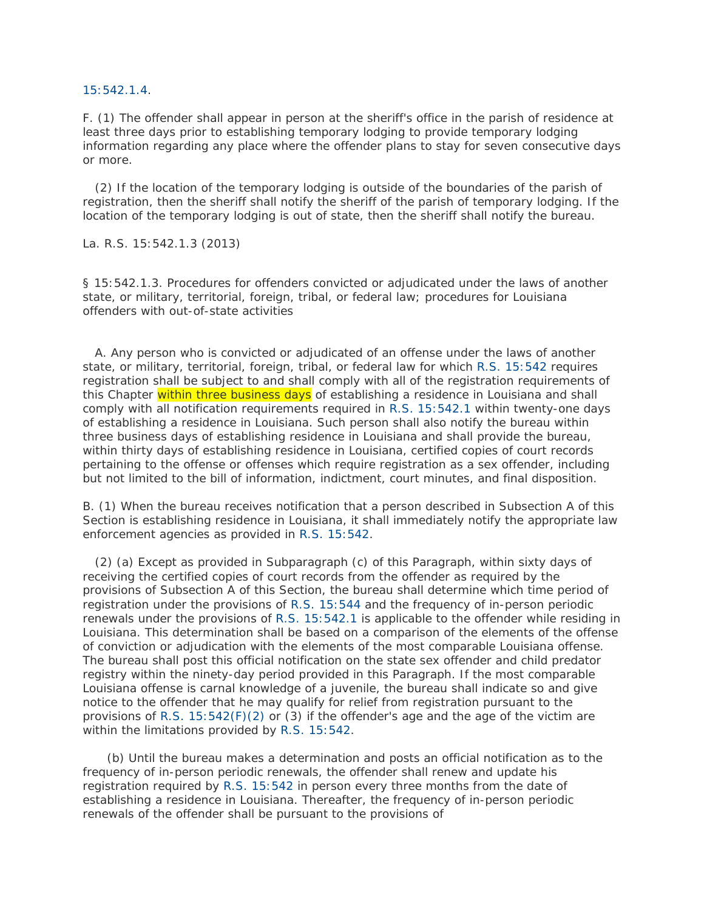[15:542.1.4.](http://www.lexis.com/research/buttonTFLink?_m=9ebb1bcec9cb6afb576abfbc6920b06e&_xfercite=%3ccite%20cc%3d%22USA%22%3e%3c%21%5bCDATA%5bLa.%20R.S.%2015%3a542.1.2%5d%5d%3e%3c%2fcite%3e&_butType=4&_butStat=0&_butNum=6&_butInline=1&_butinfo=LACODE%2015%3a542.1.4&_fmtstr=FULL&docnum=1&_startdoc=1&wchp=dGLzVzB-zSkAW&_md5=a826133b091fc47c74dde22f5724f5d4)

F. (1) The offender shall appear in person at the sheriff's office in the parish of residence at least three days prior to establishing temporary lodging to provide temporary lodging information regarding any place where the offender plans to stay for seven consecutive days or more.

 (2) If the location of the temporary lodging is outside of the boundaries of the parish of registration, then the sheriff shall notify the sheriff of the parish of temporary lodging. If the location of the temporary lodging is out of state, then the sheriff shall notify the bureau.

La. R.S. 15:542.1.3 (2013)

§ 15:542.1.3. Procedures for offenders convicted or adjudicated under the laws of another state, or military, territorial, foreign, tribal, or federal law; procedures for Louisiana offenders with out-of-state activities

 A. Any person who is convicted or adjudicated of an offense under the laws of another state, or military, territorial, foreign, tribal, or federal law for which [R.S. 15:542](http://www.lexis.com/research/buttonTFLink?_m=7b95c2e803a618f09e901dff265c6085&_xfercite=%3ccite%20cc%3d%22USA%22%3e%3c%21%5bCDATA%5bLa.%20R.S.%2015%3a542.1.3%5d%5d%3e%3c%2fcite%3e&_butType=4&_butStat=0&_butNum=2&_butInline=1&_butinfo=LACODE%2015%3a542&_fmtstr=FULL&docnum=1&_startdoc=1&wchp=dGLzVzB-zSkAW&_md5=763f94766d56f3e9c5ca8616c98c6e43) requires registration shall be subject to and shall comply with all of the registration requirements of this Chapter within three business days of establishing a residence in Louisiana and shall comply with all notification requirements required in R.S. [15:542.1](http://www.lexis.com/research/buttonTFLink?_m=7b95c2e803a618f09e901dff265c6085&_xfercite=%3ccite%20cc%3d%22USA%22%3e%3c%21%5bCDATA%5bLa.%20R.S.%2015%3a542.1.3%5d%5d%3e%3c%2fcite%3e&_butType=4&_butStat=0&_butNum=3&_butInline=1&_butinfo=LACODE%2015%3a542.1&_fmtstr=FULL&docnum=1&_startdoc=1&wchp=dGLzVzB-zSkAW&_md5=62f36e87d08c9821a41de28170eb8e6f) within twenty-one days of establishing a residence in Louisiana. Such person shall also notify the bureau within three business days of establishing residence in Louisiana and shall provide the bureau, within thirty days of establishing residence in Louisiana, certified copies of court records pertaining to the offense or offenses which require registration as a sex offender, including but not limited to the bill of information, indictment, court minutes, and final disposition.

B. (1) When the bureau receives notification that a person described in Subsection A of this Section is establishing residence in Louisiana, it shall immediately notify the appropriate law enforcement agencies as provided in [R.S. 15:542.](http://www.lexis.com/research/buttonTFLink?_m=7b95c2e803a618f09e901dff265c6085&_xfercite=%3ccite%20cc%3d%22USA%22%3e%3c%21%5bCDATA%5bLa.%20R.S.%2015%3a542.1.3%5d%5d%3e%3c%2fcite%3e&_butType=4&_butStat=0&_butNum=4&_butInline=1&_butinfo=LACODE%2015%3a542&_fmtstr=FULL&docnum=1&_startdoc=1&wchp=dGLzVzB-zSkAW&_md5=7d58989afad1904d53513f29f77f9023)

 (2) (a) Except as provided in Subparagraph (c) of this Paragraph, within sixty days of receiving the certified copies of court records from the offender as required by the provisions of Subsection A of this Section, the bureau shall determine which time period of registration under the provisions of [R.S. 15:544](http://www.lexis.com/research/buttonTFLink?_m=7b95c2e803a618f09e901dff265c6085&_xfercite=%3ccite%20cc%3d%22USA%22%3e%3c%21%5bCDATA%5bLa.%20R.S.%2015%3a542.1.3%5d%5d%3e%3c%2fcite%3e&_butType=4&_butStat=0&_butNum=5&_butInline=1&_butinfo=LACODE%2015%3a544&_fmtstr=FULL&docnum=1&_startdoc=1&wchp=dGLzVzB-zSkAW&_md5=9e7b04ccb45c2b5355ed2590bc61cdf1) and the frequency of in-person periodic renewals under the provisions of [R.S. 15:542.1](http://www.lexis.com/research/buttonTFLink?_m=7b95c2e803a618f09e901dff265c6085&_xfercite=%3ccite%20cc%3d%22USA%22%3e%3c%21%5bCDATA%5bLa.%20R.S.%2015%3a542.1.3%5d%5d%3e%3c%2fcite%3e&_butType=4&_butStat=0&_butNum=6&_butInline=1&_butinfo=LACODE%2015%3a542.1&_fmtstr=FULL&docnum=1&_startdoc=1&wchp=dGLzVzB-zSkAW&_md5=cb2dc662e8fd7253b0cc4ad081e9be65) is applicable to the offender while residing in Louisiana. This determination shall be based on a comparison of the elements of the offense of conviction or adjudication with the elements of the most comparable Louisiana offense. The bureau shall post this official notification on the state sex offender and child predator registry within the ninety-day period provided in this Paragraph. If the most comparable Louisiana offense is carnal knowledge of a juvenile, the bureau shall indicate so and give notice to the offender that he may qualify for relief from registration pursuant to the provisions of R.S.  $15:542(F)(2)$  or (3) if the offender's age and the age of the victim are within the limitations provided by [R.S. 15:542.](http://www.lexis.com/research/buttonTFLink?_m=7b95c2e803a618f09e901dff265c6085&_xfercite=%3ccite%20cc%3d%22USA%22%3e%3c%21%5bCDATA%5bLa.%20R.S.%2015%3a542.1.3%5d%5d%3e%3c%2fcite%3e&_butType=4&_butStat=0&_butNum=8&_butInline=1&_butinfo=LACODE%2015%3a542&_fmtstr=FULL&docnum=1&_startdoc=1&wchp=dGLzVzB-zSkAW&_md5=955cd33764ded2e581f4e1a37d672a0f)

 (b) Until the bureau makes a determination and posts an official notification as to the frequency of in-person periodic renewals, the offender shall renew and update his registration required by [R.S. 15:542](http://www.lexis.com/research/buttonTFLink?_m=7b95c2e803a618f09e901dff265c6085&_xfercite=%3ccite%20cc%3d%22USA%22%3e%3c%21%5bCDATA%5bLa.%20R.S.%2015%3a542.1.3%5d%5d%3e%3c%2fcite%3e&_butType=4&_butStat=0&_butNum=9&_butInline=1&_butinfo=LACODE%2015%3a542&_fmtstr=FULL&docnum=1&_startdoc=1&wchp=dGLzVzB-zSkAW&_md5=4efcb5b0b8f298b63a7230184a844b23) in person every three months from the date of establishing a residence in Louisiana. Thereafter, the frequency of in-person periodic renewals of the offender shall be pursuant to the provisions of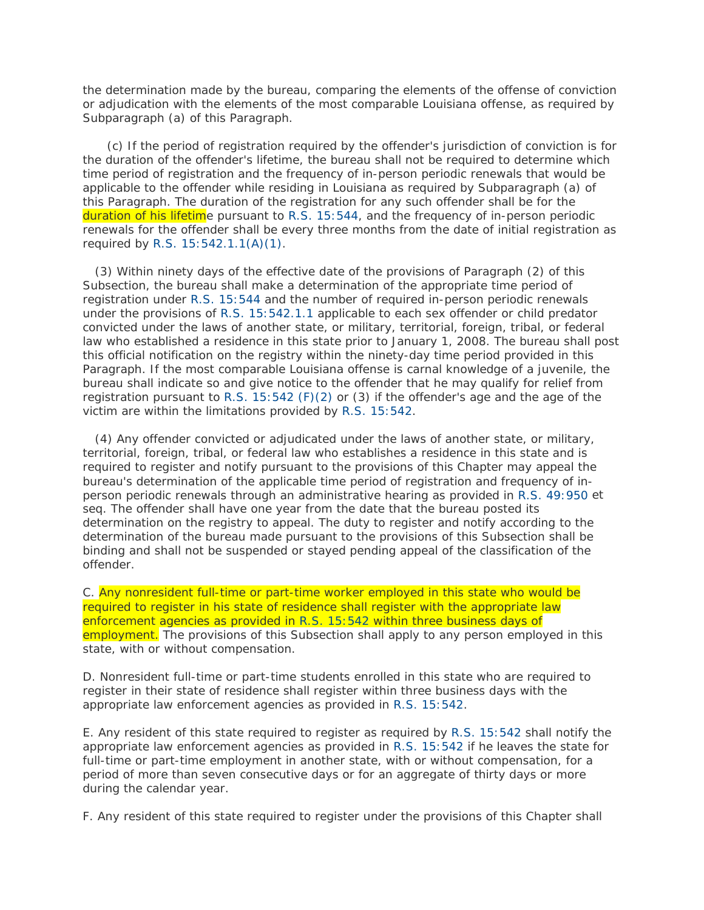the determination made by the bureau, comparing the elements of the offense of conviction or adjudication with the elements of the most comparable Louisiana offense, as required by Subparagraph (a) of this Paragraph.

 (c) If the period of registration required by the offender's jurisdiction of conviction is for the duration of the offender's lifetime, the bureau shall not be required to determine which time period of registration and the frequency of in-person periodic renewals that would be applicable to the offender while residing in Louisiana as required by Subparagraph (a) of this Paragraph. The duration of the registration for any such offender shall be for the duration of his lifetime pursuant to [R.S. 15:544,](http://www.lexis.com/research/buttonTFLink?_m=7b95c2e803a618f09e901dff265c6085&_xfercite=%3ccite%20cc%3d%22USA%22%3e%3c%21%5bCDATA%5bLa.%20R.S.%2015%3a542.1.3%5d%5d%3e%3c%2fcite%3e&_butType=4&_butStat=0&_butNum=11&_butInline=1&_butinfo=LACODE%2015%3a544&_fmtstr=FULL&docnum=1&_startdoc=1&wchp=dGLzVzB-zSkAW&_md5=fb94d72d29e501e6b878740277b88148) and the frequency of in-person periodic renewals for the offender shall be every three months from the date of initial registration as required by [R.S. 15:542.1.1\(A\)\(1\).](http://www.lexis.com/research/buttonTFLink?_m=7b95c2e803a618f09e901dff265c6085&_xfercite=%3ccite%20cc%3d%22USA%22%3e%3c%21%5bCDATA%5bLa.%20R.S.%2015%3a542.1.3%5d%5d%3e%3c%2fcite%3e&_butType=4&_butStat=0&_butNum=12&_butInline=1&_butinfo=LACODE%2015%3a542.1.1&_fmtstr=FULL&docnum=1&_startdoc=1&wchp=dGLzVzB-zSkAW&_md5=25f508339283165c47bd6c5ce239a2e0)

 (3) Within ninety days of the effective date of the provisions of Paragraph (2) of this Subsection, the bureau shall make a determination of the appropriate time period of registration under [R.S. 15:544](http://www.lexis.com/research/buttonTFLink?_m=7b95c2e803a618f09e901dff265c6085&_xfercite=%3ccite%20cc%3d%22USA%22%3e%3c%21%5bCDATA%5bLa.%20R.S.%2015%3a542.1.3%5d%5d%3e%3c%2fcite%3e&_butType=4&_butStat=0&_butNum=13&_butInline=1&_butinfo=LACODE%2015%3a544&_fmtstr=FULL&docnum=1&_startdoc=1&wchp=dGLzVzB-zSkAW&_md5=2f29e57dad47a47e3f21b5bdce768c78) and the number of required in-person periodic renewals under the provisions of [R.S. 15:542.1.1](http://www.lexis.com/research/buttonTFLink?_m=7b95c2e803a618f09e901dff265c6085&_xfercite=%3ccite%20cc%3d%22USA%22%3e%3c%21%5bCDATA%5bLa.%20R.S.%2015%3a542.1.3%5d%5d%3e%3c%2fcite%3e&_butType=4&_butStat=0&_butNum=14&_butInline=1&_butinfo=LACODE%2015%3a542.1.1&_fmtstr=FULL&docnum=1&_startdoc=1&wchp=dGLzVzB-zSkAW&_md5=98b3ad1826c080273f95455c4c028e1d) applicable to each sex offender or child predator convicted under the laws of another state, or military, territorial, foreign, tribal, or federal law who established a residence in this state prior to January 1, 2008. The bureau shall post this official notification on the registry within the ninety-day time period provided in this Paragraph. If the most comparable Louisiana offense is carnal knowledge of a juvenile, the bureau shall indicate so and give notice to the offender that he may qualify for relief from registration pursuant to [R.S. 15:542 \(F\)\(2\)](http://www.lexis.com/research/buttonTFLink?_m=7b95c2e803a618f09e901dff265c6085&_xfercite=%3ccite%20cc%3d%22USA%22%3e%3c%21%5bCDATA%5bLa.%20R.S.%2015%3a542.1.3%5d%5d%3e%3c%2fcite%3e&_butType=4&_butStat=0&_butNum=15&_butInline=1&_butinfo=LACODE%2015%3a542&_fmtstr=FULL&docnum=1&_startdoc=1&wchp=dGLzVzB-zSkAW&_md5=bfa124bc646a4c9052c761f8f9f63322) or (3) if the offender's age and the age of the victim are within the limitations provided by [R.S. 15:542.](http://www.lexis.com/research/buttonTFLink?_m=7b95c2e803a618f09e901dff265c6085&_xfercite=%3ccite%20cc%3d%22USA%22%3e%3c%21%5bCDATA%5bLa.%20R.S.%2015%3a542.1.3%5d%5d%3e%3c%2fcite%3e&_butType=4&_butStat=0&_butNum=16&_butInline=1&_butinfo=LACODE%2015%3a542&_fmtstr=FULL&docnum=1&_startdoc=1&wchp=dGLzVzB-zSkAW&_md5=a56662aa978dac16d178f8f23eb4bbea)

 (4) Any offender convicted or adjudicated under the laws of another state, or military, territorial, foreign, tribal, or federal law who establishes a residence in this state and is required to register and notify pursuant to the provisions of this Chapter may appeal the bureau's determination of the applicable time period of registration and frequency of inperson periodic renewals through an administrative hearing as provided in [R.S. 49:950](http://www.lexis.com/research/buttonTFLink?_m=7b95c2e803a618f09e901dff265c6085&_xfercite=%3ccite%20cc%3d%22USA%22%3e%3c%21%5bCDATA%5bLa.%20R.S.%2015%3a542.1.3%5d%5d%3e%3c%2fcite%3e&_butType=4&_butStat=0&_butNum=17&_butInline=1&_butinfo=LACODE%2049%3a950&_fmtstr=FULL&docnum=1&_startdoc=1&wchp=dGLzVzB-zSkAW&_md5=90f628ef8a2756bb28849e1a191e5046) et seq. The offender shall have one year from the date that the bureau posted its determination on the registry to appeal. The duty to register and notify according to the determination of the bureau made pursuant to the provisions of this Subsection shall be binding and shall not be suspended or stayed pending appeal of the classification of the offender.

C. Any nonresident full-time or part-time worker employed in this state who would be required to register in his state of residence shall register with the appropriate law enforcement agencies as provided in [R.S. 15:542](http://www.lexis.com/research/buttonTFLink?_m=7b95c2e803a618f09e901dff265c6085&_xfercite=%3ccite%20cc%3d%22USA%22%3e%3c%21%5bCDATA%5bLa.%20R.S.%2015%3a542.1.3%5d%5d%3e%3c%2fcite%3e&_butType=4&_butStat=0&_butNum=18&_butInline=1&_butinfo=LACODE%2015%3a542&_fmtstr=FULL&docnum=1&_startdoc=1&wchp=dGLzVzB-zSkAW&_md5=c9571323f80e4c5a7ce96eafae2e5766) within three business days of employment. The provisions of this Subsection shall apply to any person employed in this state, with or without compensation.

D. Nonresident full-time or part-time students enrolled in this state who are required to register in their state of residence shall register within three business days with the appropriate law enforcement agencies as provided in [R.S. 15:542.](http://www.lexis.com/research/buttonTFLink?_m=7b95c2e803a618f09e901dff265c6085&_xfercite=%3ccite%20cc%3d%22USA%22%3e%3c%21%5bCDATA%5bLa.%20R.S.%2015%3a542.1.3%5d%5d%3e%3c%2fcite%3e&_butType=4&_butStat=0&_butNum=19&_butInline=1&_butinfo=LACODE%2015%3a542&_fmtstr=FULL&docnum=1&_startdoc=1&wchp=dGLzVzB-zSkAW&_md5=ee8fdeb7bbbd29e4eff9ca389709a9cd)

E. Any resident of this state required to register as required by [R.S. 15:542](http://www.lexis.com/research/buttonTFLink?_m=7b95c2e803a618f09e901dff265c6085&_xfercite=%3ccite%20cc%3d%22USA%22%3e%3c%21%5bCDATA%5bLa.%20R.S.%2015%3a542.1.3%5d%5d%3e%3c%2fcite%3e&_butType=4&_butStat=0&_butNum=20&_butInline=1&_butinfo=LACODE%2015%3a542&_fmtstr=FULL&docnum=1&_startdoc=1&wchp=dGLzVzB-zSkAW&_md5=f117cd19c8f3956a7a58b83e761f11cb) shall notify the appropriate law enforcement agencies as provided in [R.S. 15:542](http://www.lexis.com/research/buttonTFLink?_m=7b95c2e803a618f09e901dff265c6085&_xfercite=%3ccite%20cc%3d%22USA%22%3e%3c%21%5bCDATA%5bLa.%20R.S.%2015%3a542.1.3%5d%5d%3e%3c%2fcite%3e&_butType=4&_butStat=0&_butNum=21&_butInline=1&_butinfo=LACODE%2015%3a542&_fmtstr=FULL&docnum=1&_startdoc=1&wchp=dGLzVzB-zSkAW&_md5=562ad981cf88d04c103a3041647f751a) if he leaves the state for full-time or part-time employment in another state, with or without compensation, for a period of more than seven consecutive days or for an aggregate of thirty days or more during the calendar year.

F. Any resident of this state required to register under the provisions of this Chapter shall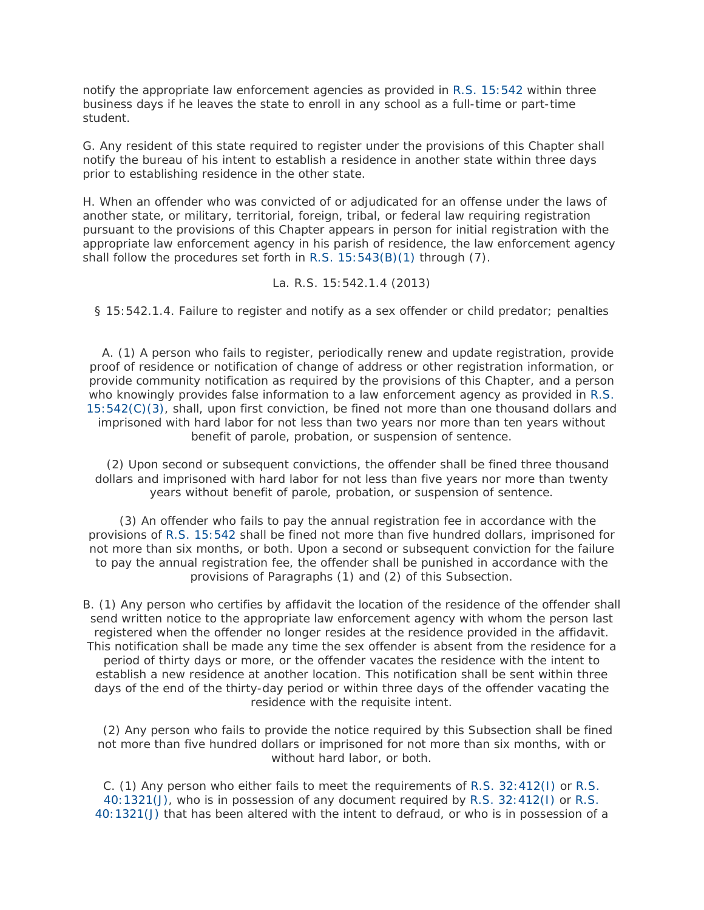notify the appropriate law enforcement agencies as provided in [R.S. 15:542](http://www.lexis.com/research/buttonTFLink?_m=7b95c2e803a618f09e901dff265c6085&_xfercite=%3ccite%20cc%3d%22USA%22%3e%3c%21%5bCDATA%5bLa.%20R.S.%2015%3a542.1.3%5d%5d%3e%3c%2fcite%3e&_butType=4&_butStat=0&_butNum=22&_butInline=1&_butinfo=LACODE%2015%3a542&_fmtstr=FULL&docnum=1&_startdoc=1&wchp=dGLzVzB-zSkAW&_md5=5666b74bc29ffb4ac701e49cacd5d21d) within three business days if he leaves the state to enroll in any school as a full-time or part-time student.

G. Any resident of this state required to register under the provisions of this Chapter shall notify the bureau of his intent to establish a residence in another state within three days prior to establishing residence in the other state.

H. When an offender who was convicted of or adjudicated for an offense under the laws of another state, or military, territorial, foreign, tribal, or federal law requiring registration pursuant to the provisions of this Chapter appears in person for initial registration with the appropriate law enforcement agency in his parish of residence, the law enforcement agency shall follow the procedures set forth in [R.S. 15:543\(B\)\(1\)](http://www.lexis.com/research/buttonTFLink?_m=7b95c2e803a618f09e901dff265c6085&_xfercite=%3ccite%20cc%3d%22USA%22%3e%3c%21%5bCDATA%5bLa.%20R.S.%2015%3a542.1.3%5d%5d%3e%3c%2fcite%3e&_butType=4&_butStat=0&_butNum=23&_butInline=1&_butinfo=LACODE%2015%3a543&_fmtstr=FULL&docnum=1&_startdoc=1&wchp=dGLzVzB-zSkAW&_md5=c2ac2307dd3317f2b20ecc6329bdcd2d) through (7).

La. R.S. 15:542.1.4 (2013)

§ 15:542.1.4. Failure to register and notify as a sex offender or child predator; penalties

 A. (1) A person who fails to register, periodically renew and update registration, provide proof of residence or notification of change of address or other registration information, or provide community notification as required by the provisions of this Chapter, and a person who knowingly provides false information to a law enforcement agency as provided in [R.S.](http://www.lexis.com/research/buttonTFLink?_m=220b0c3b82dab35864f2201619e83705&_xfercite=%3ccite%20cc%3d%22USA%22%3e%3c%21%5bCDATA%5bLa.%20R.S.%2015%3a542.1.4%5d%5d%3e%3c%2fcite%3e&_butType=4&_butStat=0&_butNum=2&_butInline=1&_butinfo=LACODE%2015%3a542&_fmtstr=FULL&docnum=1&_startdoc=1&wchp=dGLzVzB-zSkAW&_md5=2cf562ccdf83944fa5f95ed6ce173816)  [15:542\(C\)\(3\),](http://www.lexis.com/research/buttonTFLink?_m=220b0c3b82dab35864f2201619e83705&_xfercite=%3ccite%20cc%3d%22USA%22%3e%3c%21%5bCDATA%5bLa.%20R.S.%2015%3a542.1.4%5d%5d%3e%3c%2fcite%3e&_butType=4&_butStat=0&_butNum=2&_butInline=1&_butinfo=LACODE%2015%3a542&_fmtstr=FULL&docnum=1&_startdoc=1&wchp=dGLzVzB-zSkAW&_md5=2cf562ccdf83944fa5f95ed6ce173816) shall, upon first conviction, be fined not more than one thousand dollars and imprisoned with hard labor for not less than two years nor more than ten years without benefit of parole, probation, or suspension of sentence.

 (2) Upon second or subsequent convictions, the offender shall be fined three thousand dollars and imprisoned with hard labor for not less than five years nor more than twenty years without benefit of parole, probation, or suspension of sentence.

 (3) An offender who fails to pay the annual registration fee in accordance with the provisions of [R.S. 15:542](http://www.lexis.com/research/buttonTFLink?_m=220b0c3b82dab35864f2201619e83705&_xfercite=%3ccite%20cc%3d%22USA%22%3e%3c%21%5bCDATA%5bLa.%20R.S.%2015%3a542.1.4%5d%5d%3e%3c%2fcite%3e&_butType=4&_butStat=0&_butNum=3&_butInline=1&_butinfo=LACODE%2015%3a542&_fmtstr=FULL&docnum=1&_startdoc=1&wchp=dGLzVzB-zSkAW&_md5=754c5ab1f8ce6551cfdf057fefec4395) shall be fined not more than five hundred dollars, imprisoned for not more than six months, or both. Upon a second or subsequent conviction for the failure to pay the annual registration fee, the offender shall be punished in accordance with the provisions of Paragraphs (1) and (2) of this Subsection.

B. (1) Any person who certifies by affidavit the location of the residence of the offender shall send written notice to the appropriate law enforcement agency with whom the person last registered when the offender no longer resides at the residence provided in the affidavit. This notification shall be made any time the sex offender is absent from the residence for a period of thirty days or more, or the offender vacates the residence with the intent to establish a new residence at another location. This notification shall be sent within three days of the end of the thirty-day period or within three days of the offender vacating the residence with the requisite intent.

 (2) Any person who fails to provide the notice required by this Subsection shall be fined not more than five hundred dollars or imprisoned for not more than six months, with or without hard labor, or both.

C. (1) Any person who either fails to meet the requirements of [R.S. 32:412\(I\)](http://www.lexis.com/research/buttonTFLink?_m=220b0c3b82dab35864f2201619e83705&_xfercite=%3ccite%20cc%3d%22USA%22%3e%3c%21%5bCDATA%5bLa.%20R.S.%2015%3a542.1.4%5d%5d%3e%3c%2fcite%3e&_butType=4&_butStat=0&_butNum=4&_butInline=1&_butinfo=LACODE%2032%3a412&_fmtstr=FULL&docnum=1&_startdoc=1&wchp=dGLzVzB-zSkAW&_md5=fc33cf80ffc67f6def88ff4d1f56236e) or [R.S.](http://www.lexis.com/research/buttonTFLink?_m=220b0c3b82dab35864f2201619e83705&_xfercite=%3ccite%20cc%3d%22USA%22%3e%3c%21%5bCDATA%5bLa.%20R.S.%2015%3a542.1.4%5d%5d%3e%3c%2fcite%3e&_butType=4&_butStat=0&_butNum=5&_butInline=1&_butinfo=LACODE%2040%3a1321&_fmtstr=FULL&docnum=1&_startdoc=1&wchp=dGLzVzB-zSkAW&_md5=530a67e645cb1171dfd65ddc9026ba69)  [40:1321\(J\),](http://www.lexis.com/research/buttonTFLink?_m=220b0c3b82dab35864f2201619e83705&_xfercite=%3ccite%20cc%3d%22USA%22%3e%3c%21%5bCDATA%5bLa.%20R.S.%2015%3a542.1.4%5d%5d%3e%3c%2fcite%3e&_butType=4&_butStat=0&_butNum=5&_butInline=1&_butinfo=LACODE%2040%3a1321&_fmtstr=FULL&docnum=1&_startdoc=1&wchp=dGLzVzB-zSkAW&_md5=530a67e645cb1171dfd65ddc9026ba69) who is in possession of any document required by [R.S. 32:412\(I\)](http://www.lexis.com/research/buttonTFLink?_m=220b0c3b82dab35864f2201619e83705&_xfercite=%3ccite%20cc%3d%22USA%22%3e%3c%21%5bCDATA%5bLa.%20R.S.%2015%3a542.1.4%5d%5d%3e%3c%2fcite%3e&_butType=4&_butStat=0&_butNum=6&_butInline=1&_butinfo=LACODE%2032%3a412&_fmtstr=FULL&docnum=1&_startdoc=1&wchp=dGLzVzB-zSkAW&_md5=e70da9f37de1af01dc78ae9ea8706b99) or [R.S.](http://www.lexis.com/research/buttonTFLink?_m=220b0c3b82dab35864f2201619e83705&_xfercite=%3ccite%20cc%3d%22USA%22%3e%3c%21%5bCDATA%5bLa.%20R.S.%2015%3a542.1.4%5d%5d%3e%3c%2fcite%3e&_butType=4&_butStat=0&_butNum=7&_butInline=1&_butinfo=LACODE%2040%3a1321&_fmtstr=FULL&docnum=1&_startdoc=1&wchp=dGLzVzB-zSkAW&_md5=fc58ebef4ac7007d313b9931ada5fab9)  [40:1321\(J\)](http://www.lexis.com/research/buttonTFLink?_m=220b0c3b82dab35864f2201619e83705&_xfercite=%3ccite%20cc%3d%22USA%22%3e%3c%21%5bCDATA%5bLa.%20R.S.%2015%3a542.1.4%5d%5d%3e%3c%2fcite%3e&_butType=4&_butStat=0&_butNum=7&_butInline=1&_butinfo=LACODE%2040%3a1321&_fmtstr=FULL&docnum=1&_startdoc=1&wchp=dGLzVzB-zSkAW&_md5=fc58ebef4ac7007d313b9931ada5fab9) that has been altered with the intent to defraud, or who is in possession of a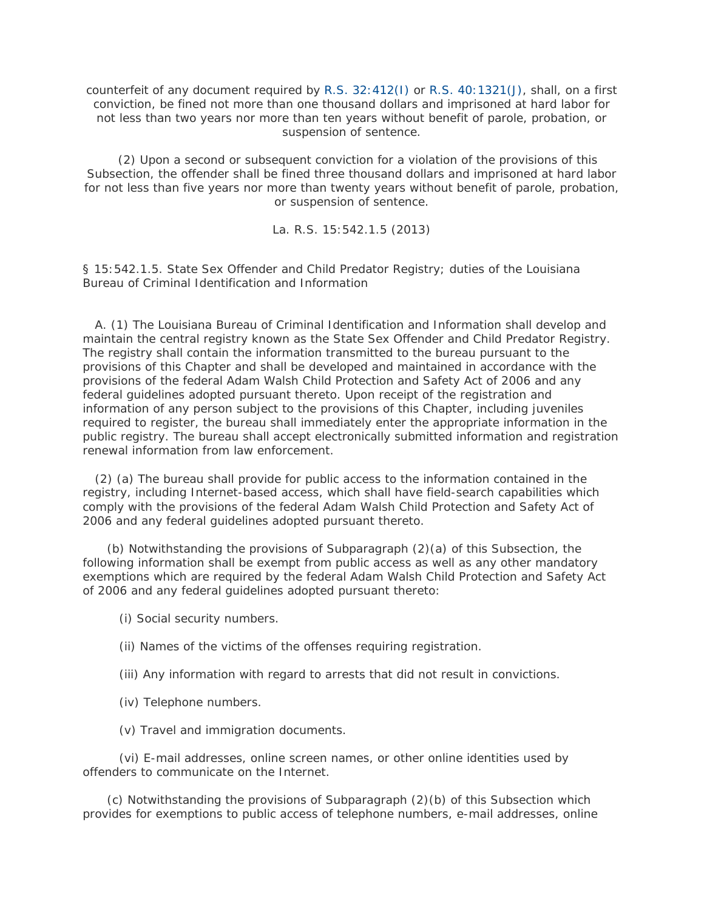counterfeit of any document required by [R.S. 32:412\(I\)](http://www.lexis.com/research/buttonTFLink?_m=220b0c3b82dab35864f2201619e83705&_xfercite=%3ccite%20cc%3d%22USA%22%3e%3c%21%5bCDATA%5bLa.%20R.S.%2015%3a542.1.4%5d%5d%3e%3c%2fcite%3e&_butType=4&_butStat=0&_butNum=8&_butInline=1&_butinfo=LACODE%2032%3a412&_fmtstr=FULL&docnum=1&_startdoc=1&wchp=dGLzVzB-zSkAW&_md5=b5a22bcf05cdfb2606c904453b514668) or [R.S. 40:1321\(J\),](http://www.lexis.com/research/buttonTFLink?_m=220b0c3b82dab35864f2201619e83705&_xfercite=%3ccite%20cc%3d%22USA%22%3e%3c%21%5bCDATA%5bLa.%20R.S.%2015%3a542.1.4%5d%5d%3e%3c%2fcite%3e&_butType=4&_butStat=0&_butNum=9&_butInline=1&_butinfo=LACODE%2040%3a1321&_fmtstr=FULL&docnum=1&_startdoc=1&wchp=dGLzVzB-zSkAW&_md5=b59f3a4d1cb2250a8c7246d62978825c) shall, on a first conviction, be fined not more than one thousand dollars and imprisoned at hard labor for not less than two years nor more than ten years without benefit of parole, probation, or suspension of sentence.

 (2) Upon a second or subsequent conviction for a violation of the provisions of this Subsection, the offender shall be fined three thousand dollars and imprisoned at hard labor for not less than five years nor more than twenty years without benefit of parole, probation, or suspension of sentence.

La. R.S. 15:542.1.5 (2013)

§ 15:542.1.5. State Sex Offender and Child Predator Registry; duties of the Louisiana Bureau of Criminal Identification and Information

 A. (1) The Louisiana Bureau of Criminal Identification and Information shall develop and maintain the central registry known as the State Sex Offender and Child Predator Registry. The registry shall contain the information transmitted to the bureau pursuant to the provisions of this Chapter and shall be developed and maintained in accordance with the provisions of the federal Adam Walsh Child Protection and Safety Act of 2006 and any federal guidelines adopted pursuant thereto. Upon receipt of the registration and information of any person subject to the provisions of this Chapter, including juveniles required to register, the bureau shall immediately enter the appropriate information in the public registry. The bureau shall accept electronically submitted information and registration renewal information from law enforcement.

 (2) (a) The bureau shall provide for public access to the information contained in the registry, including Internet-based access, which shall have field-search capabilities which comply with the provisions of the federal Adam Walsh Child Protection and Safety Act of 2006 and any federal guidelines adopted pursuant thereto.

 (b) Notwithstanding the provisions of Subparagraph (2)(a) of this Subsection, the following information shall be exempt from public access as well as any other mandatory exemptions which are required by the federal Adam Walsh Child Protection and Safety Act of 2006 and any federal guidelines adopted pursuant thereto:

(i) Social security numbers.

(ii) Names of the victims of the offenses requiring registration.

- (iii) Any information with regard to arrests that did not result in convictions.
- (iv) Telephone numbers.

(v) Travel and immigration documents.

 (vi) E-mail addresses, online screen names, or other online identities used by offenders to communicate on the Internet.

 (c) Notwithstanding the provisions of Subparagraph (2)(b) of this Subsection which provides for exemptions to public access of telephone numbers, e-mail addresses, online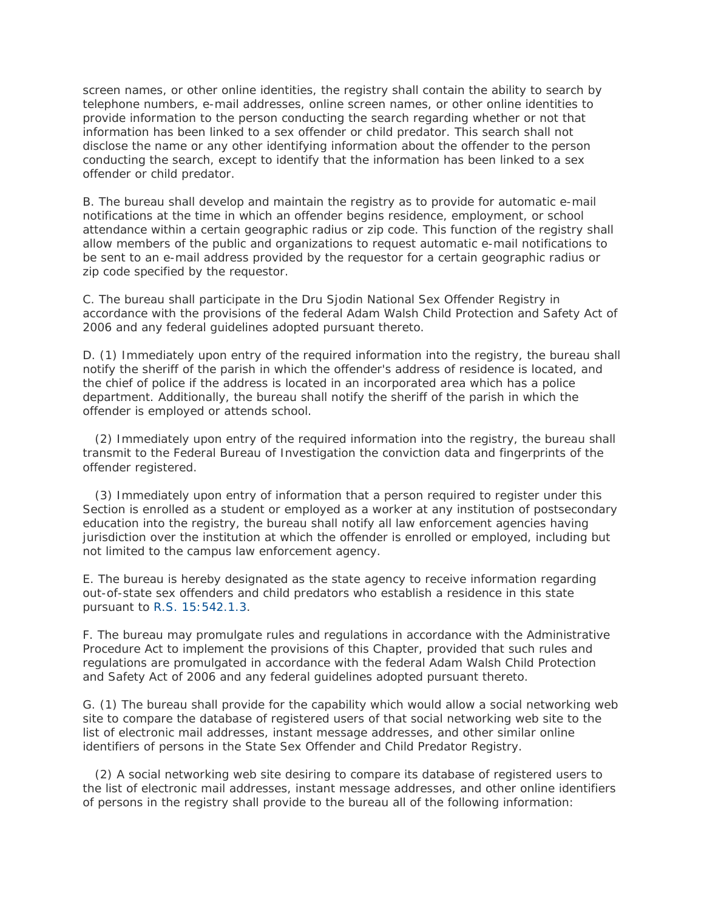screen names, or other online identities, the registry shall contain the ability to search by telephone numbers, e-mail addresses, online screen names, or other online identities to provide information to the person conducting the search regarding whether or not that information has been linked to a sex offender or child predator. This search shall not disclose the name or any other identifying information about the offender to the person conducting the search, except to identify that the information has been linked to a sex offender or child predator.

B. The bureau shall develop and maintain the registry as to provide for automatic e-mail notifications at the time in which an offender begins residence, employment, or school attendance within a certain geographic radius or zip code. This function of the registry shall allow members of the public and organizations to request automatic e-mail notifications to be sent to an e-mail address provided by the requestor for a certain geographic radius or zip code specified by the requestor.

C. The bureau shall participate in the Dru Sjodin National Sex Offender Registry in accordance with the provisions of the federal Adam Walsh Child Protection and Safety Act of 2006 and any federal guidelines adopted pursuant thereto.

D. (1) Immediately upon entry of the required information into the registry, the bureau shall notify the sheriff of the parish in which the offender's address of residence is located, and the chief of police if the address is located in an incorporated area which has a police department. Additionally, the bureau shall notify the sheriff of the parish in which the offender is employed or attends school.

 (2) Immediately upon entry of the required information into the registry, the bureau shall transmit to the Federal Bureau of Investigation the conviction data and fingerprints of the offender registered.

 (3) Immediately upon entry of information that a person required to register under this Section is enrolled as a student or employed as a worker at any institution of postsecondary education into the registry, the bureau shall notify all law enforcement agencies having jurisdiction over the institution at which the offender is enrolled or employed, including but not limited to the campus law enforcement agency.

E. The bureau is hereby designated as the state agency to receive information regarding out-of-state sex offenders and child predators who establish a residence in this state pursuant to [R.S. 15:542.1.3.](http://www.lexis.com/research/buttonTFLink?_m=53f2b767c326fa55d73a0dd9c62b0b36&_xfercite=%3ccite%20cc%3d%22USA%22%3e%3c%21%5bCDATA%5bLa.%20R.S.%2015%3a542.1.5%5d%5d%3e%3c%2fcite%3e&_butType=4&_butStat=0&_butNum=2&_butInline=1&_butinfo=LACODE%2015%3a542.1.3&_fmtstr=FULL&docnum=1&_startdoc=1&wchp=dGLzVzB-zSkAW&_md5=df1955ccd42cad50c713187256f9769c)

F. The bureau may promulgate rules and regulations in accordance with the Administrative Procedure Act to implement the provisions of this Chapter, provided that such rules and regulations are promulgated in accordance with the federal Adam Walsh Child Protection and Safety Act of 2006 and any federal guidelines adopted pursuant thereto.

G. (1) The bureau shall provide for the capability which would allow a social networking web site to compare the database of registered users of that social networking web site to the list of electronic mail addresses, instant message addresses, and other similar online identifiers of persons in the State Sex Offender and Child Predator Registry.

 (2) A social networking web site desiring to compare its database of registered users to the list of electronic mail addresses, instant message addresses, and other online identifiers of persons in the registry shall provide to the bureau all of the following information: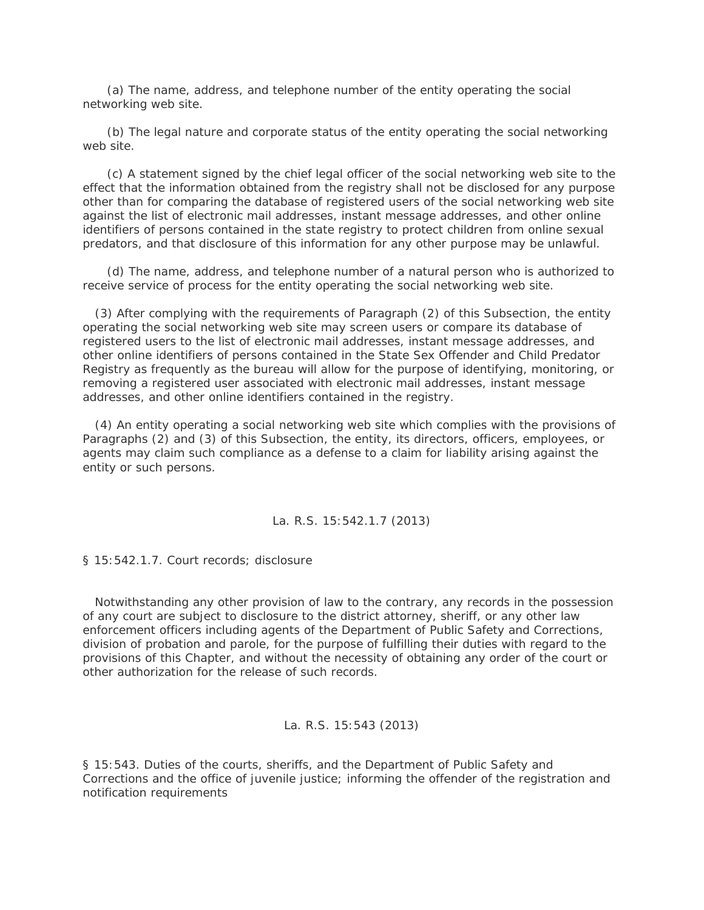(a) The name, address, and telephone number of the entity operating the social networking web site.

 (b) The legal nature and corporate status of the entity operating the social networking web site.

 (c) A statement signed by the chief legal officer of the social networking web site to the effect that the information obtained from the registry shall not be disclosed for any purpose other than for comparing the database of registered users of the social networking web site against the list of electronic mail addresses, instant message addresses, and other online identifiers of persons contained in the state registry to protect children from online sexual predators, and that disclosure of this information for any other purpose may be unlawful.

 (d) The name, address, and telephone number of a natural person who is authorized to receive service of process for the entity operating the social networking web site.

 (3) After complying with the requirements of Paragraph (2) of this Subsection, the entity operating the social networking web site may screen users or compare its database of registered users to the list of electronic mail addresses, instant message addresses, and other online identifiers of persons contained in the State Sex Offender and Child Predator Registry as frequently as the bureau will allow for the purpose of identifying, monitoring, or removing a registered user associated with electronic mail addresses, instant message addresses, and other online identifiers contained in the registry.

 (4) An entity operating a social networking web site which complies with the provisions of Paragraphs (2) and (3) of this Subsection, the entity, its directors, officers, employees, or agents may claim such compliance as a defense to a claim for liability arising against the entity or such persons.

La. R.S. 15:542.1.7 (2013)

§ 15:542.1.7. Court records; disclosure

 Notwithstanding any other provision of law to the contrary, any records in the possession of any court are subject to disclosure to the district attorney, sheriff, or any other law enforcement officers including agents of the Department of Public Safety and Corrections, division of probation and parole, for the purpose of fulfilling their duties with regard to the provisions of this Chapter, and without the necessity of obtaining any order of the court or other authorization for the release of such records.

#### La. R.S. 15:543 (2013)

§ 15:543. Duties of the courts, sheriffs, and the Department of Public Safety and Corrections and the office of juvenile justice; informing the offender of the registration and notification requirements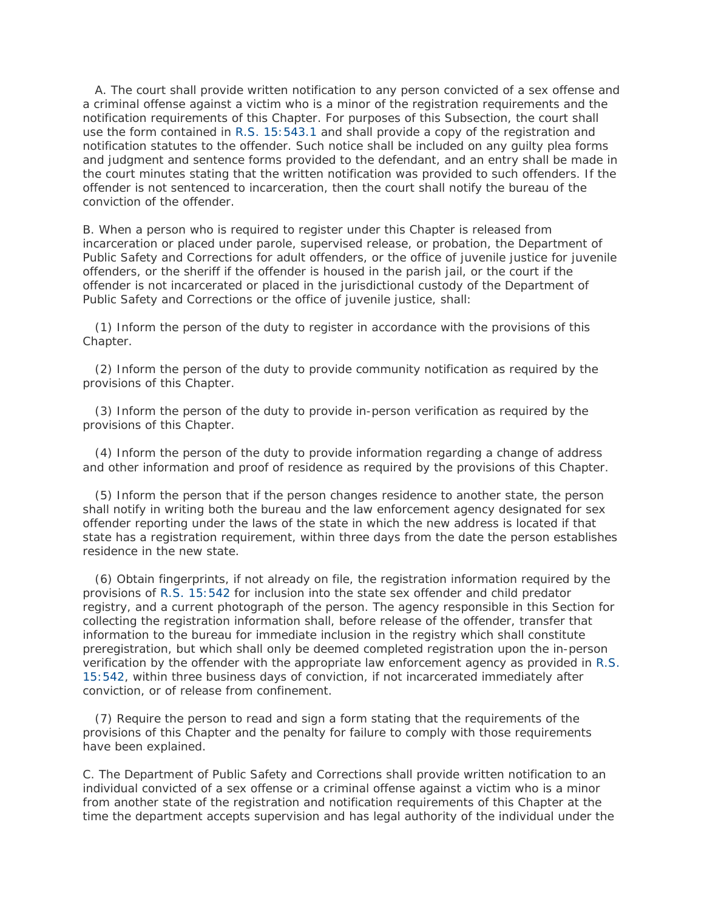A. The court shall provide written notification to any person convicted of a sex offense and a criminal offense against a victim who is a minor of the registration requirements and the notification requirements of this Chapter. For purposes of this Subsection, the court shall use the form contained in [R.S. 15:543.1](http://www.lexis.com/research/buttonTFLink?_m=57941aab8789b4f4d363674c8f9d53c5&_xfercite=%3ccite%20cc%3d%22USA%22%3e%3c%21%5bCDATA%5bLa.%20R.S.%2015%3a543%5d%5d%3e%3c%2fcite%3e&_butType=4&_butStat=0&_butNum=2&_butInline=1&_butinfo=LACODE%2015%3a543.1&_fmtstr=FULL&docnum=1&_startdoc=1&wchp=dGLzVzB-zSkAW&_md5=cd8371a0ebde3ab4d0535de9c6e13abd) and shall provide a copy of the registration and notification statutes to the offender. Such notice shall be included on any guilty plea forms and judgment and sentence forms provided to the defendant, and an entry shall be made in the court minutes stating that the written notification was provided to such offenders. If the offender is not sentenced to incarceration, then the court shall notify the bureau of the conviction of the offender.

B. When a person who is required to register under this Chapter is released from incarceration or placed under parole, supervised release, or probation, the Department of Public Safety and Corrections for adult offenders, or the office of juvenile justice for juvenile offenders, or the sheriff if the offender is housed in the parish jail, or the court if the offender is not incarcerated or placed in the jurisdictional custody of the Department of Public Safety and Corrections or the office of juvenile justice, shall:

 (1) Inform the person of the duty to register in accordance with the provisions of this Chapter.

 (2) Inform the person of the duty to provide community notification as required by the provisions of this Chapter.

 (3) Inform the person of the duty to provide in-person verification as required by the provisions of this Chapter.

 (4) Inform the person of the duty to provide information regarding a change of address and other information and proof of residence as required by the provisions of this Chapter.

 (5) Inform the person that if the person changes residence to another state, the person shall notify in writing both the bureau and the law enforcement agency designated for sex offender reporting under the laws of the state in which the new address is located if that state has a registration requirement, within three days from the date the person establishes residence in the new state.

 (6) Obtain fingerprints, if not already on file, the registration information required by the provisions of [R.S. 15:542](http://www.lexis.com/research/buttonTFLink?_m=57941aab8789b4f4d363674c8f9d53c5&_xfercite=%3ccite%20cc%3d%22USA%22%3e%3c%21%5bCDATA%5bLa.%20R.S.%2015%3a543%5d%5d%3e%3c%2fcite%3e&_butType=4&_butStat=0&_butNum=3&_butInline=1&_butinfo=LACODE%2015%3a542&_fmtstr=FULL&docnum=1&_startdoc=1&wchp=dGLzVzB-zSkAW&_md5=6f4fba964c8b46bd339ccb51fa25ef00) for inclusion into the state sex offender and child predator registry, and a current photograph of the person. The agency responsible in this Section for collecting the registration information shall, before release of the offender, transfer that information to the bureau for immediate inclusion in the registry which shall constitute preregistration, but which shall only be deemed completed registration upon the in-person verification by the offender with the appropriate law enforcement agency as provided in [R.S.](http://www.lexis.com/research/buttonTFLink?_m=57941aab8789b4f4d363674c8f9d53c5&_xfercite=%3ccite%20cc%3d%22USA%22%3e%3c%21%5bCDATA%5bLa.%20R.S.%2015%3a543%5d%5d%3e%3c%2fcite%3e&_butType=4&_butStat=0&_butNum=4&_butInline=1&_butinfo=LACODE%2015%3a542&_fmtstr=FULL&docnum=1&_startdoc=1&wchp=dGLzVzB-zSkAW&_md5=90760264afdf9cda0c4a7206fad65b0a)  [15:542,](http://www.lexis.com/research/buttonTFLink?_m=57941aab8789b4f4d363674c8f9d53c5&_xfercite=%3ccite%20cc%3d%22USA%22%3e%3c%21%5bCDATA%5bLa.%20R.S.%2015%3a543%5d%5d%3e%3c%2fcite%3e&_butType=4&_butStat=0&_butNum=4&_butInline=1&_butinfo=LACODE%2015%3a542&_fmtstr=FULL&docnum=1&_startdoc=1&wchp=dGLzVzB-zSkAW&_md5=90760264afdf9cda0c4a7206fad65b0a) within three business days of conviction, if not incarcerated immediately after conviction, or of release from confinement.

 (7) Require the person to read and sign a form stating that the requirements of the provisions of this Chapter and the penalty for failure to comply with those requirements have been explained.

C. The Department of Public Safety and Corrections shall provide written notification to an individual convicted of a sex offense or a criminal offense against a victim who is a minor from another state of the registration and notification requirements of this Chapter at the time the department accepts supervision and has legal authority of the individual under the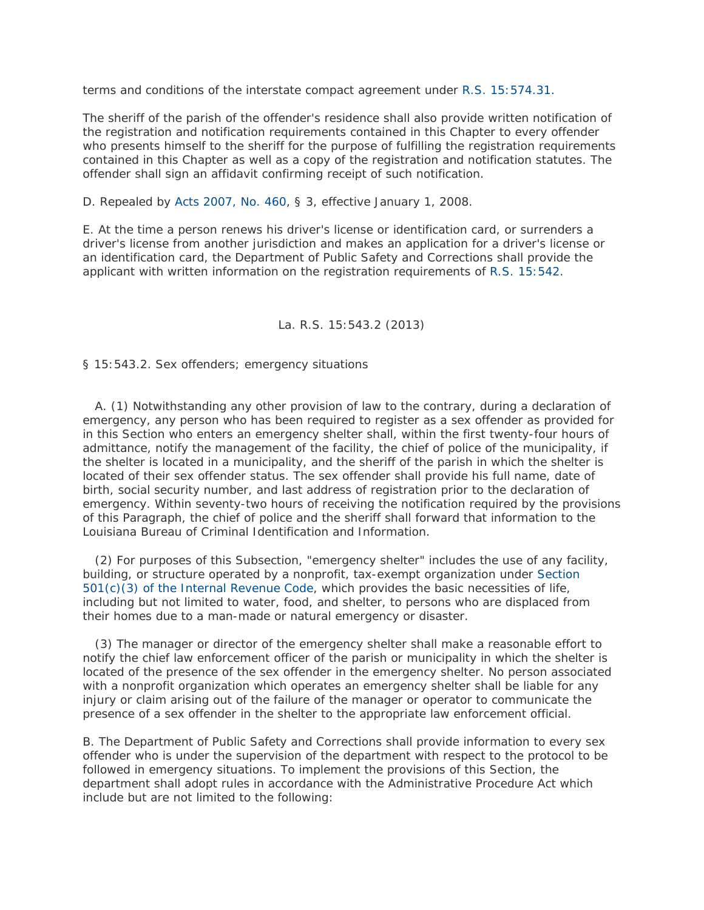terms and conditions of the interstate compact agreement under [R.S. 15:574.31.](http://www.lexis.com/research/buttonTFLink?_m=57941aab8789b4f4d363674c8f9d53c5&_xfercite=%3ccite%20cc%3d%22USA%22%3e%3c%21%5bCDATA%5bLa.%20R.S.%2015%3a543%5d%5d%3e%3c%2fcite%3e&_butType=4&_butStat=0&_butNum=5&_butInline=1&_butinfo=LACODE%2015%3a574.31&_fmtstr=FULL&docnum=1&_startdoc=1&wchp=dGLzVzB-zSkAW&_md5=4ec815b0704f04b536422969a342cee7)

The sheriff of the parish of the offender's residence shall also provide written notification of the registration and notification requirements contained in this Chapter to every offender who presents himself to the sheriff for the purpose of fulfilling the registration requirements contained in this Chapter as well as a copy of the registration and notification statutes. The offender shall sign an affidavit confirming receipt of such notification.

D. Repealed by [Acts 2007, No. 460,](http://www.lexis.com/research/buttonLink?_m=57941aab8789b4f4d363674c8f9d53c5&_xfercite=%3ccite%20cc%3d%22USA%22%3e%3c%21%5bCDATA%5bLa.%20R.S.%2015%3a543%5d%5d%3e%3c%2fcite%3e&_butType=1&_butStat=0&_butNum=6&_butInline=1&_butinfo=LXE_2007_LA_ALS_460&_fmtstr=FULL&docnum=1&_startdoc=1&wchp=dGLzVzB-zSkAW&_md5=969cb63cf7eac2b70aa605392a6da042) § 3, effective January 1, 2008.

E. At the time a person renews his driver's license or identification card, or surrenders a driver's license from another jurisdiction and makes an application for a driver's license or an identification card, the Department of Public Safety and Corrections shall provide the applicant with written information on the registration requirements of [R.S. 15:542.](http://www.lexis.com/research/buttonTFLink?_m=57941aab8789b4f4d363674c8f9d53c5&_xfercite=%3ccite%20cc%3d%22USA%22%3e%3c%21%5bCDATA%5bLa.%20R.S.%2015%3a543%5d%5d%3e%3c%2fcite%3e&_butType=4&_butStat=0&_butNum=7&_butInline=1&_butinfo=LACODE%2015%3a542&_fmtstr=FULL&docnum=1&_startdoc=1&wchp=dGLzVzB-zSkAW&_md5=0c68d6242e009388415e9b3809094160)

## La. R.S. 15:543.2 (2013)

§ 15:543.2. Sex offenders; emergency situations

 A. (1) Notwithstanding any other provision of law to the contrary, during a declaration of emergency, any person who has been required to register as a sex offender as provided for in this Section who enters an emergency shelter shall, within the first twenty-four hours of admittance, notify the management of the facility, the chief of police of the municipality, if the shelter is located in a municipality, and the sheriff of the parish in which the shelter is located of their sex offender status. The sex offender shall provide his full name, date of birth, social security number, and last address of registration prior to the declaration of emergency. Within seventy-two hours of receiving the notification required by the provisions of this Paragraph, the chief of police and the sheriff shall forward that information to the Louisiana Bureau of Criminal Identification and Information.

 (2) For purposes of this Subsection, "emergency shelter" includes the use of any facility, building, or structure operated by a nonprofit, tax-exempt organization under [Section](http://www.lexis.com/research/buttonTFLink?_m=81503019f36a81377e0e8ab01e2550f5&_xfercite=%3ccite%20cc%3d%22USA%22%3e%3c%21%5bCDATA%5bLa.%20R.S.%2015%3a543.2%5d%5d%3e%3c%2fcite%3e&_butType=4&_butStat=0&_butNum=2&_butInline=1&_butinfo=26%20USC%20501&_fmtstr=FULL&docnum=1&_startdoc=1&wchp=dGLzVzB-zSkAW&_md5=68f24568a080846d10384dbb7adbe849)  [501\(c\)\(3\) of the Internal Revenue Code,](http://www.lexis.com/research/buttonTFLink?_m=81503019f36a81377e0e8ab01e2550f5&_xfercite=%3ccite%20cc%3d%22USA%22%3e%3c%21%5bCDATA%5bLa.%20R.S.%2015%3a543.2%5d%5d%3e%3c%2fcite%3e&_butType=4&_butStat=0&_butNum=2&_butInline=1&_butinfo=26%20USC%20501&_fmtstr=FULL&docnum=1&_startdoc=1&wchp=dGLzVzB-zSkAW&_md5=68f24568a080846d10384dbb7adbe849) which provides the basic necessities of life, including but not limited to water, food, and shelter, to persons who are displaced from their homes due to a man-made or natural emergency or disaster.

 (3) The manager or director of the emergency shelter shall make a reasonable effort to notify the chief law enforcement officer of the parish or municipality in which the shelter is located of the presence of the sex offender in the emergency shelter. No person associated with a nonprofit organization which operates an emergency shelter shall be liable for any injury or claim arising out of the failure of the manager or operator to communicate the presence of a sex offender in the shelter to the appropriate law enforcement official.

B. The Department of Public Safety and Corrections shall provide information to every sex offender who is under the supervision of the department with respect to the protocol to be followed in emergency situations. To implement the provisions of this Section, the department shall adopt rules in accordance with the Administrative Procedure Act which include but are not limited to the following: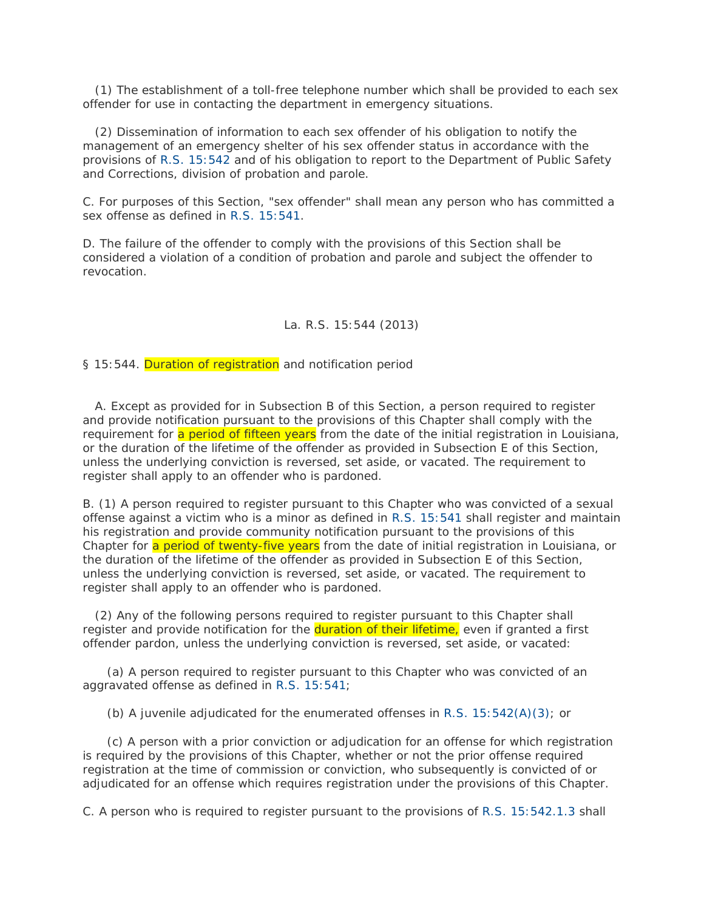(1) The establishment of a toll-free telephone number which shall be provided to each sex offender for use in contacting the department in emergency situations.

 (2) Dissemination of information to each sex offender of his obligation to notify the management of an emergency shelter of his sex offender status in accordance with the provisions of [R.S. 15:542](http://www.lexis.com/research/buttonTFLink?_m=81503019f36a81377e0e8ab01e2550f5&_xfercite=%3ccite%20cc%3d%22USA%22%3e%3c%21%5bCDATA%5bLa.%20R.S.%2015%3a543.2%5d%5d%3e%3c%2fcite%3e&_butType=4&_butStat=0&_butNum=3&_butInline=1&_butinfo=LACODE%2015%3a542&_fmtstr=FULL&docnum=1&_startdoc=1&wchp=dGLzVzB-zSkAW&_md5=3f334e11874ca0261e2f74e816b02222) and of his obligation to report to the Department of Public Safety and Corrections, division of probation and parole.

C. For purposes of this Section, "sex offender" shall mean any person who has committed a sex offense as defined in [R.S. 15:541.](http://www.lexis.com/research/buttonTFLink?_m=81503019f36a81377e0e8ab01e2550f5&_xfercite=%3ccite%20cc%3d%22USA%22%3e%3c%21%5bCDATA%5bLa.%20R.S.%2015%3a543.2%5d%5d%3e%3c%2fcite%3e&_butType=4&_butStat=0&_butNum=4&_butInline=1&_butinfo=LACODE%2015%3a541&_fmtstr=FULL&docnum=1&_startdoc=1&wchp=dGLzVzB-zSkAW&_md5=34814a40cc5d552e25d58c61fb2f4392)

D. The failure of the offender to comply with the provisions of this Section shall be considered a violation of a condition of probation and parole and subject the offender to revocation.

## La. R.S. 15:544 (2013)

§ 15:544. Duration of registration and notification period

 A. Except as provided for in Subsection B of this Section, a person required to register and provide notification pursuant to the provisions of this Chapter shall comply with the requirement for a period of fifteen years from the date of the initial registration in Louisiana, or the duration of the lifetime of the offender as provided in Subsection E of this Section, unless the underlying conviction is reversed, set aside, or vacated. The requirement to register shall apply to an offender who is pardoned.

B. (1) A person required to register pursuant to this Chapter who was convicted of a sexual offense against a victim who is a minor as defined in [R.S. 15:541](http://www.lexis.com/research/buttonTFLink?_m=5b9d13409ab58c195e8900c87dcef10c&_xfercite=%3ccite%20cc%3d%22USA%22%3e%3c%21%5bCDATA%5bLa.%20R.S.%2015%3a544%5d%5d%3e%3c%2fcite%3e&_butType=4&_butStat=0&_butNum=2&_butInline=1&_butinfo=LACODE%2015%3a541&_fmtstr=FULL&docnum=1&_startdoc=1&wchp=dGLzVzB-zSkAW&_md5=05f85cb6775c5377a8119a3a6553d1b1) shall register and maintain his registration and provide community notification pursuant to the provisions of this Chapter for a period of twenty-five years from the date of initial registration in Louisiana, or the duration of the lifetime of the offender as provided in Subsection E of this Section, unless the underlying conviction is reversed, set aside, or vacated. The requirement to register shall apply to an offender who is pardoned.

 (2) Any of the following persons required to register pursuant to this Chapter shall register and provide notification for the **duration of their lifetime**, even if granted a first offender pardon, unless the underlying conviction is reversed, set aside, or vacated:

 (a) A person required to register pursuant to this Chapter who was convicted of an aggravated offense as defined in [R.S. 15:541;](http://www.lexis.com/research/buttonTFLink?_m=5b9d13409ab58c195e8900c87dcef10c&_xfercite=%3ccite%20cc%3d%22USA%22%3e%3c%21%5bCDATA%5bLa.%20R.S.%2015%3a544%5d%5d%3e%3c%2fcite%3e&_butType=4&_butStat=0&_butNum=3&_butInline=1&_butinfo=LACODE%2015%3a541&_fmtstr=FULL&docnum=1&_startdoc=1&wchp=dGLzVzB-zSkAW&_md5=1c13b2ec616eff46ce089dfc3ac1d549)

(b) A juvenile adjudicated for the enumerated offenses in [R.S. 15:542\(A\)\(3\);](http://www.lexis.com/research/buttonTFLink?_m=5b9d13409ab58c195e8900c87dcef10c&_xfercite=%3ccite%20cc%3d%22USA%22%3e%3c%21%5bCDATA%5bLa.%20R.S.%2015%3a544%5d%5d%3e%3c%2fcite%3e&_butType=4&_butStat=0&_butNum=4&_butInline=1&_butinfo=LACODE%2015%3a542&_fmtstr=FULL&docnum=1&_startdoc=1&wchp=dGLzVzB-zSkAW&_md5=383c8b26409ec96075e057bbbb42d728) or

 (c) A person with a prior conviction or adjudication for an offense for which registration is required by the provisions of this Chapter, whether or not the prior offense required registration at the time of commission or conviction, who subsequently is convicted of or adjudicated for an offense which requires registration under the provisions of this Chapter.

C. A person who is required to register pursuant to the provisions of [R.S. 15:542.1.3](http://www.lexis.com/research/buttonTFLink?_m=5b9d13409ab58c195e8900c87dcef10c&_xfercite=%3ccite%20cc%3d%22USA%22%3e%3c%21%5bCDATA%5bLa.%20R.S.%2015%3a544%5d%5d%3e%3c%2fcite%3e&_butType=4&_butStat=0&_butNum=5&_butInline=1&_butinfo=LACODE%2015%3a542.1.3&_fmtstr=FULL&docnum=1&_startdoc=1&wchp=dGLzVzB-zSkAW&_md5=5ed3cf49e73d1f7e3fee030b4afb16ed) shall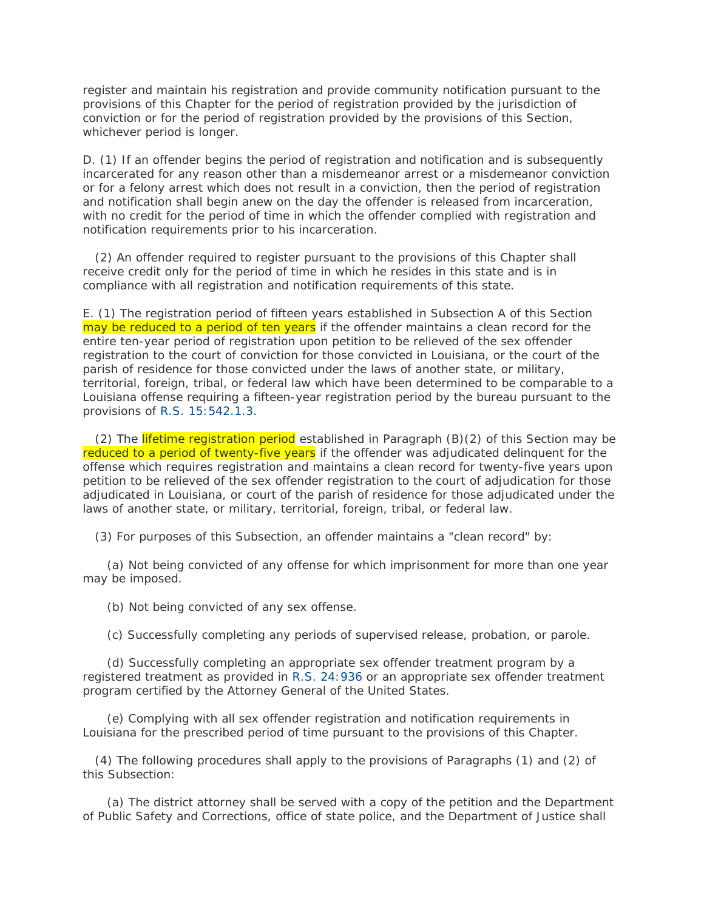register and maintain his registration and provide community notification pursuant to the provisions of this Chapter for the period of registration provided by the jurisdiction of conviction or for the period of registration provided by the provisions of this Section, whichever period is longer.

D. (1) If an offender begins the period of registration and notification and is subsequently incarcerated for any reason other than a misdemeanor arrest or a misdemeanor conviction or for a felony arrest which does not result in a conviction, then the period of registration and notification shall begin anew on the day the offender is released from incarceration, with no credit for the period of time in which the offender complied with registration and notification requirements prior to his incarceration.

 (2) An offender required to register pursuant to the provisions of this Chapter shall receive credit only for the period of time in which he resides in this state and is in compliance with all registration and notification requirements of this state.

E. (1) The registration period of fifteen years established in Subsection A of this Section may be reduced to a period of ten years if the offender maintains a clean record for the entire ten-year period of registration upon petition to be relieved of the sex offender registration to the court of conviction for those convicted in Louisiana, or the court of the parish of residence for those convicted under the laws of another state, or military, territorial, foreign, tribal, or federal law which have been determined to be comparable to a Louisiana offense requiring a fifteen-year registration period by the bureau pursuant to the provisions of [R.S. 15:542.1.3.](http://www.lexis.com/research/buttonTFLink?_m=5b9d13409ab58c195e8900c87dcef10c&_xfercite=%3ccite%20cc%3d%22USA%22%3e%3c%21%5bCDATA%5bLa.%20R.S.%2015%3a544%5d%5d%3e%3c%2fcite%3e&_butType=4&_butStat=0&_butNum=6&_butInline=1&_butinfo=LACODE%2015%3a542.1.3&_fmtstr=FULL&docnum=1&_startdoc=1&wchp=dGLzVzB-zSkAW&_md5=9a6e493712ca7f62ebf0d62b981b86f5)

(2) The lifetime registration period established in Paragraph  $(B)(2)$  of this Section may be reduced to a period of twenty-five years if the offender was adjudicated delinquent for the offense which requires registration and maintains a clean record for twenty-five years upon petition to be relieved of the sex offender registration to the court of adjudication for those adjudicated in Louisiana, or court of the parish of residence for those adjudicated under the laws of another state, or military, territorial, foreign, tribal, or federal law.

(3) For purposes of this Subsection, an offender maintains a "clean record" by:

 (a) Not being convicted of any offense for which imprisonment for more than one year may be imposed.

(b) Not being convicted of any sex offense.

(c) Successfully completing any periods of supervised release, probation, or parole.

 (d) Successfully completing an appropriate sex offender treatment program by a registered treatment as provided in [R.S. 24:936](http://www.lexis.com/research/buttonTFLink?_m=5b9d13409ab58c195e8900c87dcef10c&_xfercite=%3ccite%20cc%3d%22USA%22%3e%3c%21%5bCDATA%5bLa.%20R.S.%2015%3a544%5d%5d%3e%3c%2fcite%3e&_butType=4&_butStat=0&_butNum=7&_butInline=1&_butinfo=LACODE%2024%3a936&_fmtstr=FULL&docnum=1&_startdoc=1&wchp=dGLzVzB-zSkAW&_md5=9d32ac19a27e64c77ed9370885f72c33) or an appropriate sex offender treatment program certified by the Attorney General of the United States.

 (e) Complying with all sex offender registration and notification requirements in Louisiana for the prescribed period of time pursuant to the provisions of this Chapter.

 (4) The following procedures shall apply to the provisions of Paragraphs (1) and (2) of this Subsection:

 (a) The district attorney shall be served with a copy of the petition and the Department of Public Safety and Corrections, office of state police, and the Department of Justice shall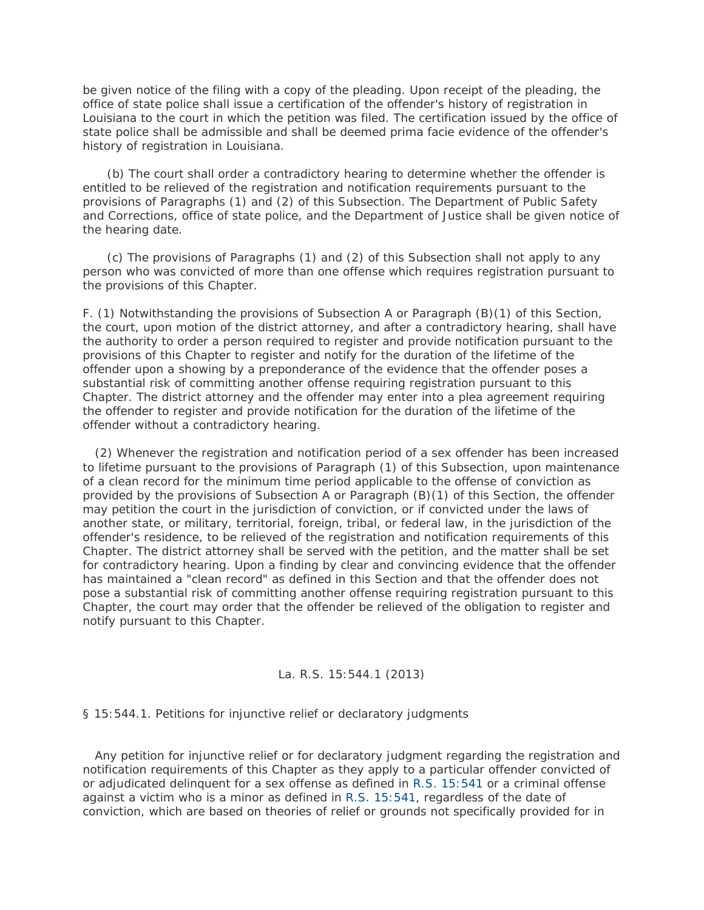be given notice of the filing with a copy of the pleading. Upon receipt of the pleading, the office of state police shall issue a certification of the offender's history of registration in Louisiana to the court in which the petition was filed. The certification issued by the office of state police shall be admissible and shall be deemed prima facie evidence of the offender's history of registration in Louisiana.

 (b) The court shall order a contradictory hearing to determine whether the offender is entitled to be relieved of the registration and notification requirements pursuant to the provisions of Paragraphs (1) and (2) of this Subsection. The Department of Public Safety and Corrections, office of state police, and the Department of Justice shall be given notice of the hearing date.

 (c) The provisions of Paragraphs (1) and (2) of this Subsection shall not apply to any person who was convicted of more than one offense which requires registration pursuant to the provisions of this Chapter.

F. (1) Notwithstanding the provisions of Subsection A or Paragraph (B)(1) of this Section, the court, upon motion of the district attorney, and after a contradictory hearing, shall have the authority to order a person required to register and provide notification pursuant to the provisions of this Chapter to register and notify for the duration of the lifetime of the offender upon a showing by a preponderance of the evidence that the offender poses a substantial risk of committing another offense requiring registration pursuant to this Chapter. The district attorney and the offender may enter into a plea agreement requiring the offender to register and provide notification for the duration of the lifetime of the offender without a contradictory hearing.

 (2) Whenever the registration and notification period of a sex offender has been increased to lifetime pursuant to the provisions of Paragraph (1) of this Subsection, upon maintenance of a clean record for the minimum time period applicable to the offense of conviction as provided by the provisions of Subsection A or Paragraph (B)(1) of this Section, the offender may petition the court in the jurisdiction of conviction, or if convicted under the laws of another state, or military, territorial, foreign, tribal, or federal law, in the jurisdiction of the offender's residence, to be relieved of the registration and notification requirements of this Chapter. The district attorney shall be served with the petition, and the matter shall be set for contradictory hearing. Upon a finding by clear and convincing evidence that the offender has maintained a "clean record" as defined in this Section and that the offender does not pose a substantial risk of committing another offense requiring registration pursuant to this Chapter, the court may order that the offender be relieved of the obligation to register and notify pursuant to this Chapter.

## La. R.S. 15:544.1 (2013)

§ 15:544.1. Petitions for injunctive relief or declaratory judgments

 Any petition for injunctive relief or for declaratory judgment regarding the registration and notification requirements of this Chapter as they apply to a particular offender convicted of or adjudicated delinquent for a sex offense as defined in [R.S. 15:541](http://www.lexis.com/research/buttonTFLink?_m=e20ab17e4ae4e2c31f37fb4b02b35484&_xfercite=%3ccite%20cc%3d%22USA%22%3e%3c%21%5bCDATA%5bLa.%20R.S.%2015%3a544.1%5d%5d%3e%3c%2fcite%3e&_butType=4&_butStat=0&_butNum=2&_butInline=1&_butinfo=LACODE%2015%3a541&_fmtstr=FULL&docnum=1&_startdoc=1&wchp=dGLzVzB-zSkAW&_md5=6144a9dbe0fcf2a6f0ae34ff91cca247) or a criminal offense against a victim who is a minor as defined in [R.S. 15:541,](http://www.lexis.com/research/buttonTFLink?_m=e20ab17e4ae4e2c31f37fb4b02b35484&_xfercite=%3ccite%20cc%3d%22USA%22%3e%3c%21%5bCDATA%5bLa.%20R.S.%2015%3a544.1%5d%5d%3e%3c%2fcite%3e&_butType=4&_butStat=0&_butNum=3&_butInline=1&_butinfo=LACODE%2015%3a541&_fmtstr=FULL&docnum=1&_startdoc=1&wchp=dGLzVzB-zSkAW&_md5=d59fa2aecf471dafee43bf30bda5a588) regardless of the date of conviction, which are based on theories of relief or grounds not specifically provided for in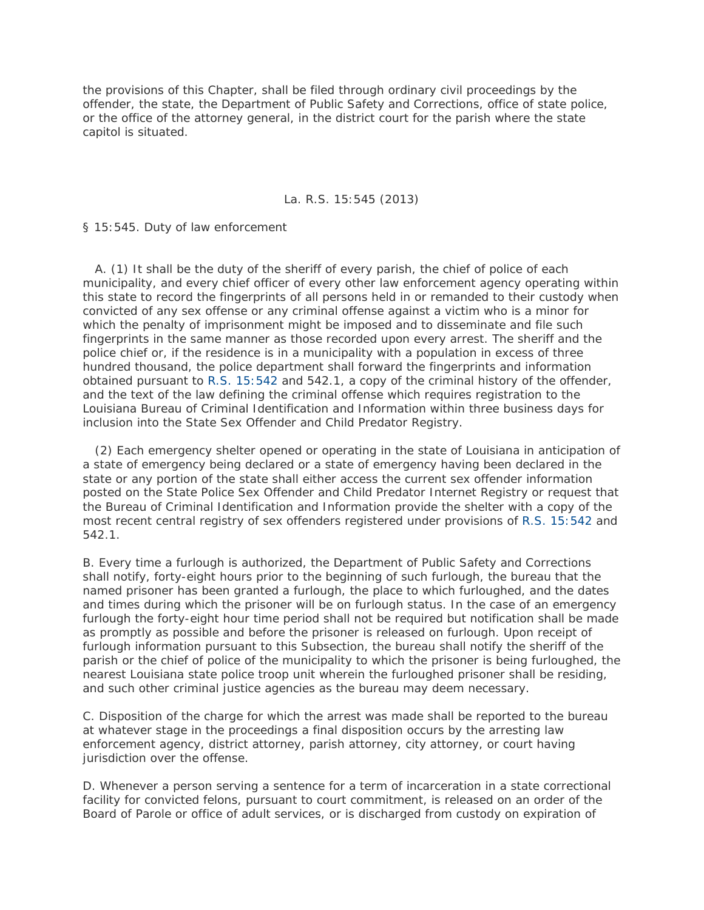the provisions of this Chapter, shall be filed through ordinary civil proceedings by the offender, the state, the Department of Public Safety and Corrections, office of state police, or the office of the attorney general, in the district court for the parish where the state capitol is situated.

### La. R.S. 15:545 (2013)

§ 15:545. Duty of law enforcement

 A. (1) It shall be the duty of the sheriff of every parish, the chief of police of each municipality, and every chief officer of every other law enforcement agency operating within this state to record the fingerprints of all persons held in or remanded to their custody when convicted of any sex offense or any criminal offense against a victim who is a minor for which the penalty of imprisonment might be imposed and to disseminate and file such fingerprints in the same manner as those recorded upon every arrest. The sheriff and the police chief or, if the residence is in a municipality with a population in excess of three hundred thousand, the police department shall forward the fingerprints and information obtained pursuant to [R.S. 15:542](http://www.lexis.com/research/buttonTFLink?_m=207e9ab9a5fc91b07c8840209f4efc0b&_xfercite=%3ccite%20cc%3d%22USA%22%3e%3c%21%5bCDATA%5bLa.%20R.S.%2015%3a545%5d%5d%3e%3c%2fcite%3e&_butType=4&_butStat=0&_butNum=2&_butInline=1&_butinfo=LACODE%2015%3a542&_fmtstr=FULL&docnum=1&_startdoc=1&wchp=dGLzVzB-zSkAW&_md5=02024706a929c53b4a14136feafcad81) and 542.1, a copy of the criminal history of the offender, and the text of the law defining the criminal offense which requires registration to the Louisiana Bureau of Criminal Identification and Information within three business days for inclusion into the State Sex Offender and Child Predator Registry.

 (2) Each emergency shelter opened or operating in the state of Louisiana in anticipation of a state of emergency being declared or a state of emergency having been declared in the state or any portion of the state shall either access the current sex offender information posted on the State Police Sex Offender and Child Predator Internet Registry or request that the Bureau of Criminal Identification and Information provide the shelter with a copy of the most recent central registry of sex offenders registered under provisions of [R.S. 15:542](http://www.lexis.com/research/buttonTFLink?_m=207e9ab9a5fc91b07c8840209f4efc0b&_xfercite=%3ccite%20cc%3d%22USA%22%3e%3c%21%5bCDATA%5bLa.%20R.S.%2015%3a545%5d%5d%3e%3c%2fcite%3e&_butType=4&_butStat=0&_butNum=3&_butInline=1&_butinfo=LACODE%2015%3a542&_fmtstr=FULL&docnum=1&_startdoc=1&wchp=dGLzVzB-zSkAW&_md5=060ce797713f69cede408c2f0e75f8db) and 542.1.

B. Every time a furlough is authorized, the Department of Public Safety and Corrections shall notify, forty-eight hours prior to the beginning of such furlough, the bureau that the named prisoner has been granted a furlough, the place to which furloughed, and the dates and times during which the prisoner will be on furlough status. In the case of an emergency furlough the forty-eight hour time period shall not be required but notification shall be made as promptly as possible and before the prisoner is released on furlough. Upon receipt of furlough information pursuant to this Subsection, the bureau shall notify the sheriff of the parish or the chief of police of the municipality to which the prisoner is being furloughed, the nearest Louisiana state police troop unit wherein the furloughed prisoner shall be residing, and such other criminal justice agencies as the bureau may deem necessary.

C. Disposition of the charge for which the arrest was made shall be reported to the bureau at whatever stage in the proceedings a final disposition occurs by the arresting law enforcement agency, district attorney, parish attorney, city attorney, or court having jurisdiction over the offense.

D. Whenever a person serving a sentence for a term of incarceration in a state correctional facility for convicted felons, pursuant to court commitment, is released on an order of the Board of Parole or office of adult services, or is discharged from custody on expiration of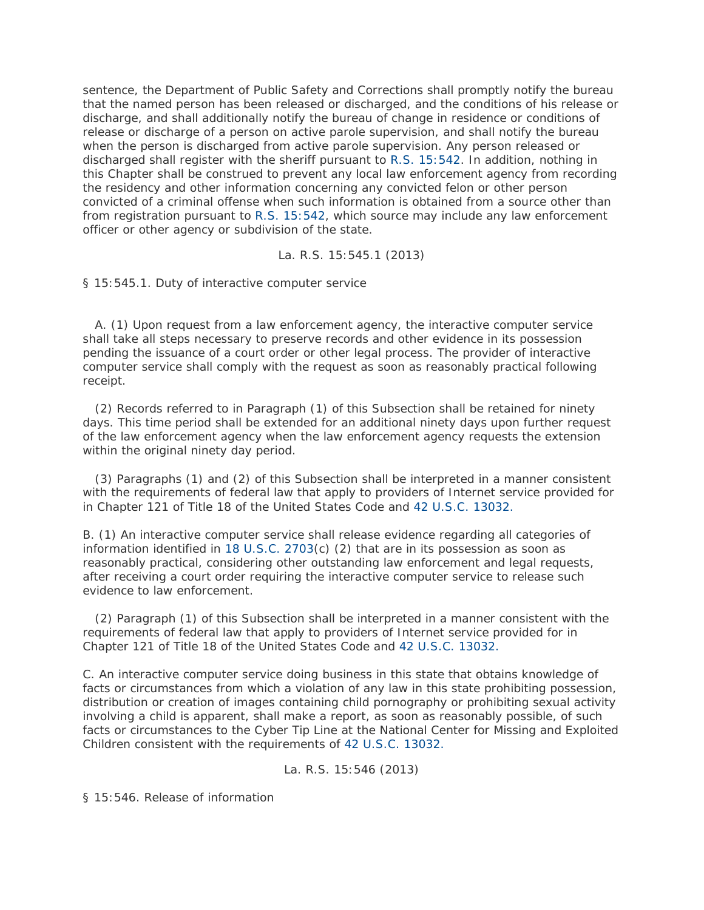sentence, the Department of Public Safety and Corrections shall promptly notify the bureau that the named person has been released or discharged, and the conditions of his release or discharge, and shall additionally notify the bureau of change in residence or conditions of release or discharge of a person on active parole supervision, and shall notify the bureau when the person is discharged from active parole supervision. Any person released or discharged shall register with the sheriff pursuant to [R.S. 15:542.](http://www.lexis.com/research/buttonTFLink?_m=207e9ab9a5fc91b07c8840209f4efc0b&_xfercite=%3ccite%20cc%3d%22USA%22%3e%3c%21%5bCDATA%5bLa.%20R.S.%2015%3a545%5d%5d%3e%3c%2fcite%3e&_butType=4&_butStat=0&_butNum=4&_butInline=1&_butinfo=LACODE%2015%3a542&_fmtstr=FULL&docnum=1&_startdoc=1&wchp=dGLzVzB-zSkAW&_md5=dfa5598ac25a3e93a638b3d5199f1b80) In addition, nothing in this Chapter shall be construed to prevent any local law enforcement agency from recording the residency and other information concerning any convicted felon or other person convicted of a criminal offense when such information is obtained from a source other than from registration pursuant to [R.S. 15:542,](http://www.lexis.com/research/buttonTFLink?_m=207e9ab9a5fc91b07c8840209f4efc0b&_xfercite=%3ccite%20cc%3d%22USA%22%3e%3c%21%5bCDATA%5bLa.%20R.S.%2015%3a545%5d%5d%3e%3c%2fcite%3e&_butType=4&_butStat=0&_butNum=5&_butInline=1&_butinfo=LACODE%2015%3a542&_fmtstr=FULL&docnum=1&_startdoc=1&wchp=dGLzVzB-zSkAW&_md5=2347ed85ba8c610efb734e239c21933c) which source may include any law enforcement officer or other agency or subdivision of the state.

La. R.S. 15:545.1 (2013)

§ 15:545.1. Duty of interactive computer service

 A. (1) Upon request from a law enforcement agency, the interactive computer service shall take all steps necessary to preserve records and other evidence in its possession pending the issuance of a court order or other legal process. The provider of interactive computer service shall comply with the request as soon as reasonably practical following receipt.

 (2) Records referred to in Paragraph (1) of this Subsection shall be retained for ninety days. This time period shall be extended for an additional ninety days upon further request of the law enforcement agency when the law enforcement agency requests the extension within the original ninety day period.

 (3) Paragraphs (1) and (2) of this Subsection shall be interpreted in a manner consistent with the requirements of federal law that apply to providers of Internet service provided for in Chapter 121 of Title 18 of the United States Code and [42 U.S.C. 13032.](http://www.lexis.com/research/buttonTFLink?_m=026687e0117eb9bb6035190b532e8d06&_xfercite=%3ccite%20cc%3d%22USA%22%3e%3c%21%5bCDATA%5bLa.%20R.S.%2015%3a545.1%5d%5d%3e%3c%2fcite%3e&_butType=4&_butStat=0&_butNum=2&_butInline=1&_butinfo=42%20USC%2013032&_fmtstr=FULL&docnum=1&_startdoc=1&wchp=dGLzVzB-zSkAW&_md5=209127d7e7269f32e253c6c46bce5688)

B. (1) An interactive computer service shall release evidence regarding all categories of information identified in [18 U.S.C. 2703\(](http://www.lexis.com/research/buttonTFLink?_m=026687e0117eb9bb6035190b532e8d06&_xfercite=%3ccite%20cc%3d%22USA%22%3e%3c%21%5bCDATA%5bLa.%20R.S.%2015%3a545.1%5d%5d%3e%3c%2fcite%3e&_butType=4&_butStat=0&_butNum=3&_butInline=1&_butinfo=18%20USC%202703&_fmtstr=FULL&docnum=1&_startdoc=1&wchp=dGLzVzB-zSkAW&_md5=5f9902598f68c8a478035f4a9c460d21)c) (2) that are in its possession as soon as reasonably practical, considering other outstanding law enforcement and legal requests, after receiving a court order requiring the interactive computer service to release such evidence to law enforcement.

 (2) Paragraph (1) of this Subsection shall be interpreted in a manner consistent with the requirements of federal law that apply to providers of Internet service provided for in Chapter 121 of Title 18 of the United States Code and [42 U.S.C. 13032.](http://www.lexis.com/research/buttonTFLink?_m=026687e0117eb9bb6035190b532e8d06&_xfercite=%3ccite%20cc%3d%22USA%22%3e%3c%21%5bCDATA%5bLa.%20R.S.%2015%3a545.1%5d%5d%3e%3c%2fcite%3e&_butType=4&_butStat=0&_butNum=4&_butInline=1&_butinfo=42%20USC%2013032&_fmtstr=FULL&docnum=1&_startdoc=1&wchp=dGLzVzB-zSkAW&_md5=66f4606ab9d7639ba8f7ff9092a204e0)

C. An interactive computer service doing business in this state that obtains knowledge of facts or circumstances from which a violation of any law in this state prohibiting possession, distribution or creation of images containing child pornography or prohibiting sexual activity involving a child is apparent, shall make a report, as soon as reasonably possible, of such facts or circumstances to the Cyber Tip Line at the National Center for Missing and Exploited Children consistent with the requirements of [42 U.S.C. 13032.](http://www.lexis.com/research/buttonTFLink?_m=026687e0117eb9bb6035190b532e8d06&_xfercite=%3ccite%20cc%3d%22USA%22%3e%3c%21%5bCDATA%5bLa.%20R.S.%2015%3a545.1%5d%5d%3e%3c%2fcite%3e&_butType=4&_butStat=0&_butNum=5&_butInline=1&_butinfo=42%20USC%2013032&_fmtstr=FULL&docnum=1&_startdoc=1&wchp=dGLzVzB-zSkAW&_md5=a3be96c08166e69842338d00bb72893e)

## La. R.S. 15:546 (2013)

§ 15:546. Release of information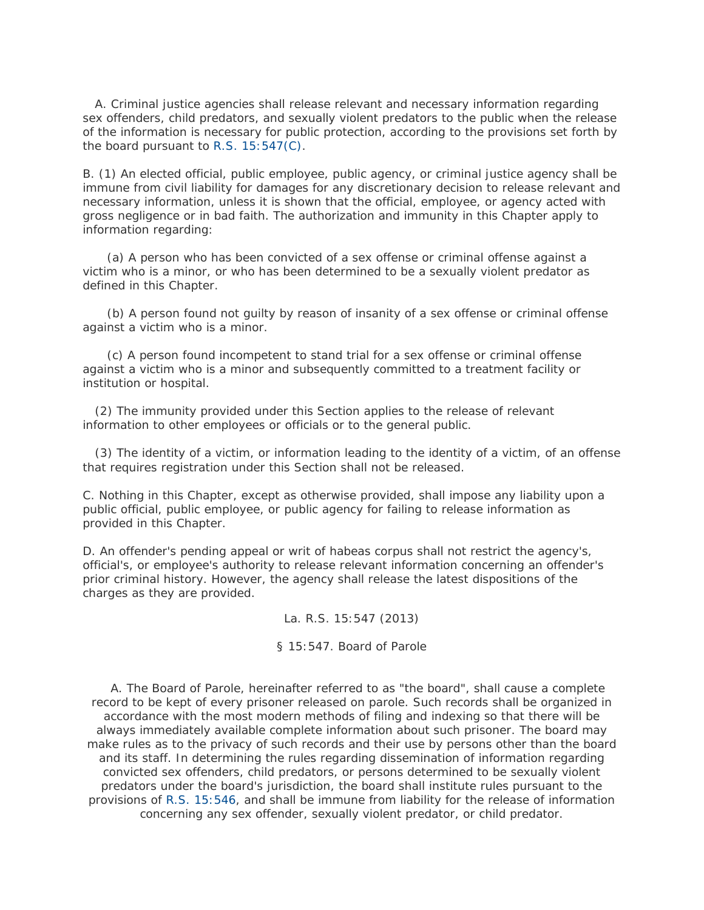A. Criminal justice agencies shall release relevant and necessary information regarding sex offenders, child predators, and sexually violent predators to the public when the release of the information is necessary for public protection, according to the provisions set forth by the board pursuant to [R.S. 15:547\(C\).](http://www.lexis.com/research/buttonTFLink?_m=5248cb621d9db2fb18f94857c2bf3854&_xfercite=%3ccite%20cc%3d%22USA%22%3e%3c%21%5bCDATA%5bLa.%20R.S.%2015%3a546%5d%5d%3e%3c%2fcite%3e&_butType=4&_butStat=0&_butNum=2&_butInline=1&_butinfo=LACODE%2015%3a547&_fmtstr=FULL&docnum=1&_startdoc=1&wchp=dGLzVzB-zSkAW&_md5=8491810a2e5b5a8103c75491b78e6b66)

B. (1) An elected official, public employee, public agency, or criminal justice agency shall be immune from civil liability for damages for any discretionary decision to release relevant and necessary information, unless it is shown that the official, employee, or agency acted with gross negligence or in bad faith. The authorization and immunity in this Chapter apply to information regarding:

 (a) A person who has been convicted of a sex offense or criminal offense against a victim who is a minor, or who has been determined to be a sexually violent predator as defined in this Chapter.

 (b) A person found not guilty by reason of insanity of a sex offense or criminal offense against a victim who is a minor.

 (c) A person found incompetent to stand trial for a sex offense or criminal offense against a victim who is a minor and subsequently committed to a treatment facility or institution or hospital.

 (2) The immunity provided under this Section applies to the release of relevant information to other employees or officials or to the general public.

 (3) The identity of a victim, or information leading to the identity of a victim, of an offense that requires registration under this Section shall not be released.

C. Nothing in this Chapter, except as otherwise provided, shall impose any liability upon a public official, public employee, or public agency for failing to release information as provided in this Chapter.

D. An offender's pending appeal or writ of habeas corpus shall not restrict the agency's, official's, or employee's authority to release relevant information concerning an offender's prior criminal history. However, the agency shall release the latest dispositions of the charges as they are provided.

La. R.S. 15:547 (2013)

### § 15:547. Board of Parole

 A. The Board of Parole, hereinafter referred to as "the board", shall cause a complete record to be kept of every prisoner released on parole. Such records shall be organized in accordance with the most modern methods of filing and indexing so that there will be always immediately available complete information about such prisoner. The board may make rules as to the privacy of such records and their use by persons other than the board and its staff. In determining the rules regarding dissemination of information regarding convicted sex offenders, child predators, or persons determined to be sexually violent predators under the board's jurisdiction, the board shall institute rules pursuant to the provisions of [R.S. 15:546,](http://www.lexis.com/research/buttonTFLink?_m=1f707f6fd0c2eda9948b7f6f2d81062e&_xfercite=%3ccite%20cc%3d%22USA%22%3e%3c%21%5bCDATA%5bLa.%20R.S.%2015%3a547%5d%5d%3e%3c%2fcite%3e&_butType=4&_butStat=0&_butNum=2&_butInline=1&_butinfo=LACODE%2015%3a546&_fmtstr=FULL&docnum=1&_startdoc=1&wchp=dGLzVzB-zSkAW&_md5=102ed8f6f21a4ca25069b62dcc6a6ebf) and shall be immune from liability for the release of information concerning any sex offender, sexually violent predator, or child predator.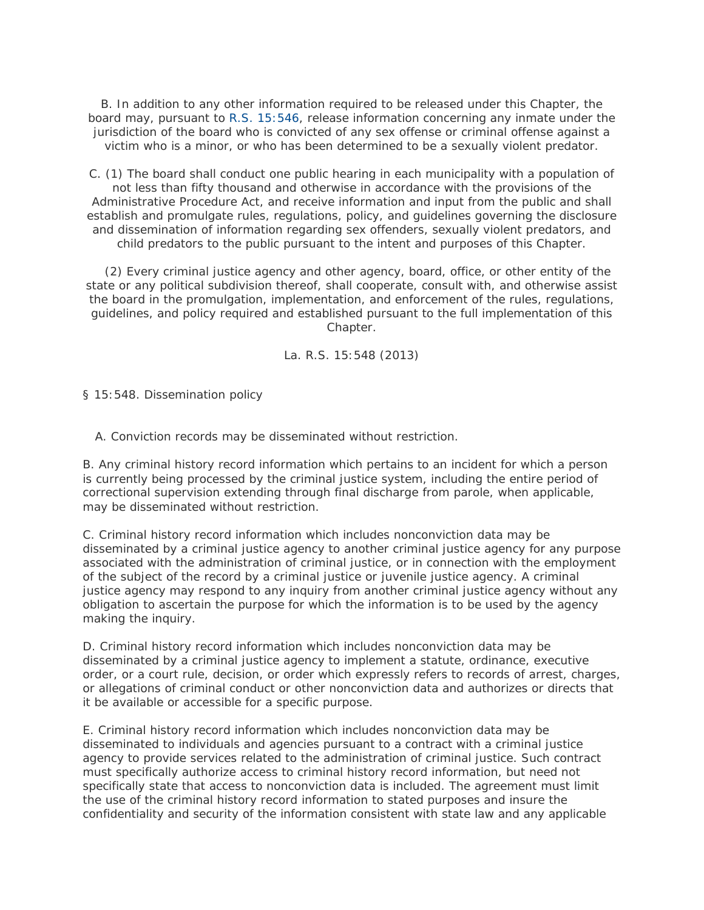B. In addition to any other information required to be released under this Chapter, the board may, pursuant to [R.S. 15:546,](http://www.lexis.com/research/buttonTFLink?_m=1f707f6fd0c2eda9948b7f6f2d81062e&_xfercite=%3ccite%20cc%3d%22USA%22%3e%3c%21%5bCDATA%5bLa.%20R.S.%2015%3a547%5d%5d%3e%3c%2fcite%3e&_butType=4&_butStat=0&_butNum=3&_butInline=1&_butinfo=LACODE%2015%3a546&_fmtstr=FULL&docnum=1&_startdoc=1&wchp=dGLzVzB-zSkAW&_md5=0995218e98f277171b6f511bec19f067) release information concerning any inmate under the jurisdiction of the board who is convicted of any sex offense or criminal offense against a victim who is a minor, or who has been determined to be a sexually violent predator.

C. (1) The board shall conduct one public hearing in each municipality with a population of not less than fifty thousand and otherwise in accordance with the provisions of the Administrative Procedure Act, and receive information and input from the public and shall establish and promulgate rules, regulations, policy, and guidelines governing the disclosure and dissemination of information regarding sex offenders, sexually violent predators, and child predators to the public pursuant to the intent and purposes of this Chapter.

 (2) Every criminal justice agency and other agency, board, office, or other entity of the state or any political subdivision thereof, shall cooperate, consult with, and otherwise assist the board in the promulgation, implementation, and enforcement of the rules, regulations, guidelines, and policy required and established pursuant to the full implementation of this Chapter.

La. R.S. 15:548 (2013)

§ 15:548. Dissemination policy

A. Conviction records may be disseminated without restriction.

B. Any criminal history record information which pertains to an incident for which a person is currently being processed by the criminal justice system, including the entire period of correctional supervision extending through final discharge from parole, when applicable, may be disseminated without restriction.

C. Criminal history record information which includes nonconviction data may be disseminated by a criminal justice agency to another criminal justice agency for any purpose associated with the administration of criminal justice, or in connection with the employment of the subject of the record by a criminal justice or juvenile justice agency. A criminal justice agency may respond to any inquiry from another criminal justice agency without any obligation to ascertain the purpose for which the information is to be used by the agency making the inquiry.

D. Criminal history record information which includes nonconviction data may be disseminated by a criminal justice agency to implement a statute, ordinance, executive order, or a court rule, decision, or order which expressly refers to records of arrest, charges, or allegations of criminal conduct or other nonconviction data and authorizes or directs that it be available or accessible for a specific purpose.

E. Criminal history record information which includes nonconviction data may be disseminated to individuals and agencies pursuant to a contract with a criminal justice agency to provide services related to the administration of criminal justice. Such contract must specifically authorize access to criminal history record information, but need not specifically state that access to nonconviction data is included. The agreement must limit the use of the criminal history record information to stated purposes and insure the confidentiality and security of the information consistent with state law and any applicable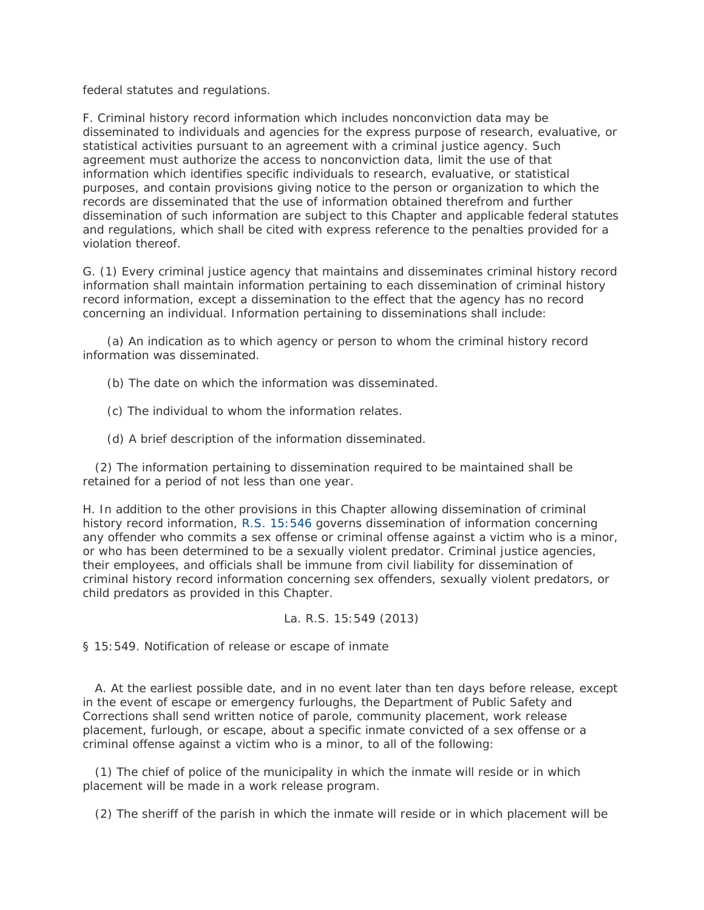federal statutes and regulations.

F. Criminal history record information which includes nonconviction data may be disseminated to individuals and agencies for the express purpose of research, evaluative, or statistical activities pursuant to an agreement with a criminal justice agency. Such agreement must authorize the access to nonconviction data, limit the use of that information which identifies specific individuals to research, evaluative, or statistical purposes, and contain provisions giving notice to the person or organization to which the records are disseminated that the use of information obtained therefrom and further dissemination of such information are subject to this Chapter and applicable federal statutes and regulations, which shall be cited with express reference to the penalties provided for a violation thereof.

G. (1) Every criminal justice agency that maintains and disseminates criminal history record information shall maintain information pertaining to each dissemination of criminal history record information, except a dissemination to the effect that the agency has no record concerning an individual. Information pertaining to disseminations shall include:

 (a) An indication as to which agency or person to whom the criminal history record information was disseminated.

(b) The date on which the information was disseminated.

(c) The individual to whom the information relates.

(d) A brief description of the information disseminated.

 (2) The information pertaining to dissemination required to be maintained shall be retained for a period of not less than one year.

H. In addition to the other provisions in this Chapter allowing dissemination of criminal history record information, [R.S. 15:546](http://www.lexis.com/research/buttonTFLink?_m=3c14677d4e0a00844eb4ba712fd625b7&_xfercite=%3ccite%20cc%3d%22USA%22%3e%3c%21%5bCDATA%5bLa.%20R.S.%2015%3a548%5d%5d%3e%3c%2fcite%3e&_butType=4&_butStat=0&_butNum=2&_butInline=1&_butinfo=LACODE%2015%3a546&_fmtstr=FULL&docnum=1&_startdoc=1&wchp=dGLzVzB-zSkAW&_md5=fa41df284eebef026ee8708ec096a86f) governs dissemination of information concerning any offender who commits a sex offense or criminal offense against a victim who is a minor, or who has been determined to be a sexually violent predator. Criminal justice agencies, their employees, and officials shall be immune from civil liability for dissemination of criminal history record information concerning sex offenders, sexually violent predators, or child predators as provided in this Chapter.

## La. R.S. 15:549 (2013)

§ 15:549. Notification of release or escape of inmate

 A. At the earliest possible date, and in no event later than ten days before release, except in the event of escape or emergency furloughs, the Department of Public Safety and Corrections shall send written notice of parole, community placement, work release placement, furlough, or escape, about a specific inmate convicted of a sex offense or a criminal offense against a victim who is a minor, to all of the following:

 (1) The chief of police of the municipality in which the inmate will reside or in which placement will be made in a work release program.

(2) The sheriff of the parish in which the inmate will reside or in which placement will be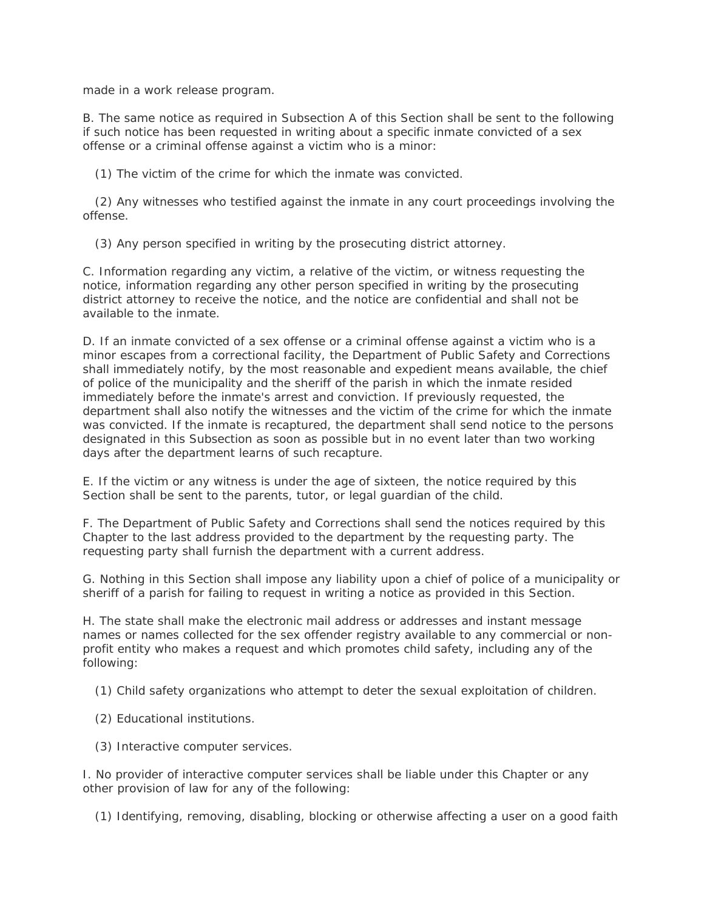made in a work release program.

B. The same notice as required in Subsection A of this Section shall be sent to the following if such notice has been requested in writing about a specific inmate convicted of a sex offense or a criminal offense against a victim who is a minor:

(1) The victim of the crime for which the inmate was convicted.

 (2) Any witnesses who testified against the inmate in any court proceedings involving the offense.

(3) Any person specified in writing by the prosecuting district attorney.

C. Information regarding any victim, a relative of the victim, or witness requesting the notice, information regarding any other person specified in writing by the prosecuting district attorney to receive the notice, and the notice are confidential and shall not be available to the inmate.

D. If an inmate convicted of a sex offense or a criminal offense against a victim who is a minor escapes from a correctional facility, the Department of Public Safety and Corrections shall immediately notify, by the most reasonable and expedient means available, the chief of police of the municipality and the sheriff of the parish in which the inmate resided immediately before the inmate's arrest and conviction. If previously requested, the department shall also notify the witnesses and the victim of the crime for which the inmate was convicted. If the inmate is recaptured, the department shall send notice to the persons designated in this Subsection as soon as possible but in no event later than two working days after the department learns of such recapture.

E. If the victim or any witness is under the age of sixteen, the notice required by this Section shall be sent to the parents, tutor, or legal guardian of the child.

F. The Department of Public Safety and Corrections shall send the notices required by this Chapter to the last address provided to the department by the requesting party. The requesting party shall furnish the department with a current address.

G. Nothing in this Section shall impose any liability upon a chief of police of a municipality or sheriff of a parish for failing to request in writing a notice as provided in this Section.

H. The state shall make the electronic mail address or addresses and instant message names or names collected for the sex offender registry available to any commercial or nonprofit entity who makes a request and which promotes child safety, including any of the following:

(1) Child safety organizations who attempt to deter the sexual exploitation of children.

- (2) Educational institutions.
- (3) Interactive computer services.

I. No provider of interactive computer services shall be liable under this Chapter or any other provision of law for any of the following:

(1) Identifying, removing, disabling, blocking or otherwise affecting a user on a good faith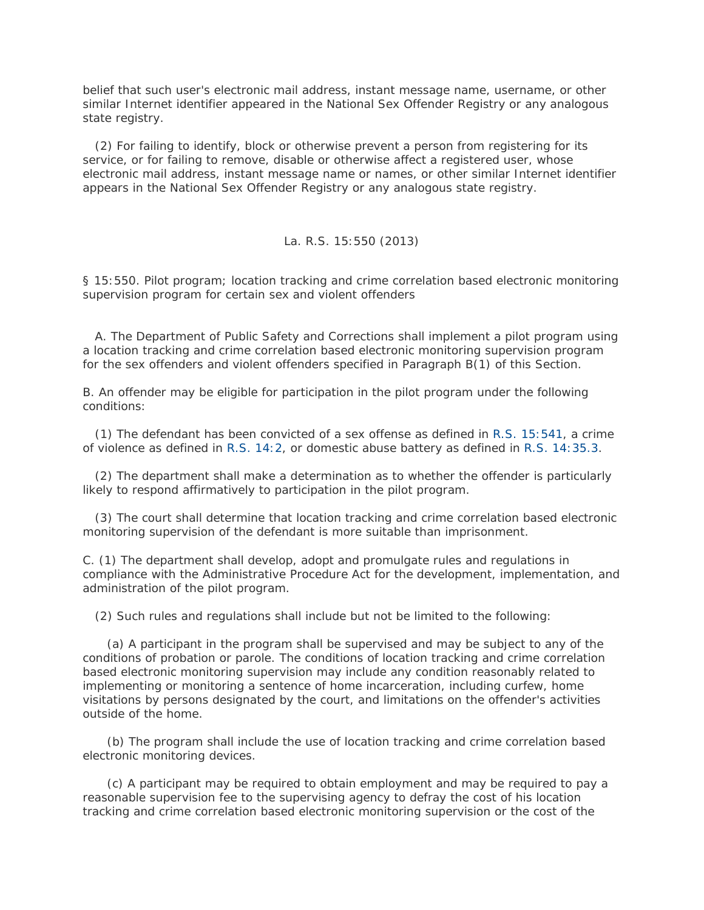belief that such user's electronic mail address, instant message name, username, or other similar Internet identifier appeared in the National Sex Offender Registry or any analogous state registry.

 (2) For failing to identify, block or otherwise prevent a person from registering for its service, or for failing to remove, disable or otherwise affect a registered user, whose electronic mail address, instant message name or names, or other similar Internet identifier appears in the National Sex Offender Registry or any analogous state registry.

## La. R.S. 15:550 (2013)

§ 15:550. Pilot program; location tracking and crime correlation based electronic monitoring supervision program for certain sex and violent offenders

 A. The Department of Public Safety and Corrections shall implement a pilot program using a location tracking and crime correlation based electronic monitoring supervision program for the sex offenders and violent offenders specified in Paragraph B(1) of this Section.

B. An offender may be eligible for participation in the pilot program under the following conditions:

 (1) The defendant has been convicted of a sex offense as defined in [R.S. 15:541,](http://www.lexis.com/research/buttonTFLink?_m=b112608074ae24292755bdc61aad428d&_xfercite=%3ccite%20cc%3d%22USA%22%3e%3c%21%5bCDATA%5bLa.%20R.S.%2015%3a550%5d%5d%3e%3c%2fcite%3e&_butType=4&_butStat=0&_butNum=2&_butInline=1&_butinfo=LACODE%2015%3a541&_fmtstr=FULL&docnum=1&_startdoc=1&wchp=dGLzVzB-zSkAW&_md5=529eba7cc3b0a7e0026f3d228fff3dd8) a crime of violence as defined in [R.S. 14:2,](http://www.lexis.com/research/buttonTFLink?_m=b112608074ae24292755bdc61aad428d&_xfercite=%3ccite%20cc%3d%22USA%22%3e%3c%21%5bCDATA%5bLa.%20R.S.%2015%3a550%5d%5d%3e%3c%2fcite%3e&_butType=4&_butStat=0&_butNum=3&_butInline=1&_butinfo=LACODE%2014%3a2&_fmtstr=FULL&docnum=1&_startdoc=1&wchp=dGLzVzB-zSkAW&_md5=356c8cb9af098fd00bd8216ceefb7b01) or domestic abuse battery as defined in [R.S. 14:35.3.](http://www.lexis.com/research/buttonTFLink?_m=b112608074ae24292755bdc61aad428d&_xfercite=%3ccite%20cc%3d%22USA%22%3e%3c%21%5bCDATA%5bLa.%20R.S.%2015%3a550%5d%5d%3e%3c%2fcite%3e&_butType=4&_butStat=0&_butNum=4&_butInline=1&_butinfo=LACODE%2014%3a35.3&_fmtstr=FULL&docnum=1&_startdoc=1&wchp=dGLzVzB-zSkAW&_md5=0c15ad7effda1d5f5b0eaffcb6cb14ca)

 (2) The department shall make a determination as to whether the offender is particularly likely to respond affirmatively to participation in the pilot program.

 (3) The court shall determine that location tracking and crime correlation based electronic monitoring supervision of the defendant is more suitable than imprisonment.

C. (1) The department shall develop, adopt and promulgate rules and regulations in compliance with the Administrative Procedure Act for the development, implementation, and administration of the pilot program.

(2) Such rules and regulations shall include but not be limited to the following:

 (a) A participant in the program shall be supervised and may be subject to any of the conditions of probation or parole. The conditions of location tracking and crime correlation based electronic monitoring supervision may include any condition reasonably related to implementing or monitoring a sentence of home incarceration, including curfew, home visitations by persons designated by the court, and limitations on the offender's activities outside of the home.

 (b) The program shall include the use of location tracking and crime correlation based electronic monitoring devices.

 (c) A participant may be required to obtain employment and may be required to pay a reasonable supervision fee to the supervising agency to defray the cost of his location tracking and crime correlation based electronic monitoring supervision or the cost of the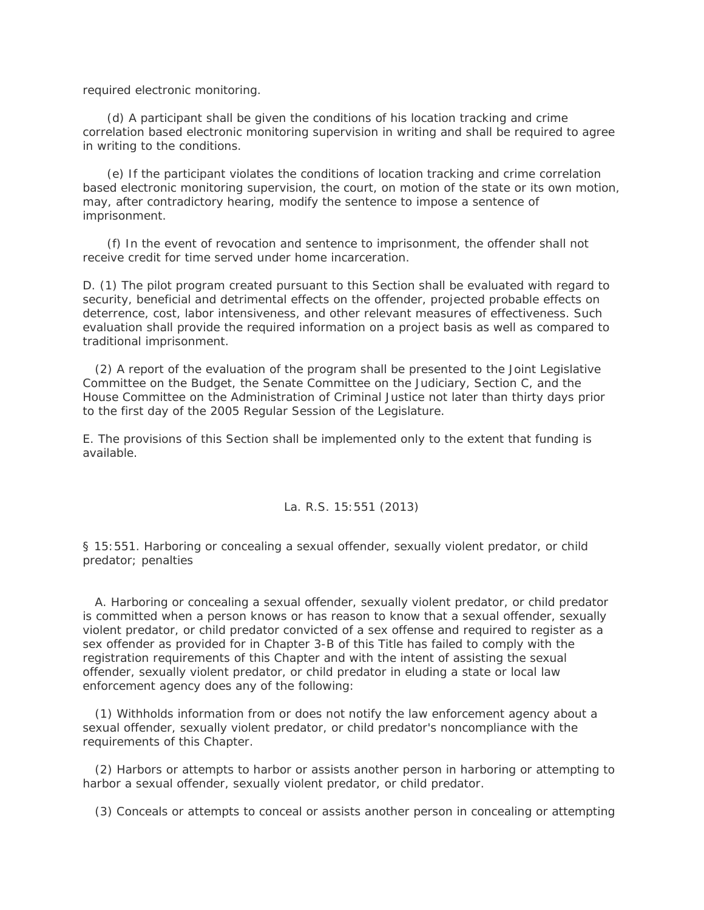required electronic monitoring.

 (d) A participant shall be given the conditions of his location tracking and crime correlation based electronic monitoring supervision in writing and shall be required to agree in writing to the conditions.

 (e) If the participant violates the conditions of location tracking and crime correlation based electronic monitoring supervision, the court, on motion of the state or its own motion, may, after contradictory hearing, modify the sentence to impose a sentence of imprisonment.

 (f) In the event of revocation and sentence to imprisonment, the offender shall not receive credit for time served under home incarceration.

D. (1) The pilot program created pursuant to this Section shall be evaluated with regard to security, beneficial and detrimental effects on the offender, projected probable effects on deterrence, cost, labor intensiveness, and other relevant measures of effectiveness. Such evaluation shall provide the required information on a project basis as well as compared to traditional imprisonment.

 (2) A report of the evaluation of the program shall be presented to the Joint Legislative Committee on the Budget, the Senate Committee on the Judiciary, Section C, and the House Committee on the Administration of Criminal Justice not later than thirty days prior to the first day of the 2005 Regular Session of the Legislature.

E. The provisions of this Section shall be implemented only to the extent that funding is available.

## La. R.S. 15:551 (2013)

§ 15:551. Harboring or concealing a sexual offender, sexually violent predator, or child predator; penalties

 A. Harboring or concealing a sexual offender, sexually violent predator, or child predator is committed when a person knows or has reason to know that a sexual offender, sexually violent predator, or child predator convicted of a sex offense and required to register as a sex offender as provided for in Chapter 3-B of this Title has failed to comply with the registration requirements of this Chapter and with the intent of assisting the sexual offender, sexually violent predator, or child predator in eluding a state or local law enforcement agency does any of the following:

 (1) Withholds information from or does not notify the law enforcement agency about a sexual offender, sexually violent predator, or child predator's noncompliance with the requirements of this Chapter.

 (2) Harbors or attempts to harbor or assists another person in harboring or attempting to harbor a sexual offender, sexually violent predator, or child predator.

(3) Conceals or attempts to conceal or assists another person in concealing or attempting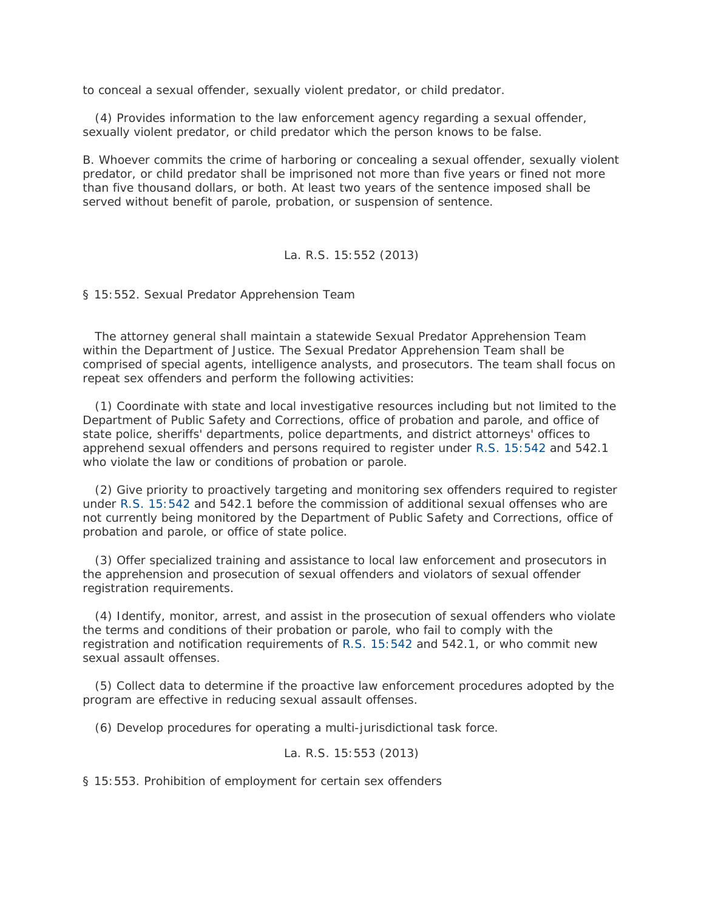to conceal a sexual offender, sexually violent predator, or child predator.

 (4) Provides information to the law enforcement agency regarding a sexual offender, sexually violent predator, or child predator which the person knows to be false.

B. Whoever commits the crime of harboring or concealing a sexual offender, sexually violent predator, or child predator shall be imprisoned not more than five years or fined not more than five thousand dollars, or both. At least two years of the sentence imposed shall be served without benefit of parole, probation, or suspension of sentence.

## La. R.S. 15:552 (2013)

§ 15:552. Sexual Predator Apprehension Team

 The attorney general shall maintain a statewide Sexual Predator Apprehension Team within the Department of Justice. The Sexual Predator Apprehension Team shall be comprised of special agents, intelligence analysts, and prosecutors. The team shall focus on repeat sex offenders and perform the following activities:

 (1) Coordinate with state and local investigative resources including but not limited to the Department of Public Safety and Corrections, office of probation and parole, and office of state police, sheriffs' departments, police departments, and district attorneys' offices to apprehend sexual offenders and persons required to register under [R.S. 15:542](http://www.lexis.com/research/buttonTFLink?_m=a094e5f8b684fe5e9786dc47896d3c52&_xfercite=%3ccite%20cc%3d%22USA%22%3e%3c%21%5bCDATA%5bLa.%20R.S.%2015%3a552%5d%5d%3e%3c%2fcite%3e&_butType=4&_butStat=0&_butNum=2&_butInline=1&_butinfo=LACODE%2015%3a542&_fmtstr=FULL&docnum=1&_startdoc=1&wchp=dGLzVzB-zSkAW&_md5=18b22991e253e9704b28236cc7a3e92f) and 542.1 who violate the law or conditions of probation or parole.

 (2) Give priority to proactively targeting and monitoring sex offenders required to register under [R.S. 15:542](http://www.lexis.com/research/buttonTFLink?_m=a094e5f8b684fe5e9786dc47896d3c52&_xfercite=%3ccite%20cc%3d%22USA%22%3e%3c%21%5bCDATA%5bLa.%20R.S.%2015%3a552%5d%5d%3e%3c%2fcite%3e&_butType=4&_butStat=0&_butNum=3&_butInline=1&_butinfo=LACODE%2015%3a542&_fmtstr=FULL&docnum=1&_startdoc=1&wchp=dGLzVzB-zSkAW&_md5=14b0192e55a0f42875830ad051afe6e2) and 542.1 before the commission of additional sexual offenses who are not currently being monitored by the Department of Public Safety and Corrections, office of probation and parole, or office of state police.

 (3) Offer specialized training and assistance to local law enforcement and prosecutors in the apprehension and prosecution of sexual offenders and violators of sexual offender registration requirements.

 (4) Identify, monitor, arrest, and assist in the prosecution of sexual offenders who violate the terms and conditions of their probation or parole, who fail to comply with the registration and notification requirements of [R.S. 15:542](http://www.lexis.com/research/buttonTFLink?_m=a094e5f8b684fe5e9786dc47896d3c52&_xfercite=%3ccite%20cc%3d%22USA%22%3e%3c%21%5bCDATA%5bLa.%20R.S.%2015%3a552%5d%5d%3e%3c%2fcite%3e&_butType=4&_butStat=0&_butNum=4&_butInline=1&_butinfo=LACODE%2015%3a542&_fmtstr=FULL&docnum=1&_startdoc=1&wchp=dGLzVzB-zSkAW&_md5=ff7f4c0f76804db7da3d0ac4867fb5cf) and 542.1, or who commit new sexual assault offenses.

 (5) Collect data to determine if the proactive law enforcement procedures adopted by the program are effective in reducing sexual assault offenses.

(6) Develop procedures for operating a multi-jurisdictional task force.

La. R.S. 15:553 (2013)

§ 15:553. Prohibition of employment for certain sex offenders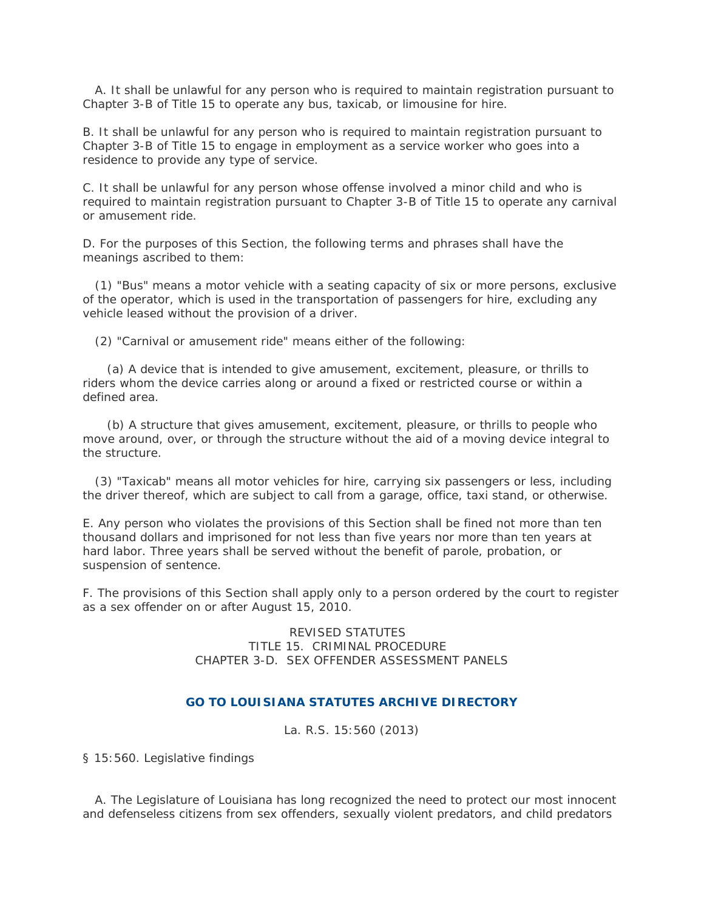A. It shall be unlawful for any person who is required to maintain registration pursuant to Chapter 3-B of Title 15 to operate any bus, taxicab, or limousine for hire.

B. It shall be unlawful for any person who is required to maintain registration pursuant to Chapter 3-B of Title 15 to engage in employment as a service worker who goes into a residence to provide any type of service.

C. It shall be unlawful for any person whose offense involved a minor child and who is required to maintain registration pursuant to Chapter 3-B of Title 15 to operate any carnival or amusement ride.

D. For the purposes of this Section, the following terms and phrases shall have the meanings ascribed to them:

 (1) "Bus" means a motor vehicle with a seating capacity of six or more persons, exclusive of the operator, which is used in the transportation of passengers for hire, excluding any vehicle leased without the provision of a driver.

(2) "Carnival or amusement ride" means either of the following:

 (a) A device that is intended to give amusement, excitement, pleasure, or thrills to riders whom the device carries along or around a fixed or restricted course or within a defined area.

 (b) A structure that gives amusement, excitement, pleasure, or thrills to people who move around, over, or through the structure without the aid of a moving device integral to the structure.

 (3) "Taxicab" means all motor vehicles for hire, carrying six passengers or less, including the driver thereof, which are subject to call from a garage, office, taxi stand, or otherwise.

E. Any person who violates the provisions of this Section shall be fined not more than ten thousand dollars and imprisoned for not less than five years nor more than ten years at hard labor. Three years shall be served without the benefit of parole, probation, or suspension of sentence.

F. The provisions of this Section shall apply only to a person ordered by the court to register as a sex offender on or after August 15, 2010.

> REVISED STATUTES TITLE 15. CRIMINAL PROCEDURE CHAPTER 3-D. SEX OFFENDER ASSESSMENT PANELS

## **GO TO [LOUISIANA STATUTES ARCHIVE DIRECTORY](http://www.lexis.com/research/search/adf?_m=b33593fff41ce0820f8fa038b995749c&wchp=dGLzVzB-zSkAW&_md5=e272a8718d73bfab6e428c870c04dfb5)**

La. R.S. 15:560 (2013)

§ 15:560. Legislative findings

 A. The Legislature of Louisiana has long recognized the need to protect our most innocent and defenseless citizens from sex offenders, sexually violent predators, and child predators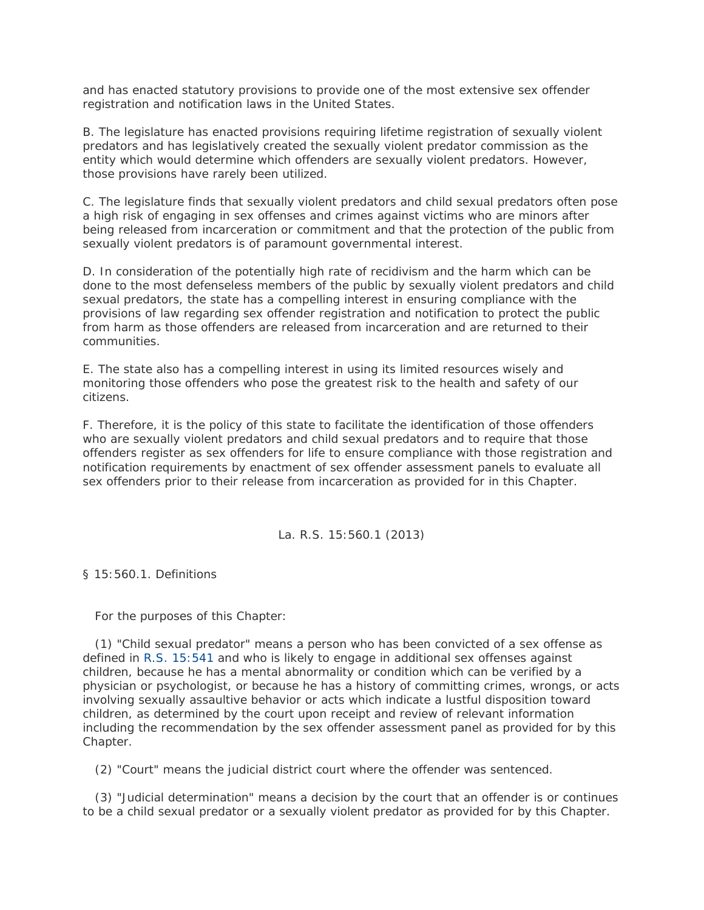and has enacted statutory provisions to provide one of the most extensive sex offender registration and notification laws in the United States.

B. The legislature has enacted provisions requiring lifetime registration of sexually violent predators and has legislatively created the sexually violent predator commission as the entity which would determine which offenders are sexually violent predators. However, those provisions have rarely been utilized.

C. The legislature finds that sexually violent predators and child sexual predators often pose a high risk of engaging in sex offenses and crimes against victims who are minors after being released from incarceration or commitment and that the protection of the public from sexually violent predators is of paramount governmental interest.

D. In consideration of the potentially high rate of recidivism and the harm which can be done to the most defenseless members of the public by sexually violent predators and child sexual predators, the state has a compelling interest in ensuring compliance with the provisions of law regarding sex offender registration and notification to protect the public from harm as those offenders are released from incarceration and are returned to their communities.

E. The state also has a compelling interest in using its limited resources wisely and monitoring those offenders who pose the greatest risk to the health and safety of our citizens.

F. Therefore, it is the policy of this state to facilitate the identification of those offenders who are sexually violent predators and child sexual predators and to require that those offenders register as sex offenders for life to ensure compliance with those registration and notification requirements by enactment of sex offender assessment panels to evaluate all sex offenders prior to their release from incarceration as provided for in this Chapter.

La. R.S. 15:560.1 (2013)

§ 15:560.1. Definitions

For the purposes of this Chapter:

 (1) "Child sexual predator" means a person who has been convicted of a sex offense as defined in [R.S. 15:541](http://www.lexis.com/research/buttonTFLink?_m=bff8f4ffd78b24c8f4e9e8f0fa70b83d&_xfercite=%3ccite%20cc%3d%22USA%22%3e%3c%21%5bCDATA%5bLa.%20R.S.%2015%3a560.1%5d%5d%3e%3c%2fcite%3e&_butType=4&_butStat=0&_butNum=2&_butInline=1&_butinfo=LACODE%2015%3a541&_fmtstr=FULL&docnum=1&_startdoc=1&wchp=dGLzVzB-zSkAW&_md5=4375091c7f0b71a9ce0562b58a54c9f7) and who is likely to engage in additional sex offenses against children, because he has a mental abnormality or condition which can be verified by a physician or psychologist, or because he has a history of committing crimes, wrongs, or acts involving sexually assaultive behavior or acts which indicate a lustful disposition toward children, as determined by the court upon receipt and review of relevant information including the recommendation by the sex offender assessment panel as provided for by this Chapter.

(2) "Court" means the judicial district court where the offender was sentenced.

 (3) "Judicial determination" means a decision by the court that an offender is or continues to be a child sexual predator or a sexually violent predator as provided for by this Chapter.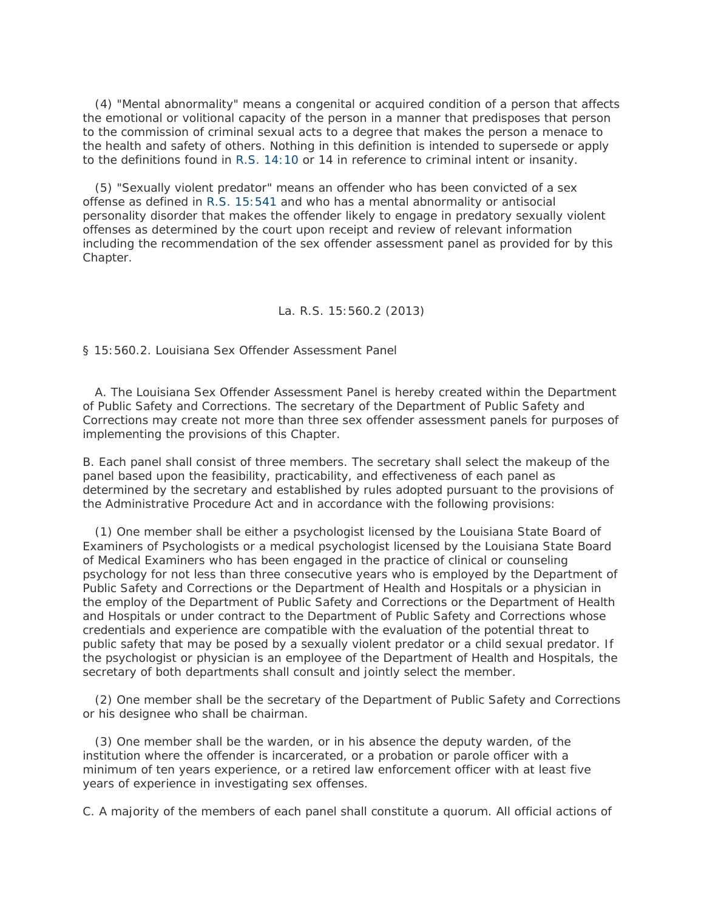(4) "Mental abnormality" means a congenital or acquired condition of a person that affects the emotional or volitional capacity of the person in a manner that predisposes that person to the commission of criminal sexual acts to a degree that makes the person a menace to the health and safety of others. Nothing in this definition is intended to supersede or apply to the definitions found in [R.S. 14:10](http://www.lexis.com/research/buttonTFLink?_m=bff8f4ffd78b24c8f4e9e8f0fa70b83d&_xfercite=%3ccite%20cc%3d%22USA%22%3e%3c%21%5bCDATA%5bLa.%20R.S.%2015%3a560.1%5d%5d%3e%3c%2fcite%3e&_butType=4&_butStat=0&_butNum=3&_butInline=1&_butinfo=LACODE%2014%3a10&_fmtstr=FULL&docnum=1&_startdoc=1&wchp=dGLzVzB-zSkAW&_md5=bc3596cd0763ba4748164e8ba3a0d2ea) or 14 in reference to criminal intent or insanity.

 (5) "Sexually violent predator" means an offender who has been convicted of a sex offense as defined in [R.S. 15:541](http://www.lexis.com/research/buttonTFLink?_m=bff8f4ffd78b24c8f4e9e8f0fa70b83d&_xfercite=%3ccite%20cc%3d%22USA%22%3e%3c%21%5bCDATA%5bLa.%20R.S.%2015%3a560.1%5d%5d%3e%3c%2fcite%3e&_butType=4&_butStat=0&_butNum=4&_butInline=1&_butinfo=LACODE%2015%3a541&_fmtstr=FULL&docnum=1&_startdoc=1&wchp=dGLzVzB-zSkAW&_md5=723911be56b9707181927901e7b7eea2) and who has a mental abnormality or antisocial personality disorder that makes the offender likely to engage in predatory sexually violent offenses as determined by the court upon receipt and review of relevant information including the recommendation of the sex offender assessment panel as provided for by this Chapter.

### La. R.S. 15:560.2 (2013)

§ 15:560.2. Louisiana Sex Offender Assessment Panel

 A. The Louisiana Sex Offender Assessment Panel is hereby created within the Department of Public Safety and Corrections. The secretary of the Department of Public Safety and Corrections may create not more than three sex offender assessment panels for purposes of implementing the provisions of this Chapter.

B. Each panel shall consist of three members. The secretary shall select the makeup of the panel based upon the feasibility, practicability, and effectiveness of each panel as determined by the secretary and established by rules adopted pursuant to the provisions of the Administrative Procedure Act and in accordance with the following provisions:

 (1) One member shall be either a psychologist licensed by the Louisiana State Board of Examiners of Psychologists or a medical psychologist licensed by the Louisiana State Board of Medical Examiners who has been engaged in the practice of clinical or counseling psychology for not less than three consecutive years who is employed by the Department of Public Safety and Corrections or the Department of Health and Hospitals or a physician in the employ of the Department of Public Safety and Corrections or the Department of Health and Hospitals or under contract to the Department of Public Safety and Corrections whose credentials and experience are compatible with the evaluation of the potential threat to public safety that may be posed by a sexually violent predator or a child sexual predator. If the psychologist or physician is an employee of the Department of Health and Hospitals, the secretary of both departments shall consult and jointly select the member.

 (2) One member shall be the secretary of the Department of Public Safety and Corrections or his designee who shall be chairman.

 (3) One member shall be the warden, or in his absence the deputy warden, of the institution where the offender is incarcerated, or a probation or parole officer with a minimum of ten years experience, or a retired law enforcement officer with at least five years of experience in investigating sex offenses.

C. A majority of the members of each panel shall constitute a quorum. All official actions of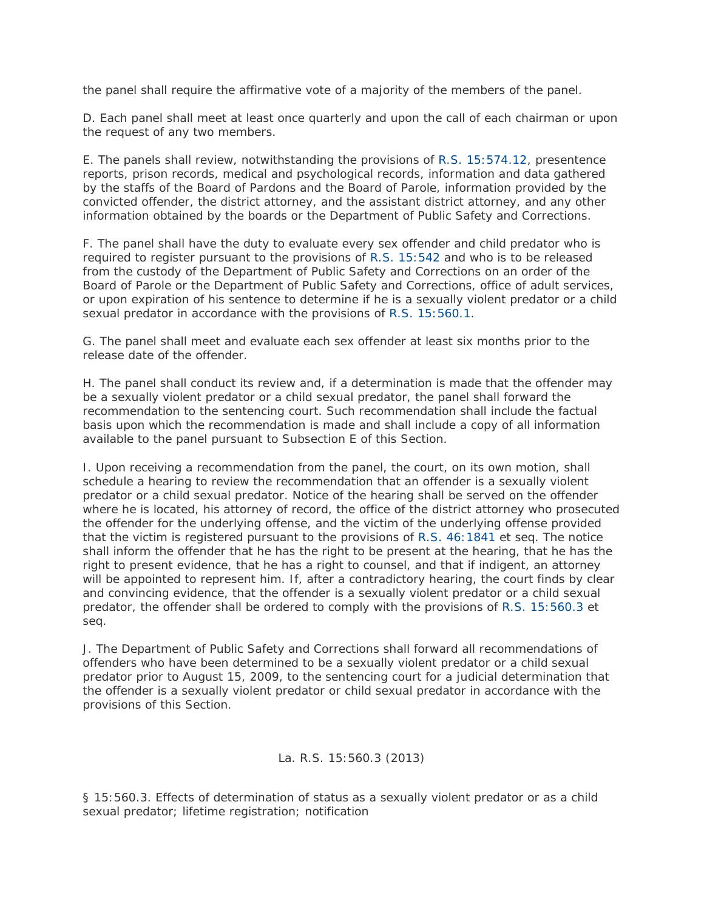the panel shall require the affirmative vote of a majority of the members of the panel.

D. Each panel shall meet at least once quarterly and upon the call of each chairman or upon the request of any two members.

E. The panels shall review, notwithstanding the provisions of [R.S. 15:574.12,](http://www.lexis.com/research/buttonTFLink?_m=84bb6767f98813c1e3c60b78d96e50ff&_xfercite=%3ccite%20cc%3d%22USA%22%3e%3c%21%5bCDATA%5bLa.%20R.S.%2015%3a560.2%5d%5d%3e%3c%2fcite%3e&_butType=4&_butStat=0&_butNum=2&_butInline=1&_butinfo=LACODE%2015%3a574.12&_fmtstr=FULL&docnum=1&_startdoc=1&wchp=dGLzVzB-zSkAW&_md5=b336e547695e63a08589ae88fa87a202) presentence reports, prison records, medical and psychological records, information and data gathered by the staffs of the Board of Pardons and the Board of Parole, information provided by the convicted offender, the district attorney, and the assistant district attorney, and any other information obtained by the boards or the Department of Public Safety and Corrections.

F. The panel shall have the duty to evaluate every sex offender and child predator who is required to register pursuant to the provisions of [R.S. 15:542](http://www.lexis.com/research/buttonTFLink?_m=84bb6767f98813c1e3c60b78d96e50ff&_xfercite=%3ccite%20cc%3d%22USA%22%3e%3c%21%5bCDATA%5bLa.%20R.S.%2015%3a560.2%5d%5d%3e%3c%2fcite%3e&_butType=4&_butStat=0&_butNum=3&_butInline=1&_butinfo=LACODE%2015%3a542&_fmtstr=FULL&docnum=1&_startdoc=1&wchp=dGLzVzB-zSkAW&_md5=5659eb9022dedf9acae2267b77faafe3) and who is to be released from the custody of the Department of Public Safety and Corrections on an order of the Board of Parole or the Department of Public Safety and Corrections, office of adult services, or upon expiration of his sentence to determine if he is a sexually violent predator or a child sexual predator in accordance with the provisions of [R.S. 15:560.1.](http://www.lexis.com/research/buttonTFLink?_m=84bb6767f98813c1e3c60b78d96e50ff&_xfercite=%3ccite%20cc%3d%22USA%22%3e%3c%21%5bCDATA%5bLa.%20R.S.%2015%3a560.2%5d%5d%3e%3c%2fcite%3e&_butType=4&_butStat=0&_butNum=4&_butInline=1&_butinfo=LACODE%2015%3a560.1&_fmtstr=FULL&docnum=1&_startdoc=1&wchp=dGLzVzB-zSkAW&_md5=1c2409248ff9e985ae028f7af963d00c)

G. The panel shall meet and evaluate each sex offender at least six months prior to the release date of the offender.

H. The panel shall conduct its review and, if a determination is made that the offender may be a sexually violent predator or a child sexual predator, the panel shall forward the recommendation to the sentencing court. Such recommendation shall include the factual basis upon which the recommendation is made and shall include a copy of all information available to the panel pursuant to Subsection E of this Section.

I. Upon receiving a recommendation from the panel, the court, on its own motion, shall schedule a hearing to review the recommendation that an offender is a sexually violent predator or a child sexual predator. Notice of the hearing shall be served on the offender where he is located, his attorney of record, the office of the district attorney who prosecuted the offender for the underlying offense, and the victim of the underlying offense provided that the victim is registered pursuant to the provisions of [R.S. 46:1841](http://www.lexis.com/research/buttonTFLink?_m=84bb6767f98813c1e3c60b78d96e50ff&_xfercite=%3ccite%20cc%3d%22USA%22%3e%3c%21%5bCDATA%5bLa.%20R.S.%2015%3a560.2%5d%5d%3e%3c%2fcite%3e&_butType=4&_butStat=0&_butNum=5&_butInline=1&_butinfo=LACODE%2046%3a1841&_fmtstr=FULL&docnum=1&_startdoc=1&wchp=dGLzVzB-zSkAW&_md5=2dadd61697b9ba831f4c09aa2075faed) et seq. The notice shall inform the offender that he has the right to be present at the hearing, that he has the right to present evidence, that he has a right to counsel, and that if indigent, an attorney will be appointed to represent him. If, after a contradictory hearing, the court finds by clear and convincing evidence, that the offender is a sexually violent predator or a child sexual predator, the offender shall be ordered to comply with the provisions of [R.S. 15:560.3](http://www.lexis.com/research/buttonTFLink?_m=84bb6767f98813c1e3c60b78d96e50ff&_xfercite=%3ccite%20cc%3d%22USA%22%3e%3c%21%5bCDATA%5bLa.%20R.S.%2015%3a560.2%5d%5d%3e%3c%2fcite%3e&_butType=4&_butStat=0&_butNum=6&_butInline=1&_butinfo=LACODE%2015%3a560.3&_fmtstr=FULL&docnum=1&_startdoc=1&wchp=dGLzVzB-zSkAW&_md5=863760eb49be3180513087e7d2fef872) et seq.

J. The Department of Public Safety and Corrections shall forward all recommendations of offenders who have been determined to be a sexually violent predator or a child sexual predator prior to August 15, 2009, to the sentencing court for a judicial determination that the offender is a sexually violent predator or child sexual predator in accordance with the provisions of this Section.

## La. R.S. 15:560.3 (2013)

§ 15:560.3. Effects of determination of status as a sexually violent predator or as a child sexual predator; lifetime registration; notification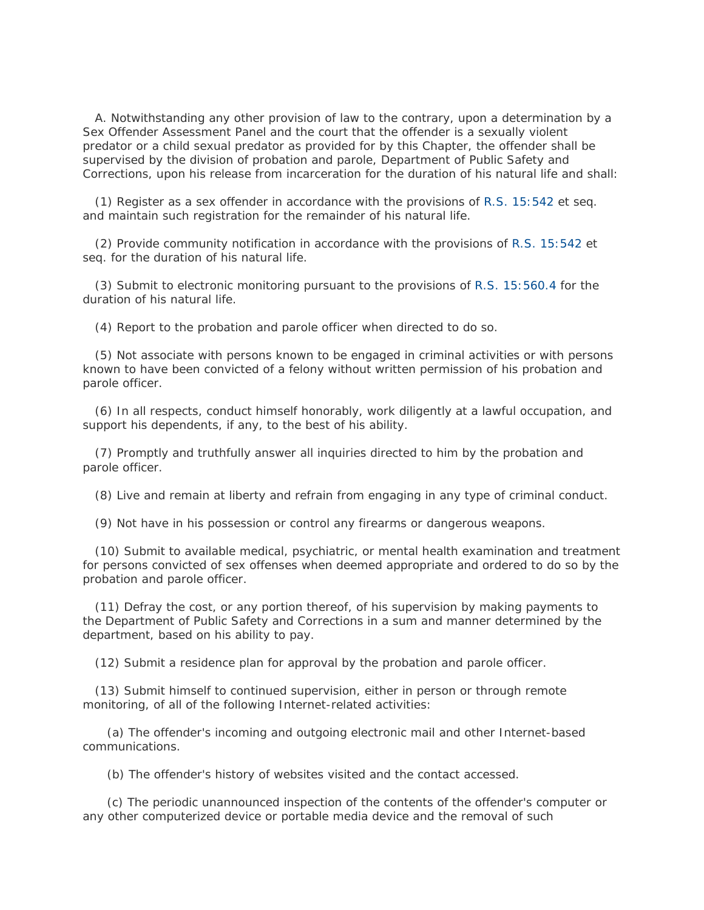A. Notwithstanding any other provision of law to the contrary, upon a determination by a Sex Offender Assessment Panel and the court that the offender is a sexually violent predator or a child sexual predator as provided for by this Chapter, the offender shall be supervised by the division of probation and parole, Department of Public Safety and Corrections, upon his release from incarceration for the duration of his natural life and shall:

 (1) Register as a sex offender in accordance with the provisions of [R.S. 15:542](http://www.lexis.com/research/buttonTFLink?_m=771b209f492d5ffd626cfc7f19e31cef&_xfercite=%3ccite%20cc%3d%22USA%22%3e%3c%21%5bCDATA%5bLa.%20R.S.%2015%3a560.3%5d%5d%3e%3c%2fcite%3e&_butType=4&_butStat=0&_butNum=2&_butInline=1&_butinfo=LACODE%2015%3a542&_fmtstr=FULL&docnum=1&_startdoc=1&wchp=dGLzVzB-zSkAW&_md5=5fc7049b65c465bad2b508f18a15df94) et seq. and maintain such registration for the remainder of his natural life.

 (2) Provide community notification in accordance with the provisions of [R.S. 15:542](http://www.lexis.com/research/buttonTFLink?_m=771b209f492d5ffd626cfc7f19e31cef&_xfercite=%3ccite%20cc%3d%22USA%22%3e%3c%21%5bCDATA%5bLa.%20R.S.%2015%3a560.3%5d%5d%3e%3c%2fcite%3e&_butType=4&_butStat=0&_butNum=3&_butInline=1&_butinfo=LACODE%2015%3a542&_fmtstr=FULL&docnum=1&_startdoc=1&wchp=dGLzVzB-zSkAW&_md5=701443d929e7bdfdb6ff042e96a17973) et seq. for the duration of his natural life.

 (3) Submit to electronic monitoring pursuant to the provisions of [R.S. 15:560.4](http://www.lexis.com/research/buttonTFLink?_m=771b209f492d5ffd626cfc7f19e31cef&_xfercite=%3ccite%20cc%3d%22USA%22%3e%3c%21%5bCDATA%5bLa.%20R.S.%2015%3a560.3%5d%5d%3e%3c%2fcite%3e&_butType=4&_butStat=0&_butNum=4&_butInline=1&_butinfo=LACODE%2015%3a560.4&_fmtstr=FULL&docnum=1&_startdoc=1&wchp=dGLzVzB-zSkAW&_md5=2a419c8b34eb548bd75efcf6d21bd919) for the duration of his natural life.

(4) Report to the probation and parole officer when directed to do so.

 (5) Not associate with persons known to be engaged in criminal activities or with persons known to have been convicted of a felony without written permission of his probation and parole officer.

 (6) In all respects, conduct himself honorably, work diligently at a lawful occupation, and support his dependents, if any, to the best of his ability.

 (7) Promptly and truthfully answer all inquiries directed to him by the probation and parole officer.

(8) Live and remain at liberty and refrain from engaging in any type of criminal conduct.

(9) Not have in his possession or control any firearms or dangerous weapons.

 (10) Submit to available medical, psychiatric, or mental health examination and treatment for persons convicted of sex offenses when deemed appropriate and ordered to do so by the probation and parole officer.

 (11) Defray the cost, or any portion thereof, of his supervision by making payments to the Department of Public Safety and Corrections in a sum and manner determined by the department, based on his ability to pay.

(12) Submit a residence plan for approval by the probation and parole officer.

 (13) Submit himself to continued supervision, either in person or through remote monitoring, of all of the following Internet-related activities:

 (a) The offender's incoming and outgoing electronic mail and other Internet-based communications.

(b) The offender's history of websites visited and the contact accessed.

 (c) The periodic unannounced inspection of the contents of the offender's computer or any other computerized device or portable media device and the removal of such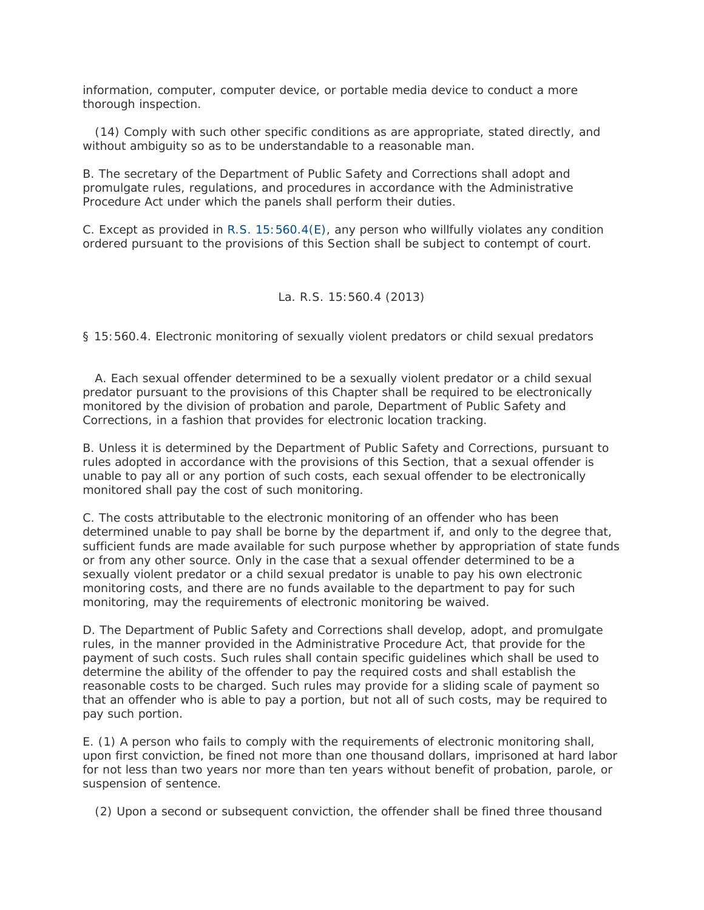information, computer, computer device, or portable media device to conduct a more thorough inspection.

 (14) Comply with such other specific conditions as are appropriate, stated directly, and without ambiguity so as to be understandable to a reasonable man.

B. The secretary of the Department of Public Safety and Corrections shall adopt and promulgate rules, regulations, and procedures in accordance with the Administrative Procedure Act under which the panels shall perform their duties.

C. Except as provided in [R.S. 15:560.4\(E\),](http://www.lexis.com/research/buttonTFLink?_m=771b209f492d5ffd626cfc7f19e31cef&_xfercite=%3ccite%20cc%3d%22USA%22%3e%3c%21%5bCDATA%5bLa.%20R.S.%2015%3a560.3%5d%5d%3e%3c%2fcite%3e&_butType=4&_butStat=0&_butNum=5&_butInline=1&_butinfo=LACODE%2015%3a560.4&_fmtstr=FULL&docnum=1&_startdoc=1&wchp=dGLzVzB-zSkAW&_md5=7738e0c189d7971c423949f5d0be9e8b) any person who willfully violates any condition ordered pursuant to the provisions of this Section shall be subject to contempt of court.

## La. R.S. 15:560.4 (2013)

§ 15:560.4. Electronic monitoring of sexually violent predators or child sexual predators

 A. Each sexual offender determined to be a sexually violent predator or a child sexual predator pursuant to the provisions of this Chapter shall be required to be electronically monitored by the division of probation and parole, Department of Public Safety and Corrections, in a fashion that provides for electronic location tracking.

B. Unless it is determined by the Department of Public Safety and Corrections, pursuant to rules adopted in accordance with the provisions of this Section, that a sexual offender is unable to pay all or any portion of such costs, each sexual offender to be electronically monitored shall pay the cost of such monitoring.

C. The costs attributable to the electronic monitoring of an offender who has been determined unable to pay shall be borne by the department if, and only to the degree that, sufficient funds are made available for such purpose whether by appropriation of state funds or from any other source. Only in the case that a sexual offender determined to be a sexually violent predator or a child sexual predator is unable to pay his own electronic monitoring costs, and there are no funds available to the department to pay for such monitoring, may the requirements of electronic monitoring be waived.

D. The Department of Public Safety and Corrections shall develop, adopt, and promulgate rules, in the manner provided in the Administrative Procedure Act, that provide for the payment of such costs. Such rules shall contain specific guidelines which shall be used to determine the ability of the offender to pay the required costs and shall establish the reasonable costs to be charged. Such rules may provide for a sliding scale of payment so that an offender who is able to pay a portion, but not all of such costs, may be required to pay such portion.

E. (1) A person who fails to comply with the requirements of electronic monitoring shall, upon first conviction, be fined not more than one thousand dollars, imprisoned at hard labor for not less than two years nor more than ten years without benefit of probation, parole, or suspension of sentence.

(2) Upon a second or subsequent conviction, the offender shall be fined three thousand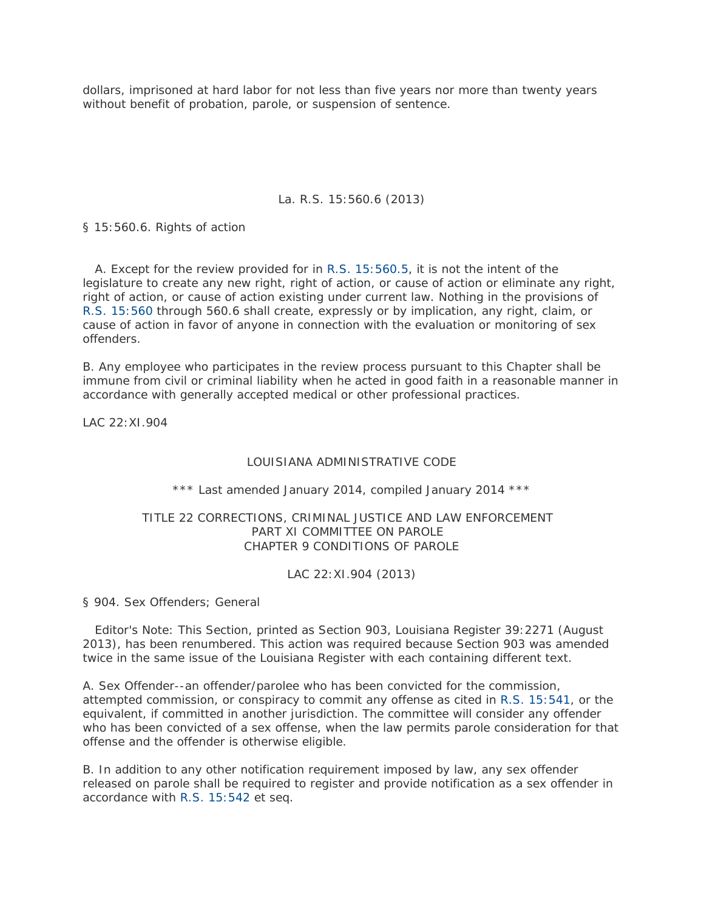dollars, imprisoned at hard labor for not less than five years nor more than twenty years without benefit of probation, parole, or suspension of sentence.

## La. R.S. 15:560.6 (2013)

§ 15:560.6. Rights of action

 A. Except for the review provided for in [R.S. 15:560.5,](http://www.lexis.com/research/buttonTFLink?_m=13409c8b3a19276643ff202f3380b478&_xfercite=%3ccite%20cc%3d%22USA%22%3e%3c%21%5bCDATA%5bLa.%20R.S.%2015%3a560.6%5d%5d%3e%3c%2fcite%3e&_butType=4&_butStat=0&_butNum=2&_butInline=1&_butinfo=LACODE%2015%3a560.5&_fmtstr=FULL&docnum=1&_startdoc=1&wchp=dGLzVzB-zSkAW&_md5=5e3cca6ab251d39bec6302c46517b73c) it is not the intent of the legislature to create any new right, right of action, or cause of action or eliminate any right, right of action, or cause of action existing under current law. Nothing in the provisions of [R.S. 15:560](http://www.lexis.com/research/buttonTFLink?_m=13409c8b3a19276643ff202f3380b478&_xfercite=%3ccite%20cc%3d%22USA%22%3e%3c%21%5bCDATA%5bLa.%20R.S.%2015%3a560.6%5d%5d%3e%3c%2fcite%3e&_butType=4&_butStat=0&_butNum=3&_butInline=1&_butinfo=LACODE%2015%3a560&_fmtstr=FULL&docnum=1&_startdoc=1&wchp=dGLzVzB-zSkAW&_md5=0a101a104625f016b47628c322c8bbb7) through 560.6 shall create, expressly or by implication, any right, claim, or cause of action in favor of anyone in connection with the evaluation or monitoring of sex offenders.

B. Any employee who participates in the review process pursuant to this Chapter shall be immune from civil or criminal liability when he acted in good faith in a reasonable manner in accordance with generally accepted medical or other professional practices.

*LAC 22:XI.904* 

## LOUISIANA ADMINISTRATIVE CODE

## \*\*\* Last amended January 2014, compiled January 2014 \*\*\*

## TITLE 22 CORRECTIONS, CRIMINAL JUSTICE AND LAW ENFORCEMENT PART XI COMMITTEE ON PAROLE CHAPTER 9 CONDITIONS OF PAROLE

## LAC 22:XI.904 (2013)

§ 904. Sex Offenders; General

Editor's Note: This Section, printed as Section 903, Louisiana Register 39:2271 (August 2013), has been renumbered. This action was required because Section 903 was amended twice in the same issue of the Louisiana Register with each containing different text.

A. Sex Offender--an offender/parolee who has been convicted for the commission, attempted commission, or conspiracy to commit any offense as cited in [R.S. 15:541,](http://www.lexis.com/research/buttonTFLink?_m=7e9ea04eaef1eb1585c37a804a5a4782&_xfercite=%3ccite%20cc%3d%22USA%22%3e%3c%21%5bCDATA%5bLAC%2022%3aXI.904%5d%5d%3e%3c%2fcite%3e&_butType=4&_butStat=0&_butNum=1&_butInline=1&_butinfo=LACODE%2015%3a541&_fmtstr=FULL&docnum=1&_startdoc=1&wchp=dGLzVzB-zSkAW&_md5=8707786603fb5d03a1172866f25fecab) or the equivalent, if committed in another jurisdiction. The committee will consider any offender who has been convicted of a sex offense, when the law permits parole consideration for that offense and the offender is otherwise eligible.

B. In addition to any other notification requirement imposed by law, any sex offender released on parole shall be required to register and provide notification as a sex offender in accordance with [R.S. 15:542](http://www.lexis.com/research/buttonTFLink?_m=7e9ea04eaef1eb1585c37a804a5a4782&_xfercite=%3ccite%20cc%3d%22USA%22%3e%3c%21%5bCDATA%5bLAC%2022%3aXI.904%5d%5d%3e%3c%2fcite%3e&_butType=4&_butStat=0&_butNum=2&_butInline=1&_butinfo=LACODE%2015%3a542&_fmtstr=FULL&docnum=1&_startdoc=1&wchp=dGLzVzB-zSkAW&_md5=517038420603af5638809a115304b0ca) et seq.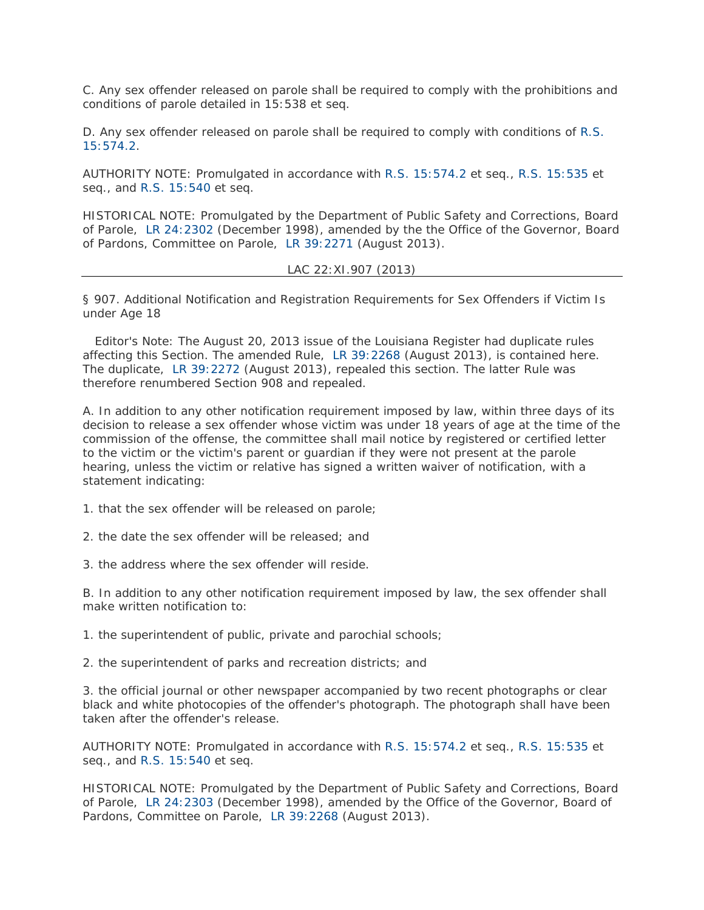C. Any sex offender released on parole shall be required to comply with the prohibitions and conditions of parole detailed in 15:538 et seq.

D. Any sex offender released on parole shall be required to comply with conditions of [R.S.](http://www.lexis.com/research/buttonTFLink?_m=7e9ea04eaef1eb1585c37a804a5a4782&_xfercite=%3ccite%20cc%3d%22USA%22%3e%3c%21%5bCDATA%5bLAC%2022%3aXI.904%5d%5d%3e%3c%2fcite%3e&_butType=4&_butStat=0&_butNum=3&_butInline=1&_butinfo=LACODE%2015%3a574.2&_fmtstr=FULL&docnum=1&_startdoc=1&wchp=dGLzVzB-zSkAW&_md5=ae4a8ae2d80601f9bc8f115e2fe3d144)  [15:574.2.](http://www.lexis.com/research/buttonTFLink?_m=7e9ea04eaef1eb1585c37a804a5a4782&_xfercite=%3ccite%20cc%3d%22USA%22%3e%3c%21%5bCDATA%5bLAC%2022%3aXI.904%5d%5d%3e%3c%2fcite%3e&_butType=4&_butStat=0&_butNum=3&_butInline=1&_butinfo=LACODE%2015%3a574.2&_fmtstr=FULL&docnum=1&_startdoc=1&wchp=dGLzVzB-zSkAW&_md5=ae4a8ae2d80601f9bc8f115e2fe3d144)

AUTHORITY NOTE: Promulgated in accordance with [R.S. 15:574.2](http://www.lexis.com/research/buttonTFLink?_m=7e9ea04eaef1eb1585c37a804a5a4782&_xfercite=%3ccite%20cc%3d%22USA%22%3e%3c%21%5bCDATA%5bLAC%2022%3aXI.904%5d%5d%3e%3c%2fcite%3e&_butType=4&_butStat=0&_butNum=4&_butInline=1&_butinfo=LACODE%2015%3a574.2&_fmtstr=FULL&docnum=1&_startdoc=1&wchp=dGLzVzB-zSkAW&_md5=db39ef339f4a6ef6eb1212d0be0d3c30) et seq., [R.S. 15:535](http://www.lexis.com/research/buttonTFLink?_m=7e9ea04eaef1eb1585c37a804a5a4782&_xfercite=%3ccite%20cc%3d%22USA%22%3e%3c%21%5bCDATA%5bLAC%2022%3aXI.904%5d%5d%3e%3c%2fcite%3e&_butType=4&_butStat=0&_butNum=5&_butInline=1&_butinfo=LACODE%2015%3a535&_fmtstr=FULL&docnum=1&_startdoc=1&wchp=dGLzVzB-zSkAW&_md5=a6d4914bc69a6e0bbb4815812d16ab39) et seq., and [R.S. 15:540](http://www.lexis.com/research/buttonTFLink?_m=7e9ea04eaef1eb1585c37a804a5a4782&_xfercite=%3ccite%20cc%3d%22USA%22%3e%3c%21%5bCDATA%5bLAC%2022%3aXI.904%5d%5d%3e%3c%2fcite%3e&_butType=4&_butStat=0&_butNum=6&_butInline=1&_butinfo=LACODE%2015%3a540&_fmtstr=FULL&docnum=1&_startdoc=1&wchp=dGLzVzB-zSkAW&_md5=cf2a4db605bd1365aac920de64a3339a) et seq.

HISTORICAL NOTE: Promulgated by the Department of Public Safety and Corrections, Board of Parole, [LR 24:2302](http://www.lexis.com/research/buttonLink?_m=7e9ea04eaef1eb1585c37a804a5a4782&_xfercite=%3ccite%20cc%3d%22USA%22%3e%3c%21%5bCDATA%5bLAC%2022%3aXI.904%5d%5d%3e%3c%2fcite%3e&_butType=1&_butStat=0&_butNum=8&_butInline=1&_butinfo=LXE_24_LR_2302&_fmtstr=FULL&docnum=1&_startdoc=1&wchp=dGLzVzB-zSkAW&_md5=a0de1f767918a2ec2cae34af26773750) (December 1998), amended by the the Office of the Governor, Board of Pardons, Committee on Parole, [LR 39:2271](http://www.lexis.com/research/buttonLink?_m=7e9ea04eaef1eb1585c37a804a5a4782&_xfercite=%3ccite%20cc%3d%22USA%22%3e%3c%21%5bCDATA%5bLAC%2022%3aXI.904%5d%5d%3e%3c%2fcite%3e&_butType=1&_butStat=0&_butNum=10&_butInline=1&_butinfo=LXE_39_LR_2271&_fmtstr=FULL&docnum=1&_startdoc=1&wchp=dGLzVzB-zSkAW&_md5=13655ed73cd401c73c2103a6fa546cb3) (August 2013).

LAC 22:XI.907 (2013)

§ 907. Additional Notification and Registration Requirements for Sex Offenders if Victim Is under Age 18

Editor's Note: The August 20, 2013 issue of the Louisiana Register had duplicate rules affecting this Section. The amended Rule, [LR 39:2268](http://www.lexis.com/research/buttonLink?_m=2ad47b6b0be0d6df9e2a76e435345f54&_xfercite=%3ccite%20cc%3d%22USA%22%3e%3c%21%5bCDATA%5bLAC%2022%3aXI.907%5d%5d%3e%3c%2fcite%3e&_butType=1&_butStat=0&_butNum=2&_butInline=1&_butinfo=LXE_39_LR_2268&_fmtstr=FULL&docnum=1&_startdoc=1&wchp=dGLzVzB-zSkAW&_md5=9ffff0ab68b0e7b4516f594bc1e02fec) (August 2013), is contained here. The duplicate, [LR 39:2272](http://www.lexis.com/research/buttonLink?_m=2ad47b6b0be0d6df9e2a76e435345f54&_xfercite=%3ccite%20cc%3d%22USA%22%3e%3c%21%5bCDATA%5bLAC%2022%3aXI.907%5d%5d%3e%3c%2fcite%3e&_butType=1&_butStat=0&_butNum=4&_butInline=1&_butinfo=LXE_39_LR_2272&_fmtstr=FULL&docnum=1&_startdoc=1&wchp=dGLzVzB-zSkAW&_md5=5b5b165753ae9f045b1f61603d1ab59d) (August 2013), repealed this section. The latter Rule was therefore renumbered Section 908 and repealed.

A. In addition to any other notification requirement imposed by law, within three days of its decision to release a sex offender whose victim was under 18 years of age at the time of the commission of the offense, the committee shall mail notice by registered or certified letter to the victim or the victim's parent or guardian if they were not present at the parole hearing, unless the victim or relative has signed a written waiver of notification, with a statement indicating:

1. that the sex offender will be released on parole;

2. the date the sex offender will be released; and

3. the address where the sex offender will reside.

B. In addition to any other notification requirement imposed by law, the sex offender shall make written notification to:

1. the superintendent of public, private and parochial schools;

2. the superintendent of parks and recreation districts; and

3. the official journal or other newspaper accompanied by two recent photographs or clear black and white photocopies of the offender's photograph. The photograph shall have been taken after the offender's release.

AUTHORITY NOTE: Promulgated in accordance with [R.S. 15:574.2](http://www.lexis.com/research/buttonTFLink?_m=2ad47b6b0be0d6df9e2a76e435345f54&_xfercite=%3ccite%20cc%3d%22USA%22%3e%3c%21%5bCDATA%5bLAC%2022%3aXI.907%5d%5d%3e%3c%2fcite%3e&_butType=4&_butStat=0&_butNum=5&_butInline=1&_butinfo=LACODE%2015%3a574.2&_fmtstr=FULL&docnum=1&_startdoc=1&wchp=dGLzVzB-zSkAW&_md5=ce7581016ad3b93a7f9e4a6e1d4e7ded) et seq., [R.S. 15:535](http://www.lexis.com/research/buttonTFLink?_m=2ad47b6b0be0d6df9e2a76e435345f54&_xfercite=%3ccite%20cc%3d%22USA%22%3e%3c%21%5bCDATA%5bLAC%2022%3aXI.907%5d%5d%3e%3c%2fcite%3e&_butType=4&_butStat=0&_butNum=6&_butInline=1&_butinfo=LACODE%2015%3a535&_fmtstr=FULL&docnum=1&_startdoc=1&wchp=dGLzVzB-zSkAW&_md5=039d62e0e06ae232a77487514bcf170c) et seq., and [R.S. 15:540](http://www.lexis.com/research/buttonTFLink?_m=2ad47b6b0be0d6df9e2a76e435345f54&_xfercite=%3ccite%20cc%3d%22USA%22%3e%3c%21%5bCDATA%5bLAC%2022%3aXI.907%5d%5d%3e%3c%2fcite%3e&_butType=4&_butStat=0&_butNum=7&_butInline=1&_butinfo=LACODE%2015%3a540&_fmtstr=FULL&docnum=1&_startdoc=1&wchp=dGLzVzB-zSkAW&_md5=802084c998261e1c17d55bb71f16e5e2) et seq.

HISTORICAL NOTE: Promulgated by the Department of Public Safety and Corrections, Board of Parole, [LR 24:2303](http://www.lexis.com/research/buttonLink?_m=2ad47b6b0be0d6df9e2a76e435345f54&_xfercite=%3ccite%20cc%3d%22USA%22%3e%3c%21%5bCDATA%5bLAC%2022%3aXI.907%5d%5d%3e%3c%2fcite%3e&_butType=1&_butStat=0&_butNum=9&_butInline=1&_butinfo=LXE_24_LR_2303&_fmtstr=FULL&docnum=1&_startdoc=1&wchp=dGLzVzB-zSkAW&_md5=e324e9d85b0cfaa894446d0ec258d2ee) (December 1998), amended by the Office of the Governor, Board of Pardons, Committee on Parole, [LR 39:2268](http://www.lexis.com/research/buttonLink?_m=2ad47b6b0be0d6df9e2a76e435345f54&_xfercite=%3ccite%20cc%3d%22USA%22%3e%3c%21%5bCDATA%5bLAC%2022%3aXI.907%5d%5d%3e%3c%2fcite%3e&_butType=1&_butStat=0&_butNum=11&_butInline=1&_butinfo=LXE_39_LR_2268&_fmtstr=FULL&docnum=1&_startdoc=1&wchp=dGLzVzB-zSkAW&_md5=85885e947876cdaa9c7e817058db967f) (August 2013).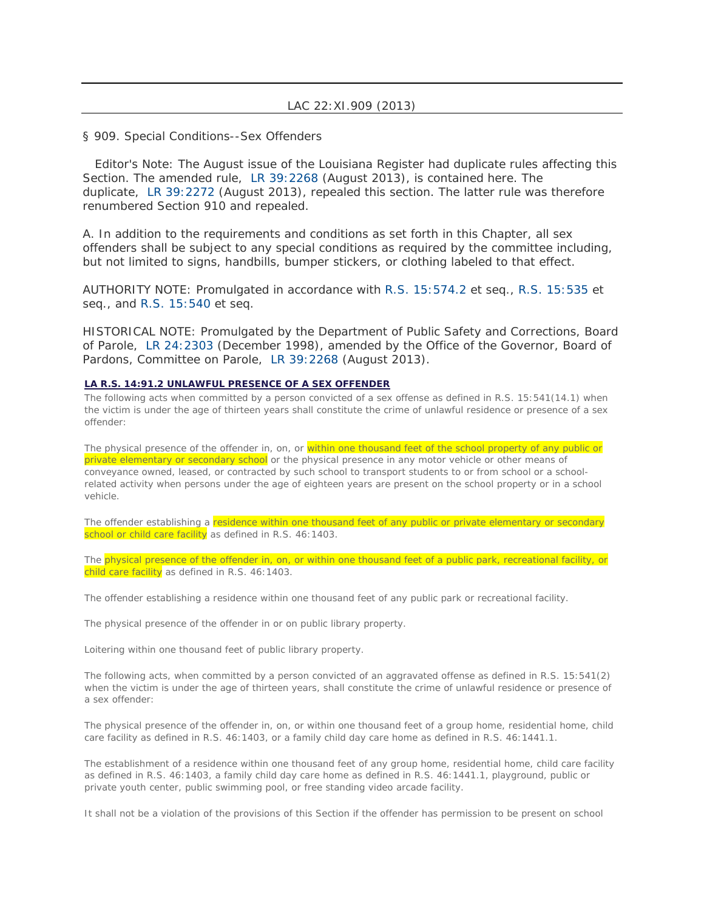### LAC 22:XI.909 (2013)

§ 909. Special Conditions--Sex Offenders

Editor's Note: The August issue of the Louisiana Register had duplicate rules affecting this Section. The amended rule, [LR 39:2268](http://www.lexis.com/research/buttonLink?_m=2931d814bd63e0290f2825af287d7a08&_xfercite=%3ccite%20cc%3d%22USA%22%3e%3c%21%5bCDATA%5bLAC%2022%3aXI.909%5d%5d%3e%3c%2fcite%3e&_butType=1&_butStat=0&_butNum=2&_butInline=1&_butinfo=LXE_39_LR_2268&_fmtstr=FULL&docnum=1&_startdoc=1&wchp=dGLzVzB-zSkAW&_md5=d2dac94b062644b0f853cbfc7cb03947) (August 2013), is contained here. The duplicate, [LR 39:2272](http://www.lexis.com/research/buttonLink?_m=2931d814bd63e0290f2825af287d7a08&_xfercite=%3ccite%20cc%3d%22USA%22%3e%3c%21%5bCDATA%5bLAC%2022%3aXI.909%5d%5d%3e%3c%2fcite%3e&_butType=1&_butStat=0&_butNum=4&_butInline=1&_butinfo=LXE_39_LR_2272&_fmtstr=FULL&docnum=1&_startdoc=1&wchp=dGLzVzB-zSkAW&_md5=3b3fc9a918369e51f8a135edba0a4f31) (August 2013), repealed this section. The latter rule was therefore renumbered Section 910 and repealed.

A. In addition to the requirements and conditions as set forth in this Chapter, all sex offenders shall be subject to any special conditions as required by the committee including, but not limited to signs, handbills, bumper stickers, or clothing labeled to that effect.

AUTHORITY NOTE: Promulgated in accordance with [R.S. 15:574.2](http://www.lexis.com/research/buttonTFLink?_m=2931d814bd63e0290f2825af287d7a08&_xfercite=%3ccite%20cc%3d%22USA%22%3e%3c%21%5bCDATA%5bLAC%2022%3aXI.909%5d%5d%3e%3c%2fcite%3e&_butType=4&_butStat=0&_butNum=5&_butInline=1&_butinfo=LACODE%2015%3a574.2&_fmtstr=FULL&docnum=1&_startdoc=1&wchp=dGLzVzB-zSkAW&_md5=d36efb0b528858c27fb54c8fdd2a02bf) et seq., [R.S. 15:535](http://www.lexis.com/research/buttonTFLink?_m=2931d814bd63e0290f2825af287d7a08&_xfercite=%3ccite%20cc%3d%22USA%22%3e%3c%21%5bCDATA%5bLAC%2022%3aXI.909%5d%5d%3e%3c%2fcite%3e&_butType=4&_butStat=0&_butNum=6&_butInline=1&_butinfo=LACODE%2015%3a535&_fmtstr=FULL&docnum=1&_startdoc=1&wchp=dGLzVzB-zSkAW&_md5=29f7ca323b5428d2be30834debc2efa5) et seq., and [R.S. 15:540](http://www.lexis.com/research/buttonTFLink?_m=2931d814bd63e0290f2825af287d7a08&_xfercite=%3ccite%20cc%3d%22USA%22%3e%3c%21%5bCDATA%5bLAC%2022%3aXI.909%5d%5d%3e%3c%2fcite%3e&_butType=4&_butStat=0&_butNum=7&_butInline=1&_butinfo=LACODE%2015%3a540&_fmtstr=FULL&docnum=1&_startdoc=1&wchp=dGLzVzB-zSkAW&_md5=4adc319c19534d3b26d6de64ac3ea5ff) et seq.

HISTORICAL NOTE: Promulgated by the Department of Public Safety and Corrections, Board of Parole, [LR 24:2303](http://www.lexis.com/research/buttonLink?_m=2931d814bd63e0290f2825af287d7a08&_xfercite=%3ccite%20cc%3d%22USA%22%3e%3c%21%5bCDATA%5bLAC%2022%3aXI.909%5d%5d%3e%3c%2fcite%3e&_butType=1&_butStat=0&_butNum=9&_butInline=1&_butinfo=LXE_24_LR_2303&_fmtstr=FULL&docnum=1&_startdoc=1&wchp=dGLzVzB-zSkAW&_md5=5be3987e7dd68763d9f50d12215c61f4) (December 1998), amended by the Office of the Governor, Board of Pardons, Committee on Parole, [LR 39:2268](http://www.lexis.com/research/buttonLink?_m=2931d814bd63e0290f2825af287d7a08&_xfercite=%3ccite%20cc%3d%22USA%22%3e%3c%21%5bCDATA%5bLAC%2022%3aXI.909%5d%5d%3e%3c%2fcite%3e&_butType=1&_butStat=0&_butNum=11&_butInline=1&_butinfo=LXE_39_LR_2268&_fmtstr=FULL&docnum=1&_startdoc=1&wchp=dGLzVzB-zSkAW&_md5=3b4d97b3e4c21ef9739906899a8c20c4) (August 2013).

#### **LA R.S. 14:91.2 UNLAWFUL PRESENCE OF A SEX OFFENDER**

The following acts when committed by a person convicted of a sex offense as defined in R.S. 15:541(14.1) when the victim is under the age of thirteen years shall constitute the crime of unlawful residence or presence of a sex offender:

The physical presence of the offender in, on, or within one thousand feet of the school property of any public or private elementary or secondary school or the physical presence in any motor vehicle or other means of conveyance owned, leased, or contracted by such school to transport students to or from school or a schoolrelated activity when persons under the age of eighteen years are present on the school property or in a school vehicle.

The offender establishing a residence within one thousand feet of any public or private elementary or secondary school or child care facility as defined in R.S. 46:1403.

The physical presence of the offender in, on, or within one thousand feet of a public park, recreational facility, or child care facility as defined in R.S. 46:1403.

The offender establishing a residence within one thousand feet of any public park or recreational facility.

The physical presence of the offender in or on public library property.

Loitering within one thousand feet of public library property.

The following acts, when committed by a person convicted of an aggravated offense as defined in R.S. 15:541(2) when the victim is under the age of thirteen years, shall constitute the crime of unlawful residence or presence of a sex offender:

The physical presence of the offender in, on, or within one thousand feet of a group home, residential home, child care facility as defined in R.S. 46:1403, or a family child day care home as defined in R.S. 46:1441.1.

The establishment of a residence within one thousand feet of any group home, residential home, child care facility as defined in R.S. 46:1403, a family child day care home as defined in R.S. 46:1441.1, playground, public or private youth center, public swimming pool, or free standing video arcade facility.

It shall not be a violation of the provisions of this Section if the offender has permission to be present on school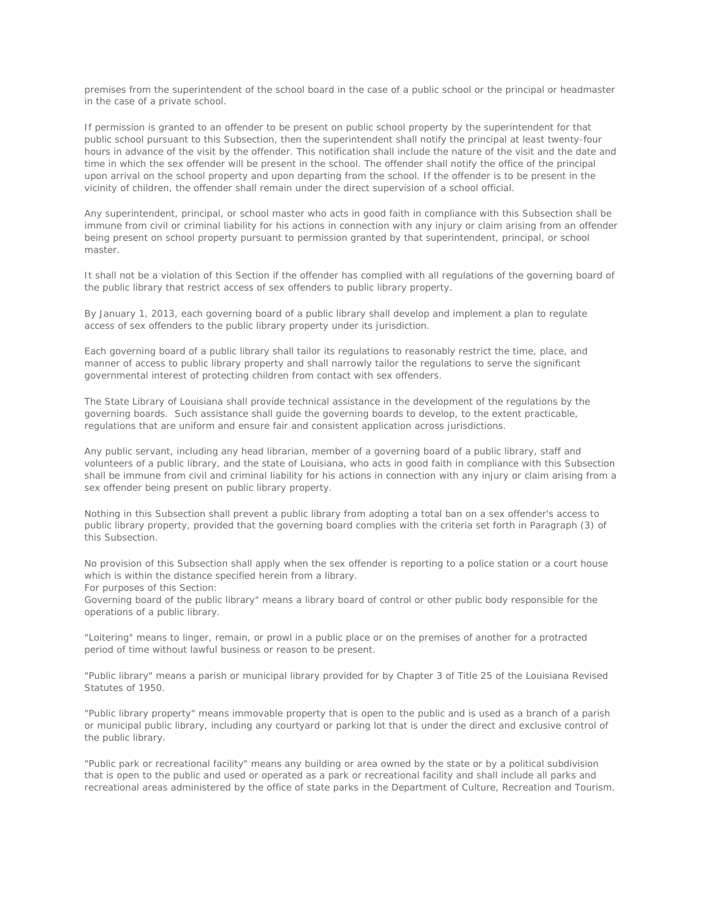premises from the superintendent of the school board in the case of a public school or the principal or headmaster in the case of a private school.

If permission is granted to an offender to be present on public school property by the superintendent for that public school pursuant to this Subsection, then the superintendent shall notify the principal at least twenty-four hours in advance of the visit by the offender. This notification shall include the nature of the visit and the date and time in which the sex offender will be present in the school. The offender shall notify the office of the principal upon arrival on the school property and upon departing from the school. If the offender is to be present in the vicinity of children, the offender shall remain under the direct supervision of a school official.

Any superintendent, principal, or school master who acts in good faith in compliance with this Subsection shall be immune from civil or criminal liability for his actions in connection with any injury or claim arising from an offender being present on school property pursuant to permission granted by that superintendent, principal, or school master.

It shall not be a violation of this Section if the offender has complied with all regulations of the governing board of the public library that restrict access of sex offenders to public library property.

By January 1, 2013, each governing board of a public library shall develop and implement a plan to regulate access of sex offenders to the public library property under its jurisdiction.

Each governing board of a public library shall tailor its regulations to reasonably restrict the time, place, and manner of access to public library property and shall narrowly tailor the regulations to serve the significant governmental interest of protecting children from contact with sex offenders.

The State Library of Louisiana shall provide technical assistance in the development of the regulations by the governing boards. Such assistance shall guide the governing boards to develop, to the extent practicable, regulations that are uniform and ensure fair and consistent application across jurisdictions.

Any public servant, including any head librarian, member of a governing board of a public library, staff and volunteers of a public library, and the state of Louisiana, who acts in good faith in compliance with this Subsection shall be immune from civil and criminal liability for his actions in connection with any injury or claim arising from a sex offender being present on public library property.

Nothing in this Subsection shall prevent a public library from adopting a total ban on a sex offender's access to public library property, provided that the governing board complies with the criteria set forth in Paragraph (3) of this Subsection.

No provision of this Subsection shall apply when the sex offender is reporting to a police station or a court house which is within the distance specified herein from a library.

For purposes of this Section:

Governing board of the public library" means a library board of control or other public body responsible for the operations of a public library.

"Loitering" means to linger, remain, or prowl in a public place or on the premises of another for a protracted period of time without lawful business or reason to be present.

"Public library" means a parish or municipal library provided for by Chapter 3 of Title 25 of the Louisiana Revised Statutes of 1950.

"Public library property" means immovable property that is open to the public and is used as a branch of a parish or municipal public library, including any courtyard or parking lot that is under the direct and exclusive control of the public library.

"Public park or recreational facility" means any building or area owned by the state or by a political subdivision that is open to the public and used or operated as a park or recreational facility and shall include all parks and recreational areas administered by the office of state parks in the Department of Culture, Recreation and Tourism.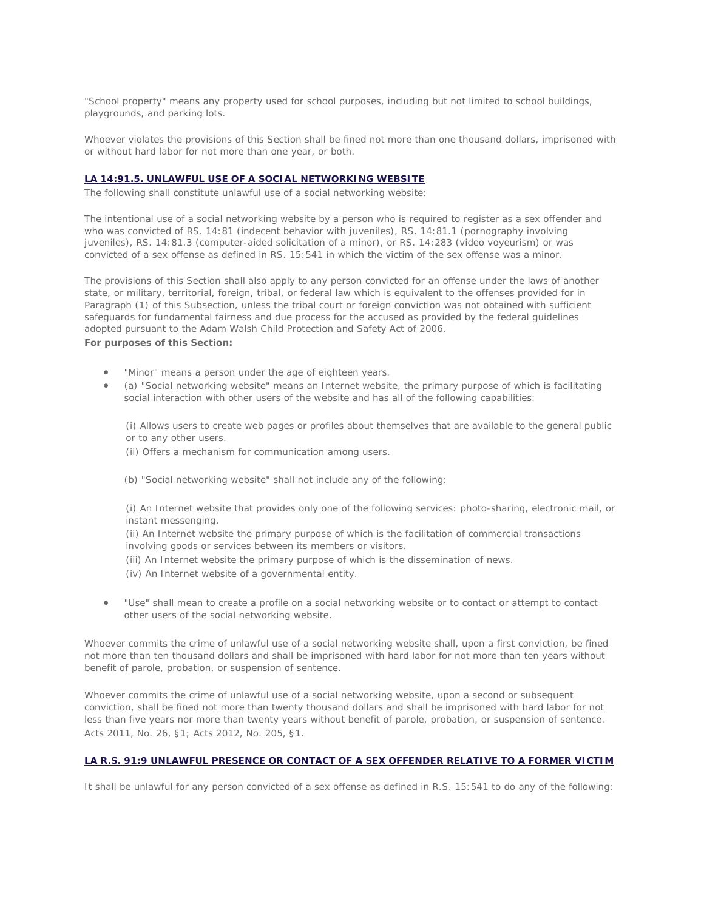"School property" means any property used for school purposes, including but not limited to school buildings, playgrounds, and parking lots.

Whoever violates the provisions of this Section shall be fined not more than one thousand dollars, imprisoned with or without hard labor for not more than one year, or both.

#### **LA 14:91.5. UNLAWFUL USE OF A SOCIAL NETWORKING WEBSITE**

The following shall constitute unlawful use of a social networking website:

The intentional use of a social networking website by a person who is required to register as a sex offender and who was convicted of RS. 14:81 (indecent behavior with juveniles), RS. 14:81.1 (pornography involving juveniles), RS. 14:81.3 (computer-aided solicitation of a minor), or RS. 14:283 (video voyeurism) or was convicted of a sex offense as defined in RS. 15:541 in which the victim of the sex offense was a minor.

The provisions of this Section shall also apply to any person convicted for an offense under the laws of another state, or military, territorial, foreign, tribal, or federal law which is equivalent to the offenses provided for in Paragraph (1) of this Subsection, unless the tribal court or foreign conviction was not obtained with sufficient safeguards for fundamental fairness and due process for the accused as provided by the federal guidelines adopted pursuant to the Adam Walsh Child Protection and Safety Act of 2006. **For purposes of this Section:**

- "Minor" means a person under the age of eighteen years.
- (a) "Social networking website" means an Internet website, the primary purpose of which is facilitating social interaction with other users of the website and has all of the following capabilities:

(i) Allows users to create web pages or profiles about themselves that are available to the general public or to any other users.

- (ii) Offers a mechanism for communication among users.
- (b) "Social networking website" shall not include any of the following:

(i) An Internet website that provides only one of the following services: photo-sharing, electronic mail, or instant messenging.

(ii) An Internet website the primary purpose of which is the facilitation of commercial transactions involving goods or services between its members or visitors.

(iii) An Internet website the primary purpose of which is the dissemination of news.

- (iv) An Internet website of a governmental entity.
- "Use" shall mean to create a profile on a social networking website or to contact or attempt to contact other users of the social networking website.

Whoever commits the crime of unlawful use of a social networking website shall, upon a first conviction, be fined not more than ten thousand dollars and shall be imprisoned with hard labor for not more than ten years without benefit of parole, probation, or suspension of sentence.

Whoever commits the crime of unlawful use of a social networking website, upon a second or subsequent conviction, shall be fined not more than twenty thousand dollars and shall be imprisoned with hard labor for not less than five years nor more than twenty years without benefit of parole, probation, or suspension of sentence. Acts 2011, No. 26, §1; Acts 2012, No. 205, §1.

#### **LA R.S. 91:9 UNLAWFUL PRESENCE OR CONTACT OF A SEX OFFENDER RELATIVE TO A FORMER VICTIM**

It shall be unlawful for any person convicted of a sex offense as defined in R.S. 15:541 to do any of the following: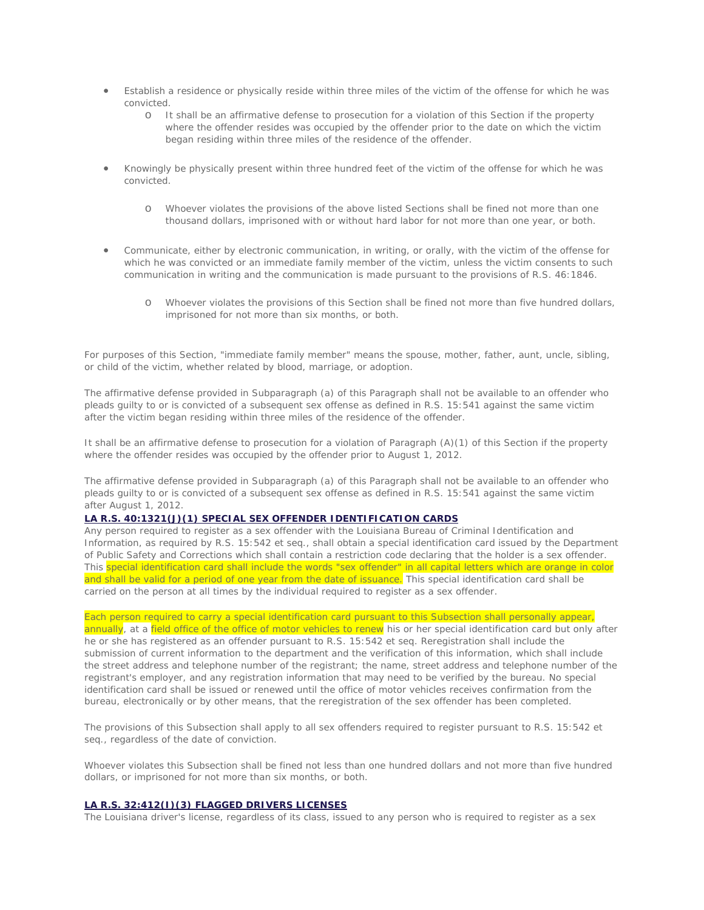- Establish a residence or physically reside within three miles of the victim of the offense for which he was convicted.
	- o It shall be an affirmative defense to prosecution for a violation of this Section if the property where the offender resides was occupied by the offender prior to the date on which the victim began residing within three miles of the residence of the offender.
- Knowingly be physically present within three hundred feet of the victim of the offense for which he was convicted.
	- o Whoever violates the provisions of the above listed Sections shall be fined not more than one thousand dollars, imprisoned with or without hard labor for not more than one year, or both.
- Communicate, either by electronic communication, in writing, or orally, with the victim of the offense for which he was convicted or an immediate family member of the victim, unless the victim consents to such communication in writing and the communication is made pursuant to the provisions of R.S. 46:1846.
	- o Whoever violates the provisions of this Section shall be fined not more than five hundred dollars, imprisoned for not more than six months, or both.

For purposes of this Section, "immediate family member" means the spouse, mother, father, aunt, uncle, sibling, or child of the victim, whether related by blood, marriage, or adoption.

The affirmative defense provided in Subparagraph (a) of this Paragraph shall not be available to an offender who pleads guilty to or is convicted of a subsequent sex offense as defined in R.S. 15:541 against the same victim after the victim began residing within three miles of the residence of the offender.

It shall be an affirmative defense to prosecution for a violation of Paragraph (A)(1) of this Section if the property where the offender resides was occupied by the offender prior to August 1, 2012.

The affirmative defense provided in Subparagraph (a) of this Paragraph shall not be available to an offender who pleads guilty to or is convicted of a subsequent sex offense as defined in R.S. 15:541 against the same victim after August 1, 2012.

#### **LA R.S. 40:1321(J)(1) SPECIAL SEX OFFENDER IDENTIFICATION CARDS**

Any person required to register as a sex offender with the Louisiana Bureau of Criminal Identification and Information, as required by R.S. 15:542 et seq., shall obtain a special identification card issued by the Department of Public Safety and Corrections which shall contain a restriction code declaring that the holder is a sex offender. This special identification card shall include the words "sex offender" in all capital letters which are orange in color and shall be valid for a period of one year from the date of issuance. This special identification card shall be carried on the person at all times by the individual required to register as a sex offender.

#### Each person required to carry a special identification card pursuant to this Subsection shall personally appear,

annually, at a field office of the office of motor vehicles to renew his or her special identification card but only after he or she has registered as an offender pursuant to R.S. 15:542 et seq. Reregistration shall include the submission of current information to the department and the verification of this information, which shall include the street address and telephone number of the registrant; the name, street address and telephone number of the registrant's employer, and any registration information that may need to be verified by the bureau. No special identification card shall be issued or renewed until the office of motor vehicles receives confirmation from the bureau, electronically or by other means, that the reregistration of the sex offender has been completed.

The provisions of this Subsection shall apply to all sex offenders required to register pursuant to R.S. 15:542 et seq., regardless of the date of conviction.

Whoever violates this Subsection shall be fined not less than one hundred dollars and not more than five hundred dollars, or imprisoned for not more than six months, or both.

#### **LA R.S. 32:412(I)(3) FLAGGED DRIVERS LICENSES**

The Louisiana driver's license, regardless of its class, issued to any person who is required to register as a sex